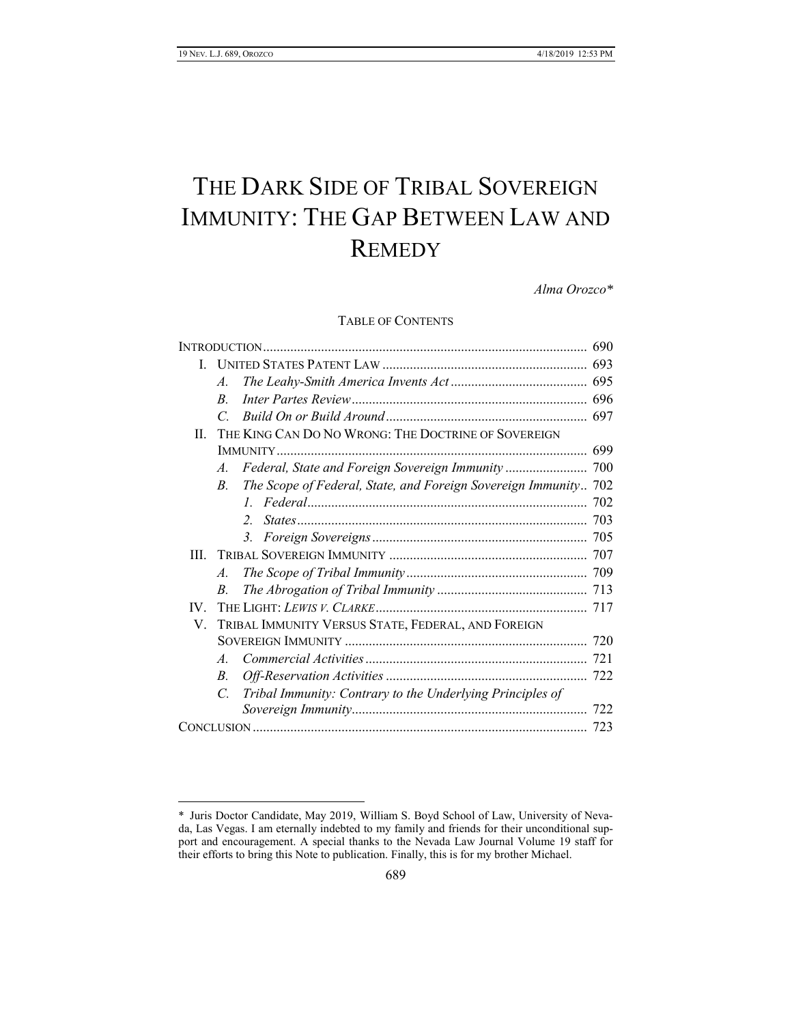$\overline{a}$ 

# THE DARK SIDE OF TRIBAL SOVEREIGN IMMUNITY: THE GAP BETWEEN LAW AND **REMEDY**

*Alma Orozco\**

TABLE OF CONTENTS

| L   |                                                     |                                                                 |  |
|-----|-----------------------------------------------------|-----------------------------------------------------------------|--|
|     | $\mathcal{A}_{\cdot}$                               |                                                                 |  |
|     | R.                                                  |                                                                 |  |
|     | C                                                   |                                                                 |  |
| H.  | THE KING CAN DO NO WRONG: THE DOCTRINE OF SOVEREIGN |                                                                 |  |
|     |                                                     |                                                                 |  |
|     | $\mathcal{A}$ .                                     |                                                                 |  |
|     | B.                                                  | The Scope of Federal, State, and Foreign Sovereign Immunity 702 |  |
|     |                                                     | $l_{-}$                                                         |  |
|     |                                                     | $\overline{2}$                                                  |  |
|     |                                                     | 3.                                                              |  |
| Ш   |                                                     |                                                                 |  |
|     | $\mathcal{A}$ .                                     |                                                                 |  |
|     | B.                                                  |                                                                 |  |
| IV. |                                                     |                                                                 |  |
| V.  | TRIBAL IMMUNITY VERSUS STATE, FEDERAL, AND FOREIGN  |                                                                 |  |
|     |                                                     |                                                                 |  |
|     | $\mathcal{A}_{\cdot}$                               |                                                                 |  |
|     | $B_{\cdot}$                                         |                                                                 |  |
|     | $\mathcal{C}$                                       | Tribal Immunity: Contrary to the Underlying Principles of       |  |
|     |                                                     |                                                                 |  |
|     |                                                     |                                                                 |  |

<sup>\*</sup> Juris Doctor Candidate, May 2019, William S. Boyd School of Law, University of Nevada, Las Vegas. I am eternally indebted to my family and friends for their unconditional support and encouragement. A special thanks to the Nevada Law Journal Volume 19 staff for their efforts to bring this Note to publication. Finally, this is for my brother Michael.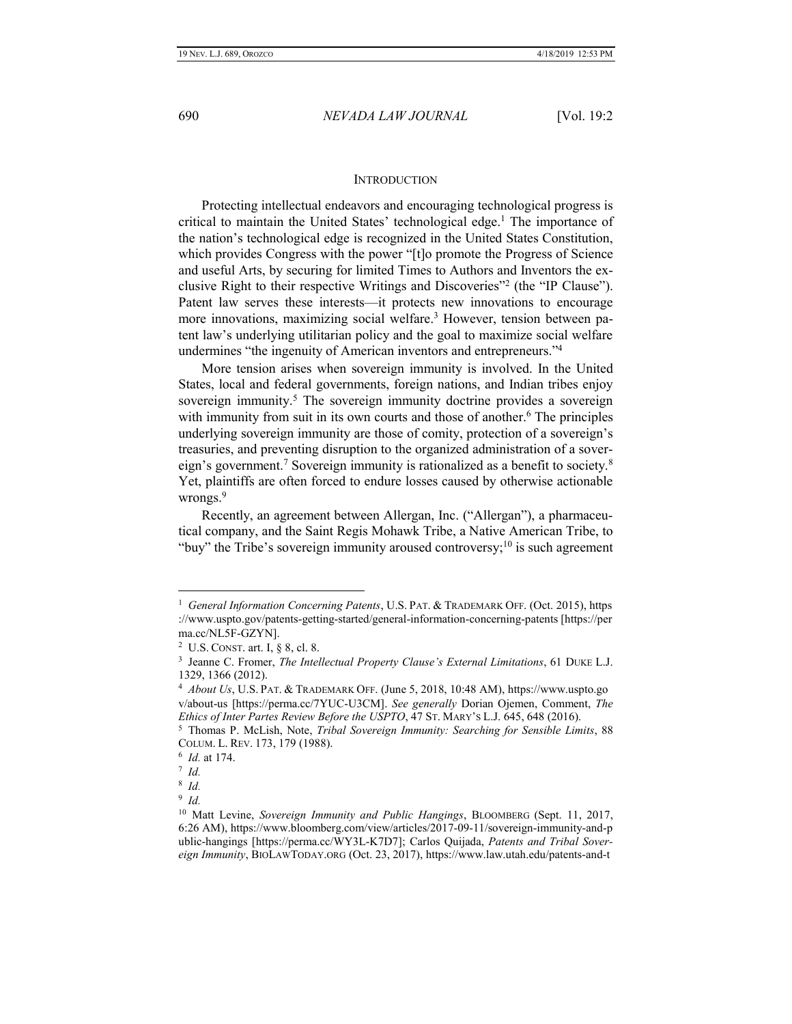#### **INTRODUCTION**

<span id="page-1-0"></span>Protecting intellectual endeavors and encouraging technological progress is critical to maintain the United States' technological edge. <sup>1</sup> The importance of the nation's technological edge is recognized in the United States Constitution, which provides Congress with the power "[t]o promote the Progress of Science and useful Arts, by securing for limited Times to Authors and Inventors the exclusive Right to their respective Writings and Discoveries"<sup>2</sup> (the "IP Clause"). Patent law serves these interests—it protects new innovations to encourage more innovations, maximizing social welfare.<sup>3</sup> However, tension between patent law's underlying utilitarian policy and the goal to maximize social welfare undermines "the ingenuity of American inventors and entrepreneurs."<sup>4</sup>

More tension arises when sovereign immunity is involved. In the United States, local and federal governments, foreign nations, and Indian tribes enjoy sovereign immunity.<sup>5</sup> The sovereign immunity doctrine provides a sovereign with immunity from suit in its own courts and those of another.<sup>6</sup> The principles underlying sovereign immunity are those of comity, protection of a sovereign's treasuries, and preventing disruption to the organized administration of a sovereign's government.<sup>7</sup> Sovereign immunity is rationalized as a benefit to society.<sup>8</sup> Yet, plaintiffs are often forced to endure losses caused by otherwise actionable wrongs.<sup>9</sup>

Recently, an agreement between Allergan, Inc. ("Allergan"), a pharmaceutical company, and the Saint Regis Mohawk Tribe, a Native American Tribe, to "buy" the Tribe's sovereign immunity aroused controversy;<sup>10</sup> is such agreement

<sup>&</sup>lt;sup>1</sup> General Information Concerning Patents, U.S. PAT. & TRADEMARK OFF. (Oct. 2015), https ://www.uspto.gov/patents-getting-started/general-information-concerning-patents [https://per ma.cc/NL5F-GZYN].

<sup>2</sup> U.S. CONST. art. I, § 8, cl. 8.

<sup>3</sup> Jeanne C. Fromer, *The Intellectual Property Clause's External Limitations*, 61 DUKE L.J. 1329, 1366 (2012).

<sup>4</sup> *About Us*, U.S. PAT. & TRADEMARK OFF. (June 5, 2018, 10:48 AM), https://www.uspto.go v/about-us [https://perma.cc/7YUC-U3CM]. *See generally* Dorian Ojemen, Comment, *The Ethics of Inter Partes Review Before the USPTO*, 47 ST. MARY'S L.J. 645, 648 (2016).

<sup>&</sup>lt;sup>5</sup> Thomas P. McLish, Note, *Tribal Sovereign Immunity: Searching for Sensible Limits*, 88 COLUM. L. REV. 173, 179 (1988).

<sup>6</sup> *Id.* at 174.

<sup>7</sup> *Id.*

<sup>8</sup> *Id.*

<sup>9</sup> *Id.*

<sup>10</sup> Matt Levine, *Sovereign Immunity and Public Hangings*, BLOOMBERG (Sept. 11, 2017, 6:26 AM), https://www.bloomberg.com/view/articles/2017-09-11/sovereign-immunity-and-p ublic-hangings [https://perma.cc/WY3L-K7D7]; Carlos Quijada, *Patents and Tribal Sovereign Immunity*, BIOLAWTODAY.ORG (Oct. 23, 2017), https://www.law.utah.edu/patents-and-t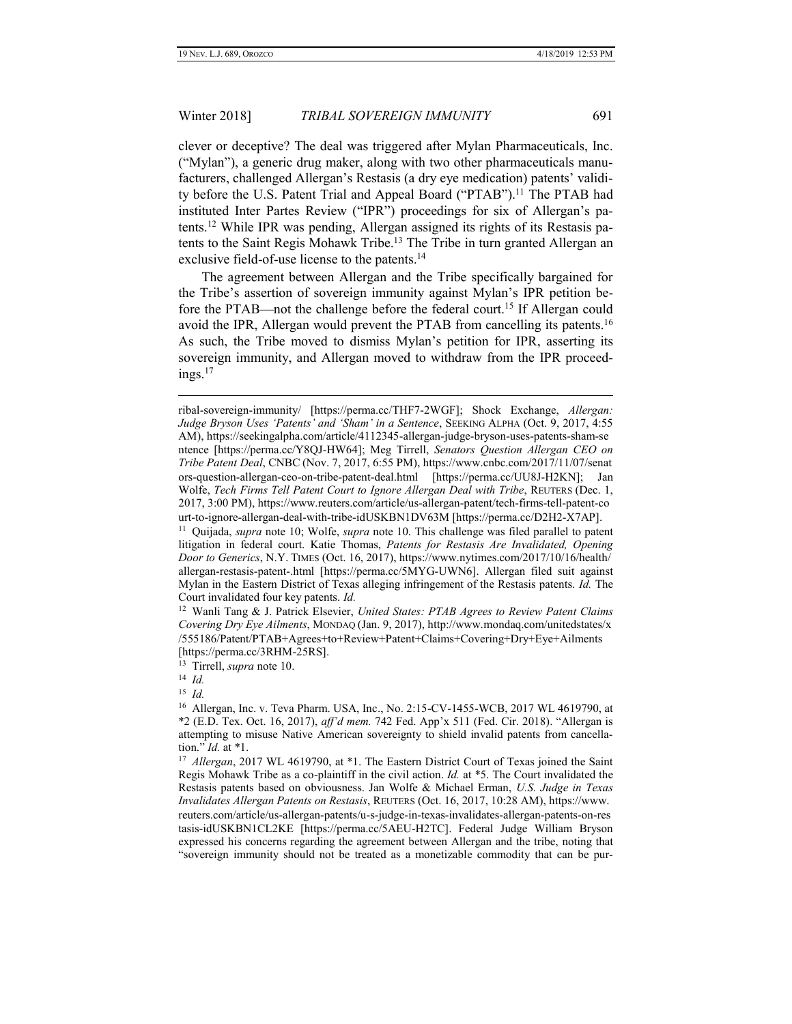clever or deceptive? The deal was triggered after Mylan Pharmaceuticals, Inc. ("Mylan"), a generic drug maker, along with two other pharmaceuticals manufacturers, challenged Allergan's Restasis (a dry eye medication) patents' validity before the U.S. Patent Trial and Appeal Board ("PTAB").<sup>11</sup> The PTAB had instituted Inter Partes Review ("IPR") proceedings for six of Allergan's patents.<sup>12</sup> While IPR was pending, Allergan assigned its rights of its Restasis patents to the Saint Regis Mohawk Tribe.<sup>13</sup> The Tribe in turn granted Allergan an exclusive field-of-use license to the patents.<sup>14</sup>

The agreement between Allergan and the Tribe specifically bargained for the Tribe's assertion of sovereign immunity against Mylan's IPR petition before the PTAB—not the challenge before the federal court.<sup>15</sup> If Allergan could avoid the IPR, Allergan would prevent the PTAB from cancelling its patents.<sup>16</sup> As such, the Tribe moved to dismiss Mylan's petition for IPR, asserting its sovereign immunity, and Allergan moved to withdraw from the IPR proceed $ings.<sup>17</sup>$ 

15 *Id.*

ribal-sovereign-immunity/ [https://perma.cc/THF7-2WGF]; Shock Exchange, *Allergan: Judge Bryson Uses 'Patents' and 'Sham' in a Sentence*, SEEKING ALPHA (Oct. 9, 2017, 4:55 AM), https://seekingalpha.com/article/4112345-allergan-judge-bryson-uses-patents-sham-se ntence [https://perma.cc/Y8QJ-HW64]; Meg Tirrell, *Senators Question Allergan CEO on Tribe Patent Deal*, CNBC (Nov. 7, 2017, 6:55 PM), https://www.cnbc.com/2017/11/07/senat ors-question-allergan-ceo-on-tribe-patent-deal.html [https://perma.cc/UU8J-H2KN]; Jan Wolfe, *Tech Firms Tell Patent Court to Ignore Allergan Deal with Tribe*, REUTERS (Dec. 1, 2017, 3:00 PM), https://www.reuters.com/article/us-allergan-patent/tech-firms-tell-patent-co urt-to-ignore-allergan-deal-with-tribe-idUSKBN1DV63M [https://perma.cc/D2H2-X7AP].

<sup>11</sup> Quijada, *supra* note 10; Wolfe, *supra* note 10. This challenge was filed parallel to patent litigation in federal court. Katie Thomas, *Patents for Restasis Are Invalidated, Opening Door to Generics*, N.Y. TIMES (Oct. 16, 2017), https://www.nytimes.com/2017/10/16/health/ allergan-restasis-patent-.html [https://perma.cc/5MYG-UWN6]. Allergan filed suit against Mylan in the Eastern District of Texas alleging infringement of the Restasis patents. *Id.* The Court invalidated four key patents. *Id.*

<sup>12</sup> Wanli Tang & J. Patrick Elsevier, *United States: PTAB Agrees to Review Patent Claims Covering Dry Eye Ailments*, MONDAQ (Jan. 9, 2017), http://www.mondaq.com/unitedstates/x /555186/Patent/PTAB+Agrees+to+Review+Patent+Claims+Covering+Dry+Eye+Ailments [https://perma.cc/3RHM-25RS].

<sup>13</sup> Tirrell, *supra* note 10.

<sup>14</sup> *Id.*

<sup>16</sup> Allergan, Inc. v. Teva Pharm. USA, Inc., No. 2:15-CV-1455-WCB, 2017 WL 4619790, at \*2 (E.D. Tex. Oct. 16, 2017), *aff'd mem.* 742 Fed. App'x 511 (Fed. Cir. 2018). "Allergan is attempting to misuse Native American sovereignty to shield invalid patents from cancellation." *Id.* at \*1.

<sup>&</sup>lt;sup>17</sup> Allergan, 2017 WL 4619790, at \*1. The Eastern District Court of Texas joined the Saint Regis Mohawk Tribe as a co-plaintiff in the civil action. *Id.* at \*5. The Court invalidated the Restasis patents based on obviousness. Jan Wolfe & Michael Erman, *U.S. Judge in Texas Invalidates Allergan Patents on Restasis*, REUTERS (Oct. 16, 2017, 10:28 AM), https://www. reuters.com/article/us-allergan-patents/u-s-judge-in-texas-invalidates-allergan-patents-on-res tasis-idUSKBN1CL2KE [https://perma.cc/5AEU-H2TC]. Federal Judge William Bryson expressed his concerns regarding the agreement between Allergan and the tribe, noting that "sovereign immunity should not be treated as a monetizable commodity that can be pur-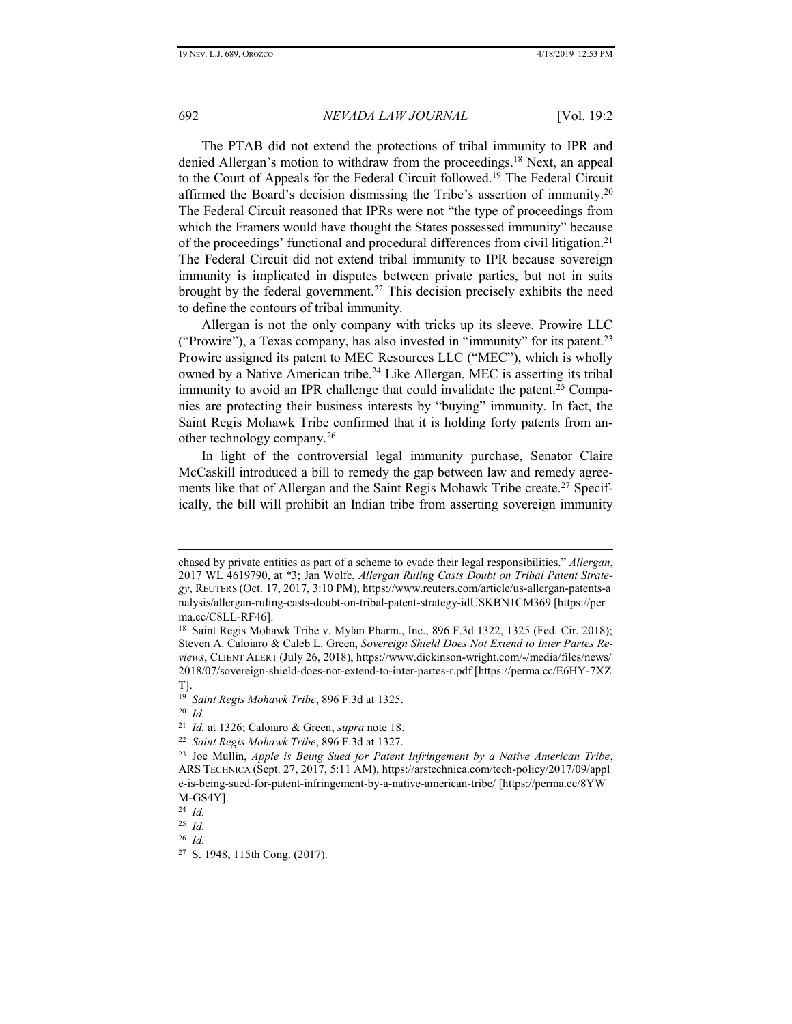The PTAB did not extend the protections of tribal immunity to IPR and denied Allergan's motion to withdraw from the proceedings.<sup>18</sup> Next, an appeal to the Court of Appeals for the Federal Circuit followed.<sup>19</sup> The Federal Circuit affirmed the Board's decision dismissing the Tribe's assertion of immunity.<sup>20</sup> The Federal Circuit reasoned that IPRs were not "the type of proceedings from which the Framers would have thought the States possessed immunity" because of the proceedings' functional and procedural differences from civil litigation.<sup>21</sup> The Federal Circuit did not extend tribal immunity to IPR because sovereign immunity is implicated in disputes between private parties, but not in suits brought by the federal government. <sup>22</sup> This decision precisely exhibits the need to define the contours of tribal immunity.

Allergan is not the only company with tricks up its sleeve. Prowire LLC ("Prowire"), a Texas company, has also invested in "immunity" for its patent.<sup>23</sup> Prowire assigned its patent to MEC Resources LLC ("MEC"), which is wholly owned by a Native American tribe.<sup>24</sup> Like Allergan, MEC is asserting its tribal immunity to avoid an IPR challenge that could invalidate the patent.<sup>25</sup> Companies are protecting their business interests by "buying" immunity. In fact, the Saint Regis Mohawk Tribe confirmed that it is holding forty patents from another technology company.<sup>26</sup>

In light of the controversial legal immunity purchase, Senator Claire McCaskill introduced a bill to remedy the gap between law and remedy agreements like that of Allergan and the Saint Regis Mohawk Tribe create.<sup>27</sup> Specifically, the bill will prohibit an Indian tribe from asserting sovereign immunity

20 *Id.*

 $\overline{a}$ 

22 *Saint Regis Mohawk Tribe*, 896 F.3d at 1327.

26 *Id.*

chased by private entities as part of a scheme to evade their legal responsibilities." *Allergan*, 2017 WL 4619790, at \*3; Jan Wolfe, *Allergan Ruling Casts Doubt on Tribal Patent Strategy*, REUTERS (Oct. 17, 2017, 3:10 PM), https://www.reuters.com/article/us-allergan-patents-a nalysis/allergan-ruling-casts-doubt-on-tribal-patent-strategy-idUSKBN1CM369 [https://per ma.cc/C8LL-RF46].

<sup>18</sup> Saint Regis Mohawk Tribe v. Mylan Pharm., Inc., 896 F.3d 1322, 1325 (Fed. Cir. 2018); Steven A. Caloiaro & Caleb L. Green, *Sovereign Shield Does Not Extend to Inter Partes Reviews*, CLIENT ALERT (July 26, 2018), https://www.dickinson-wright.com/-/media/files/news/ 2018/07/sovereign-shield-does-not-extend-to-inter-partes-r.pdf [https://perma.cc/E6HY-7XZ T].

<sup>19</sup> *Saint Regis Mohawk Tribe*, 896 F.3d at 1325.

<sup>21</sup> *Id.* at 1326; Caloiaro & Green, *supra* note 18.

<sup>23</sup> Joe Mullin, *Apple is Being Sued for Patent Infringement by a Native American Tribe*, ARS TECHNICA (Sept. 27, 2017, 5:11 AM), https://arstechnica.com/tech-policy/2017/09/appl e-is-being-sued-for-patent-infringement-by-a-native-american-tribe/ [https://perma.cc/8YW M-GS4Y].

<sup>24</sup> *Id.*

<sup>25</sup> *Id.*

<sup>27</sup> S. 1948, 115th Cong. (2017).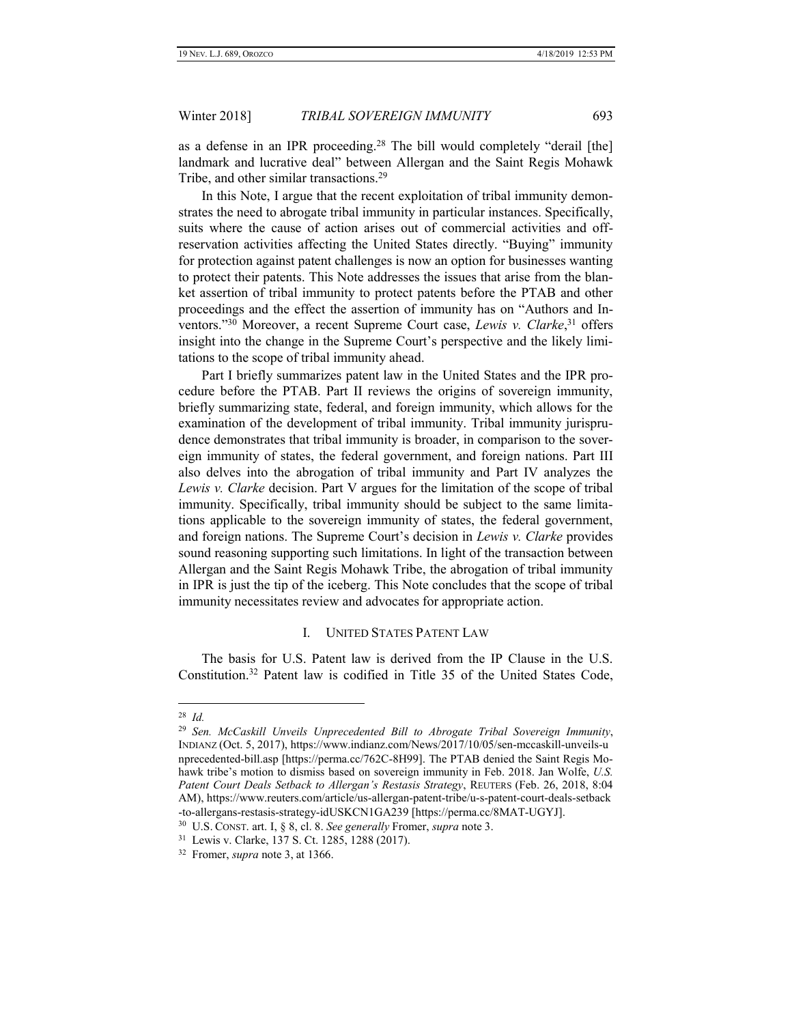as a defense in an IPR proceeding.<sup>28</sup> The bill would completely "derail [the] landmark and lucrative deal" between Allergan and the Saint Regis Mohawk Tribe, and other similar transactions.<sup>29</sup>

In this Note, I argue that the recent exploitation of tribal immunity demonstrates the need to abrogate tribal immunity in particular instances. Specifically, suits where the cause of action arises out of commercial activities and offreservation activities affecting the United States directly. "Buying" immunity for protection against patent challenges is now an option for businesses wanting to protect their patents. This Note addresses the issues that arise from the blanket assertion of tribal immunity to protect patents before the PTAB and other proceedings and the effect the assertion of immunity has on "Authors and Inventors." <sup>30</sup> Moreover, a recent Supreme Court case, *Lewis v. Clarke*, <sup>31</sup> offers insight into the change in the Supreme Court's perspective and the likely limitations to the scope of tribal immunity ahead.

Part I briefly summarizes patent law in the United States and the IPR procedure before the PTAB. Part II reviews the origins of sovereign immunity, briefly summarizing state, federal, and foreign immunity, which allows for the examination of the development of tribal immunity. Tribal immunity jurisprudence demonstrates that tribal immunity is broader, in comparison to the sovereign immunity of states, the federal government, and foreign nations. Part III also delves into the abrogation of tribal immunity and Part IV analyzes the *Lewis v. Clarke* decision. Part V argues for the limitation of the scope of tribal immunity. Specifically, tribal immunity should be subject to the same limitations applicable to the sovereign immunity of states, the federal government, and foreign nations. The Supreme Court's decision in *Lewis v. Clarke* provides sound reasoning supporting such limitations. In light of the transaction between Allergan and the Saint Regis Mohawk Tribe, the abrogation of tribal immunity in IPR is just the tip of the iceberg. This Note concludes that the scope of tribal immunity necessitates review and advocates for appropriate action.

# I. UNITED STATES PATENT LAW

<span id="page-4-0"></span>The basis for U.S. Patent law is derived from the IP Clause in the U.S. Constitution.<sup>32</sup> Patent law is codified in Title 35 of the United States Code,

<sup>28</sup> *Id.*

<sup>29</sup> *Sen. McCaskill Unveils Unprecedented Bill to Abrogate Tribal Sovereign Immunity*, INDIANZ (Oct. 5, 2017), https://www.indianz.com/News/2017/10/05/sen-mccaskill-unveils-u nprecedented-bill.asp [https://perma.cc/762C-8H99]. The PTAB denied the Saint Regis Mohawk tribe's motion to dismiss based on sovereign immunity in Feb. 2018. Jan Wolfe, *U.S. Patent Court Deals Setback to Allergan's Restasis Strategy*, REUTERS (Feb. 26, 2018, 8:04 AM), https://www.reuters.com/article/us-allergan-patent-tribe/u-s-patent-court-deals-setback -to-allergans-restasis-strategy-idUSKCN1GA239 [https://perma.cc/8MAT-UGYJ].

<sup>30</sup> U.S. CONST. art. I, § 8, cl. 8. *See generally* Fromer, *supra* note 3.

<sup>31</sup> Lewis v. Clarke, 137 S. Ct. 1285, 1288 (2017).

<sup>32</sup> Fromer, *supra* note 3, at 1366.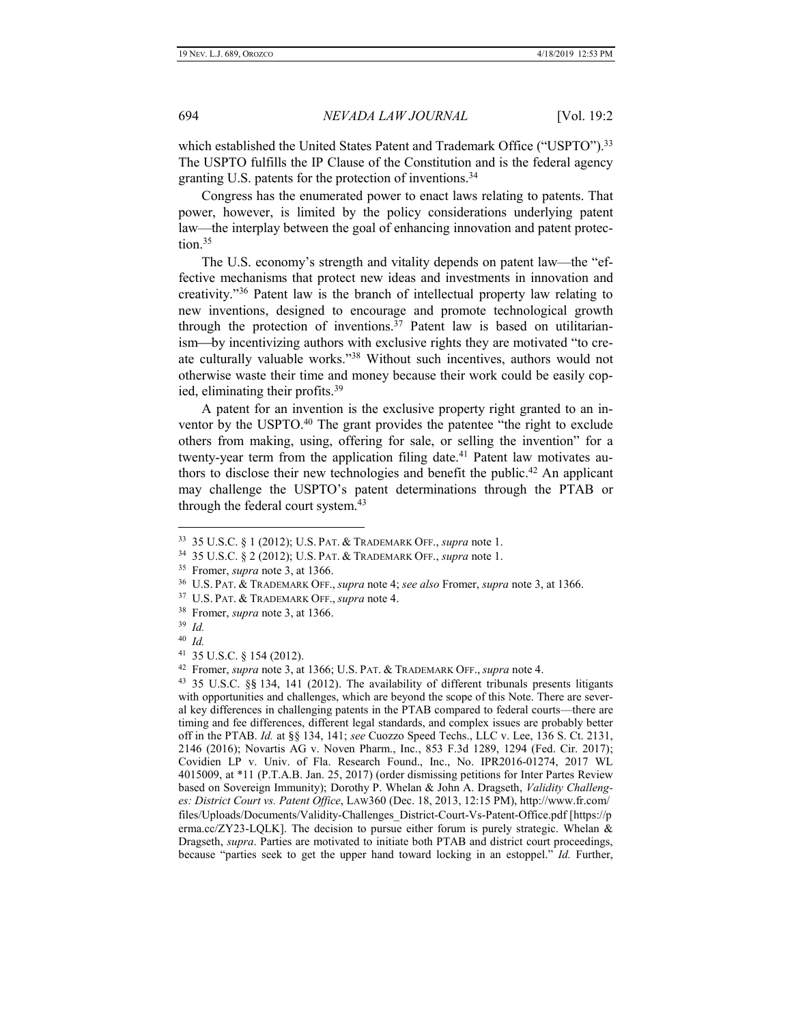which established the United States Patent and Trademark Office ("USPTO").<sup>33</sup> The USPTO fulfills the IP Clause of the Constitution and is the federal agency granting U.S. patents for the protection of inventions.<sup>34</sup>

Congress has the enumerated power to enact laws relating to patents. That power, however, is limited by the policy considerations underlying patent law—the interplay between the goal of enhancing innovation and patent protection.<sup>35</sup>

The U.S. economy's strength and vitality depends on patent law—the "effective mechanisms that protect new ideas and investments in innovation and creativity."<sup>36</sup> Patent law is the branch of intellectual property law relating to new inventions, designed to encourage and promote technological growth through the protection of inventions.<sup>37</sup> Patent law is based on utilitarianism—by incentivizing authors with exclusive rights they are motivated "to create culturally valuable works."<sup>38</sup> Without such incentives, authors would not otherwise waste their time and money because their work could be easily copied, eliminating their profits.<sup>39</sup>

A patent for an invention is the exclusive property right granted to an inventor by the USPTO.<sup>40</sup> The grant provides the patentee "the right to exclude" others from making, using, offering for sale, or selling the invention" for a twenty-year term from the application filing date.<sup>41</sup> Patent law motivates authors to disclose their new technologies and benefit the public.<sup>42</sup> An applicant may challenge the USPTO's patent determinations through the PTAB or through the federal court system.<sup>43</sup>

<sup>33</sup> 35 U.S.C. § 1 (2012); U.S. PAT. & TRADEMARK OFF., *supra* note 1.

<sup>34</sup> 35 U.S.C. § 2 (2012); U.S. PAT. & TRADEMARK OFF., *supra* note 1.

<sup>35</sup> Fromer, *supra* note 3, at 1366.

<sup>36</sup> U.S. PAT. & TRADEMARK OFF., *supra* note 4; *see also* Fromer, *supra* note 3, at 1366.

<sup>37</sup> U.S. PAT. & TRADEMARK OFF., *supra* note 4.

<sup>38</sup> Fromer, *supra* note 3, at 1366.

<sup>39</sup> *Id.*

<sup>40</sup> *Id.*

<sup>41</sup> 35 U.S.C. § 154 (2012).

<sup>42</sup> Fromer, *supra* note 3, at 1366; U.S. PAT. & TRADEMARK OFF., *supra* note 4.

<sup>43</sup> 35 U.S.C. §§ 134, 141 (2012). The availability of different tribunals presents litigants with opportunities and challenges, which are beyond the scope of this Note. There are several key differences in challenging patents in the PTAB compared to federal courts—there are timing and fee differences, different legal standards, and complex issues are probably better off in the PTAB. *Id.* at §§ 134, 141; *see* Cuozzo Speed Techs., LLC v. Lee, 136 S. Ct. 2131, 2146 (2016); Novartis AG v. Noven Pharm., Inc., 853 F.3d 1289, 1294 (Fed. Cir. 2017); Covidien LP v. Univ. of Fla. Research Found., Inc., No. IPR2016-01274, 2017 WL 4015009, at \*11 (P.T.A.B. Jan. 25, 2017) (order dismissing petitions for Inter Partes Review based on Sovereign Immunity); Dorothy P. Whelan & John A. Dragseth, *Validity Challenges: District Court vs. Patent Office*, LAW360 (Dec. 18, 2013, 12:15 PM), http://www.fr.com/ files/Uploads/Documents/Validity-Challenges\_District-Court-Vs-Patent-Office.pdf [https://p erma.cc/ZY23-LQLK]. The decision to pursue either forum is purely strategic. Whelan & Dragseth, *supra*. Parties are motivated to initiate both PTAB and district court proceedings, because "parties seek to get the upper hand toward locking in an estoppel." *Id.* Further,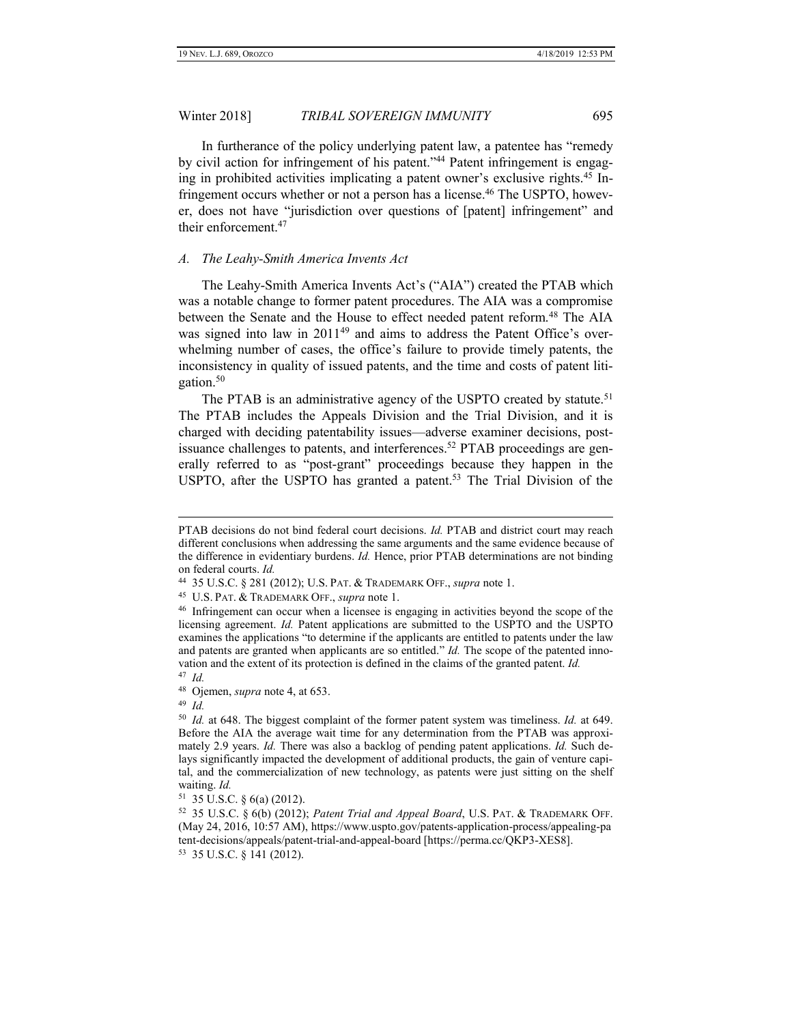In furtherance of the policy underlying patent law, a patentee has "remedy by civil action for infringement of his patent."<sup>44</sup> Patent infringement is engaging in prohibited activities implicating a patent owner's exclusive rights.<sup>45</sup> Infringement occurs whether or not a person has a license.<sup>46</sup> The USPTO, however, does not have "jurisdiction over questions of [patent] infringement" and their enforcement.<sup>47</sup>

#### <span id="page-6-0"></span>*A. The Leahy-Smith America Invents Act*

The Leahy-Smith America Invents Act's ("AIA") created the PTAB which was a notable change to former patent procedures. The AIA was a compromise between the Senate and the House to effect needed patent reform.<sup>48</sup> The AIA was signed into law in 2011<sup>49</sup> and aims to address the Patent Office's overwhelming number of cases, the office's failure to provide timely patents, the inconsistency in quality of issued patents, and the time and costs of patent litigation.<sup>50</sup>

The PTAB is an administrative agency of the USPTO created by statute.<sup>51</sup> The PTAB includes the Appeals Division and the Trial Division, and it is charged with deciding patentability issues—adverse examiner decisions, postissuance challenges to patents, and interferences. <sup>52</sup> PTAB proceedings are generally referred to as "post-grant" proceedings because they happen in the USPTO, after the USPTO has granted a patent. <sup>53</sup> The Trial Division of the

47 *Id.*

 $\overline{a}$ 

49 *Id.*

PTAB decisions do not bind federal court decisions. *Id.* PTAB and district court may reach different conclusions when addressing the same arguments and the same evidence because of the difference in evidentiary burdens. *Id.* Hence, prior PTAB determinations are not binding on federal courts. *Id.*

<sup>44</sup> 35 U.S.C. § 281 (2012); U.S. PAT. & TRADEMARK OFF., *supra* note 1.

<sup>45</sup> U.S. PAT. & TRADEMARK OFF., *supra* note 1.

<sup>46</sup> Infringement can occur when a licensee is engaging in activities beyond the scope of the licensing agreement. *Id.* Patent applications are submitted to the USPTO and the USPTO examines the applications "to determine if the applicants are entitled to patents under the law and patents are granted when applicants are so entitled." *Id.* The scope of the patented innovation and the extent of its protection is defined in the claims of the granted patent. *Id.*

<sup>48</sup> Ojemen, *supra* note 4, at 653.

<sup>50</sup> *Id.* at 648. The biggest complaint of the former patent system was timeliness. *Id.* at 649. Before the AIA the average wait time for any determination from the PTAB was approximately 2.9 years. *Id.* There was also a backlog of pending patent applications. *Id.* Such delays significantly impacted the development of additional products, the gain of venture capital, and the commercialization of new technology, as patents were just sitting on the shelf waiting. *Id.*

 $51$  35 U.S.C. § 6(a) (2012).

<sup>52</sup> 35 U.S.C. § 6(b) (2012); *Patent Trial and Appeal Board*, U.S. PAT. & TRADEMARK OFF. (May 24, 2016, 10:57 AM), https://www.uspto.gov/patents-application-process/appealing-pa tent-decisions/appeals/patent-trial-and-appeal-board [https://perma.cc/QKP3-XES8]. 53 35 U.S.C. § 141 (2012).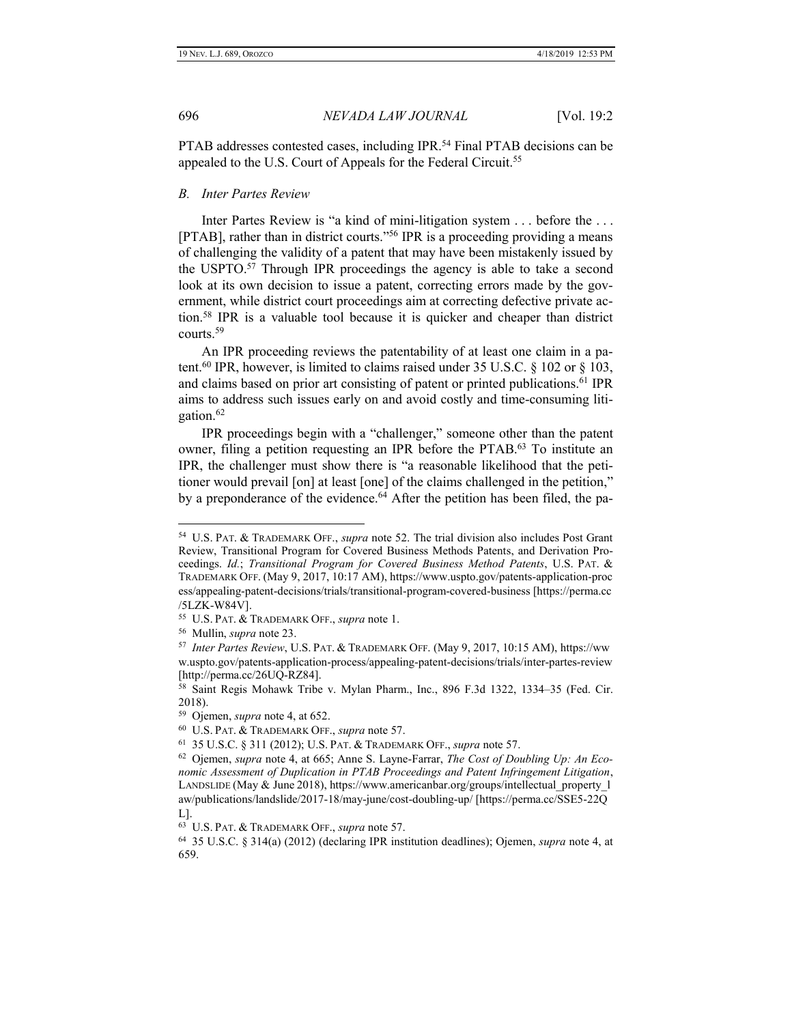PTAB addresses contested cases, including IPR.<sup>54</sup> Final PTAB decisions can be appealed to the U.S. Court of Appeals for the Federal Circuit.<sup>55</sup>

#### <span id="page-7-0"></span>*B. Inter Partes Review*

Inter Partes Review is "a kind of mini-litigation system . . . before the . . . [PTAB], rather than in district courts." <sup>56</sup> IPR is a proceeding providing a means of challenging the validity of a patent that may have been mistakenly issued by the USPTO.<sup>57</sup> Through IPR proceedings the agency is able to take a second look at its own decision to issue a patent, correcting errors made by the government, while district court proceedings aim at correcting defective private action.<sup>58</sup> IPR is a valuable tool because it is quicker and cheaper than district courts.<sup>59</sup>

An IPR proceeding reviews the patentability of at least one claim in a patent.<sup>60</sup> IPR, however, is limited to claims raised under  $35 \text{ U.S.C. }$  §  $102 \text{ or }$  §  $103$ , and claims based on prior art consisting of patent or printed publications. <sup>61</sup> IPR aims to address such issues early on and avoid costly and time-consuming litigation.<sup>62</sup>

IPR proceedings begin with a "challenger," someone other than the patent owner, filing a petition requesting an IPR before the PTAB.<sup>63</sup> To institute an IPR, the challenger must show there is "a reasonable likelihood that the petitioner would prevail [on] at least [one] of the claims challenged in the petition," by a preponderance of the evidence.<sup>64</sup> After the petition has been filed, the pa-

<sup>54</sup> U.S. PAT. & TRADEMARK OFF., *supra* note 52. The trial division also includes Post Grant Review, Transitional Program for Covered Business Methods Patents, and Derivation Proceedings. *Id.*; *Transitional Program for Covered Business Method Patents*, U.S. PAT. & TRADEMARK OFF. (May 9, 2017, 10:17 AM), https://www.uspto.gov/patents-application-proc ess/appealing-patent-decisions/trials/transitional-program-covered-business [https://perma.cc /5LZK-W84V].

<sup>55</sup> U.S. PAT. & TRADEMARK OFF., *supra* note 1.

<sup>56</sup> Mullin, *supra* note 23.

<sup>57</sup> *Inter Partes Review*, U.S. PAT. & TRADEMARK OFF. (May 9, 2017, 10:15 AM), https://ww w.uspto.gov/patents-application-process/appealing-patent-decisions/trials/inter-partes-review [http://perma.cc/26UQ-RZ84].

<sup>58</sup> Saint Regis Mohawk Tribe v. Mylan Pharm., Inc., 896 F.3d 1322, 1334–35 (Fed. Cir. 2018).

<sup>59</sup> Ojemen, *supra* note 4, at 652.

<sup>60</sup> U.S. PAT. & TRADEMARK OFF., *supra* note 57.

<sup>61</sup> 35 U.S.C. § 311 (2012); U.S. PAT. & TRADEMARK OFF., *supra* note 57.

<sup>62</sup> Ojemen, *supra* note 4, at 665; Anne S. Layne-Farrar, *The Cost of Doubling Up: An Economic Assessment of Duplication in PTAB Proceedings and Patent Infringement Litigation*, LANDSLIDE (May & June 2018), https://www.americanbar.org/groups/intellectual\_property\_l aw/publications/landslide/2017-18/may-june/cost-doubling-up/ [https://perma.cc/SSE5-22Q L].

<sup>63</sup> U.S. PAT. & TRADEMARK OFF., *supra* note 57.

<sup>64</sup> 35 U.S.C. § 314(a) (2012) (declaring IPR institution deadlines); Ojemen, *supra* note 4, at 659.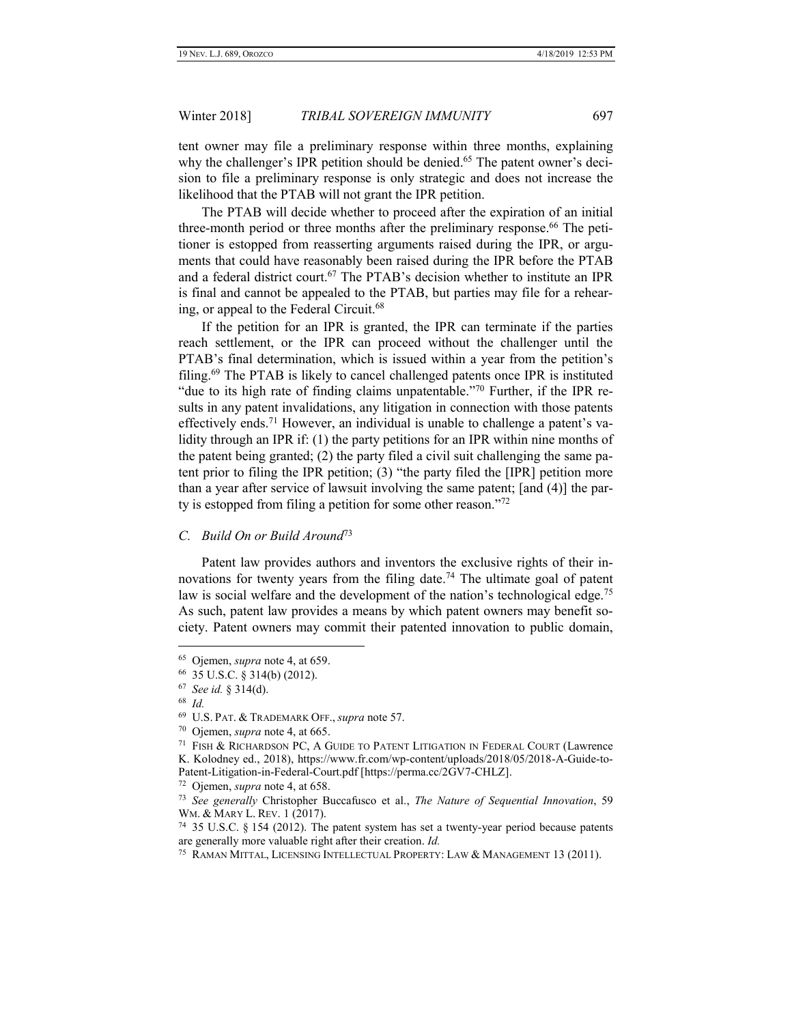tent owner may file a preliminary response within three months, explaining why the challenger's IPR petition should be denied.<sup>65</sup> The patent owner's decision to file a preliminary response is only strategic and does not increase the likelihood that the PTAB will not grant the IPR petition.

The PTAB will decide whether to proceed after the expiration of an initial three-month period or three months after the preliminary response.<sup>66</sup> The petitioner is estopped from reasserting arguments raised during the IPR, or arguments that could have reasonably been raised during the IPR before the PTAB and a federal district court.<sup>67</sup> The PTAB's decision whether to institute an IPR is final and cannot be appealed to the PTAB, but parties may file for a rehearing, or appeal to the Federal Circuit.<sup>68</sup>

If the petition for an IPR is granted, the IPR can terminate if the parties reach settlement, or the IPR can proceed without the challenger until the PTAB's final determination, which is issued within a year from the petition's filing.<sup>69</sup> The PTAB is likely to cancel challenged patents once IPR is instituted "due to its high rate of finding claims unpatentable."<sup>70</sup> Further, if the IPR results in any patent invalidations, any litigation in connection with those patents effectively ends.<sup>71</sup> However, an individual is unable to challenge a patent's validity through an IPR if: (1) the party petitions for an IPR within nine months of the patent being granted; (2) the party filed a civil suit challenging the same patent prior to filing the IPR petition; (3) "the party filed the [IPR] petition more than a year after service of lawsuit involving the same patent; [and (4)] the party is estopped from filing a petition for some other reason."<sup>72</sup>

#### <span id="page-8-0"></span>*C. Build On or Build Around*<sup>73</sup>

Patent law provides authors and inventors the exclusive rights of their innovations for twenty years from the filing date.<sup>74</sup> The ultimate goal of patent law is social welfare and the development of the nation's technological edge.<sup>75</sup> As such, patent law provides a means by which patent owners may benefit society. Patent owners may commit their patented innovation to public domain,

<sup>65</sup> Ojemen, *supra* note 4, at 659.

<sup>66</sup> 35 U.S.C. § 314(b) (2012).

<sup>67</sup> *See id.* § 314(d).

<sup>68</sup> *Id.*

<sup>69</sup> U.S. PAT. & TRADEMARK OFF., *supra* note 57.

<sup>70</sup> Ojemen, *supra* note 4, at 665.

<sup>&</sup>lt;sup>71</sup> FISH & RICHARDSON PC, A GUIDE TO PATENT LITIGATION IN FEDERAL COURT (Lawrence K. Kolodney ed., 2018), https://www.fr.com/wp-content/uploads/2018/05/2018-A-Guide-to-Patent-Litigation-in-Federal-Court.pdf [https://perma.cc/2GV7-CHLZ].

<sup>72</sup> Ojemen, *supra* note 4, at 658.

<sup>73</sup> *See generally* Christopher Buccafusco et al., *The Nature of Sequential Innovation*, 59 WM. & MARY L. REV. 1 (2017).

<sup>74</sup> 35 U.S.C. § 154 (2012). The patent system has set a twenty-year period because patents are generally more valuable right after their creation. *Id.*

<sup>&</sup>lt;sup>75</sup> RAMAN MITTAL, LICENSING INTELLECTUAL PROPERTY: LAW & MANAGEMENT 13 (2011).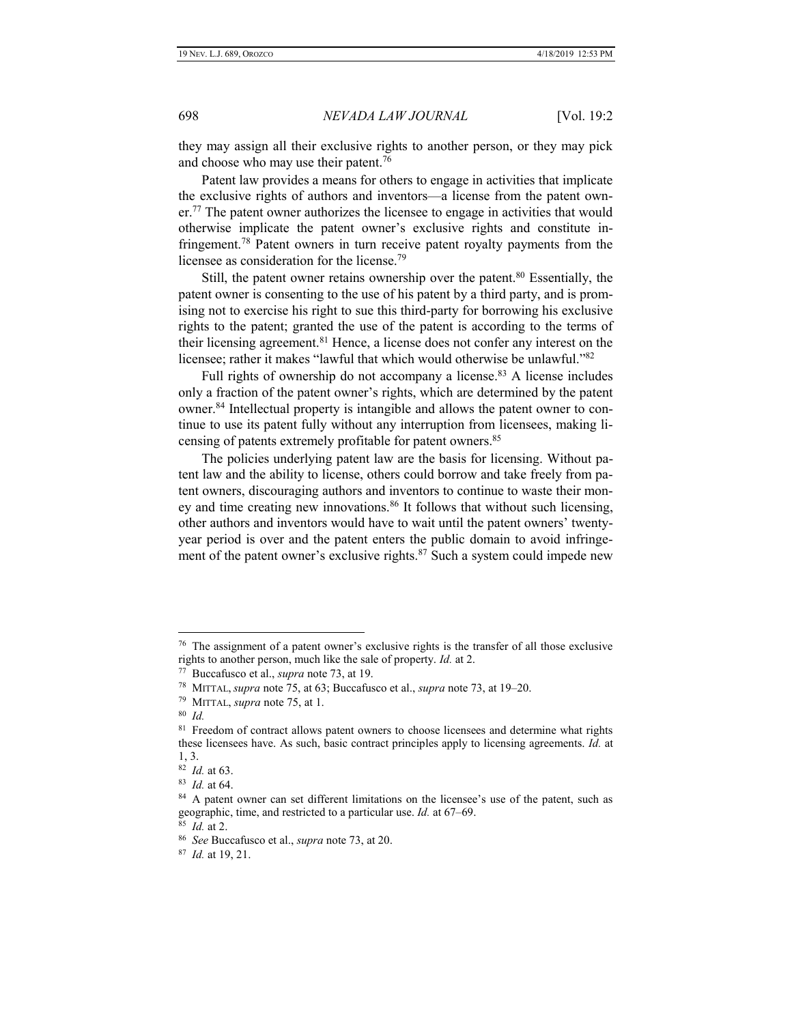they may assign all their exclusive rights to another person, or they may pick and choose who may use their patent.<sup>76</sup>

Patent law provides a means for others to engage in activities that implicate the exclusive rights of authors and inventors—a license from the patent own $er<sup>77</sup>$ . The patent owner authorizes the licensee to engage in activities that would otherwise implicate the patent owner's exclusive rights and constitute infringement.<sup>78</sup> Patent owners in turn receive patent royalty payments from the licensee as consideration for the license.<sup>79</sup>

Still, the patent owner retains ownership over the patent.<sup>80</sup> Essentially, the patent owner is consenting to the use of his patent by a third party, and is promising not to exercise his right to sue this third-party for borrowing his exclusive rights to the patent; granted the use of the patent is according to the terms of their licensing agreement.<sup>81</sup> Hence, a license does not confer any interest on the licensee; rather it makes "lawful that which would otherwise be unlawful."<sup>82</sup>

Full rights of ownership do not accompany a license.<sup>83</sup> A license includes only a fraction of the patent owner's rights, which are determined by the patent owner.<sup>84</sup> Intellectual property is intangible and allows the patent owner to continue to use its patent fully without any interruption from licensees, making licensing of patents extremely profitable for patent owners.<sup>85</sup>

The policies underlying patent law are the basis for licensing. Without patent law and the ability to license, others could borrow and take freely from patent owners, discouraging authors and inventors to continue to waste their money and time creating new innovations.<sup>86</sup> It follows that without such licensing, other authors and inventors would have to wait until the patent owners' twentyyear period is over and the patent enters the public domain to avoid infringement of the patent owner's exclusive rights. $87$  Such a system could impede new

 $76$  The assignment of a patent owner's exclusive rights is the transfer of all those exclusive rights to another person, much like the sale of property. *Id.* at 2.

<sup>77</sup> Buccafusco et al., *supra* note 73, at 19.

<sup>78</sup> MITTAL, *supra* note 75, at 63; Buccafusco et al., *supra* note 73, at 19–20.

<sup>79</sup> MITTAL, *supra* note 75, at 1.

<sup>80</sup> *Id.*

<sup>&</sup>lt;sup>81</sup> Freedom of contract allows patent owners to choose licensees and determine what rights these licensees have. As such, basic contract principles apply to licensing agreements. *Id.* at 1, 3.

<sup>82</sup> *Id.* at 63.

<sup>83</sup> *Id.* at 64.

<sup>&</sup>lt;sup>84</sup> A patent owner can set different limitations on the licensee's use of the patent, such as geographic, time, and restricted to a particular use. *Id.* at 67–69. 85 *Id.* at 2.

<sup>86</sup> *See* Buccafusco et al., *supra* note 73, at 20.

<sup>87</sup> *Id.* at 19, 21.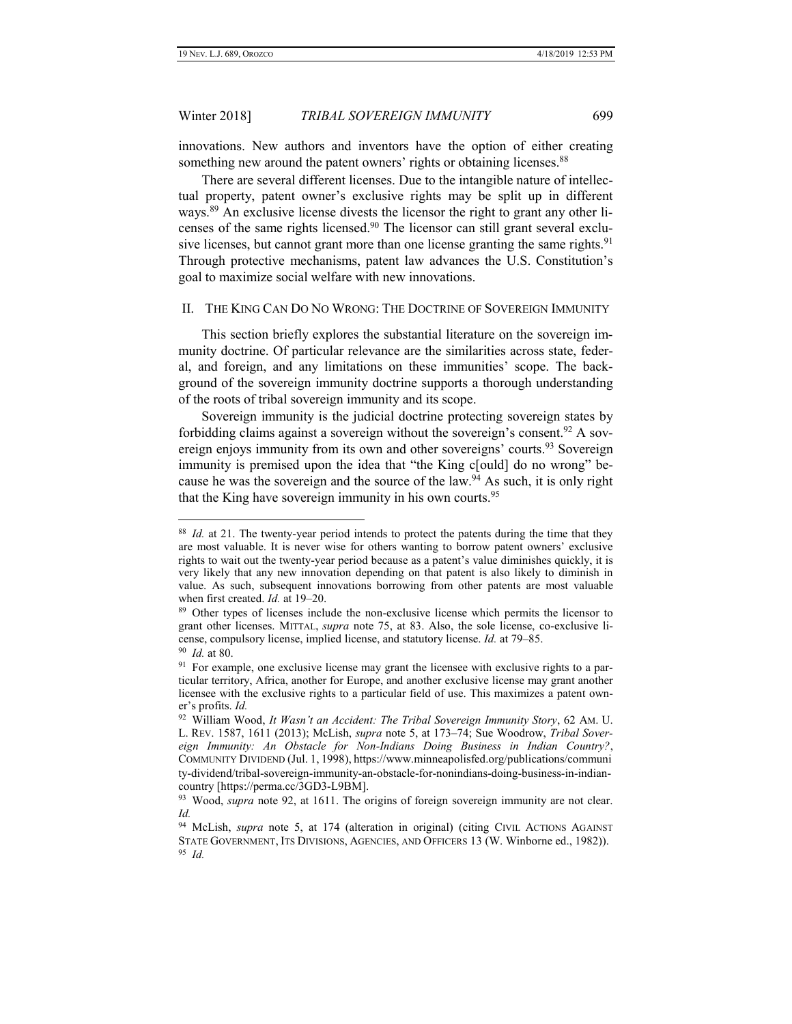innovations. New authors and inventors have the option of either creating something new around the patent owners' rights or obtaining licenses.<sup>88</sup>

There are several different licenses. Due to the intangible nature of intellectual property, patent owner's exclusive rights may be split up in different ways.<sup>89</sup> An exclusive license divests the licensor the right to grant any other licenses of the same rights licensed.<sup>90</sup> The licensor can still grant several exclusive licenses, but cannot grant more than one license granting the same rights.<sup>91</sup> Through protective mechanisms, patent law advances the U.S. Constitution's goal to maximize social welfare with new innovations.

#### <span id="page-10-0"></span>II. THE KING CAN DO NO WRONG: THE DOCTRINE OF SOVEREIGN IMMUNITY

This section briefly explores the substantial literature on the sovereign immunity doctrine. Of particular relevance are the similarities across state, federal, and foreign, and any limitations on these immunities' scope. The background of the sovereign immunity doctrine supports a thorough understanding of the roots of tribal sovereign immunity and its scope.

Sovereign immunity is the judicial doctrine protecting sovereign states by forbidding claims against a sovereign without the sovereign's consent.  $92$  A sovereign enjoys immunity from its own and other sovereigns' courts.<sup>93</sup> Sovereign immunity is premised upon the idea that "the King c[ould] do no wrong" because he was the sovereign and the source of the law.<sup>94</sup> As such, it is only right that the King have sovereign immunity in his own courts.<sup>95</sup>

<sup>88</sup> *Id.* at 21. The twenty-year period intends to protect the patents during the time that they are most valuable. It is never wise for others wanting to borrow patent owners' exclusive rights to wait out the twenty-year period because as a patent's value diminishes quickly, it is very likely that any new innovation depending on that patent is also likely to diminish in value. As such, subsequent innovations borrowing from other patents are most valuable when first created. *Id.* at 19–20.

<sup>&</sup>lt;sup>89</sup> Other types of licenses include the non-exclusive license which permits the licensor to grant other licenses. MITTAL, *supra* note 75, at 83. Also, the sole license, co-exclusive license, compulsory license, implied license, and statutory license. *Id.* at 79–85.

<sup>90</sup> *Id.* at 80.

<sup>&</sup>lt;sup>91</sup> For example, one exclusive license may grant the licensee with exclusive rights to a particular territory, Africa, another for Europe, and another exclusive license may grant another licensee with the exclusive rights to a particular field of use. This maximizes a patent owner's profits. *Id.*

<sup>92</sup> William Wood, *It Wasn't an Accident: The Tribal Sovereign Immunity Story*, 62 AM. U. L. REV. 1587, 1611 (2013); McLish, *supra* note 5, at 173–74; Sue Woodrow, *Tribal Sovereign Immunity: An Obstacle for Non-Indians Doing Business in Indian Country?*, COMMUNITY DIVIDEND (Jul. 1, 1998), https://www.minneapolisfed.org/publications/communi ty-dividend/tribal-sovereign-immunity-an-obstacle-for-nonindians-doing-business-in-indiancountry [https://perma.cc/3GD3-L9BM].

<sup>&</sup>lt;sup>93</sup> Wood, *supra* note 92, at 1611. The origins of foreign sovereign immunity are not clear. *Id.*

<sup>&</sup>lt;sup>94</sup> McLish, *supra* note 5, at 174 (alteration in original) (citing CIVIL ACTIONS AGAINST STATE GOVERNMENT, ITS DIVISIONS, AGENCIES, AND OFFICERS 13 (W. Winborne ed., 1982)). 95 *Id.*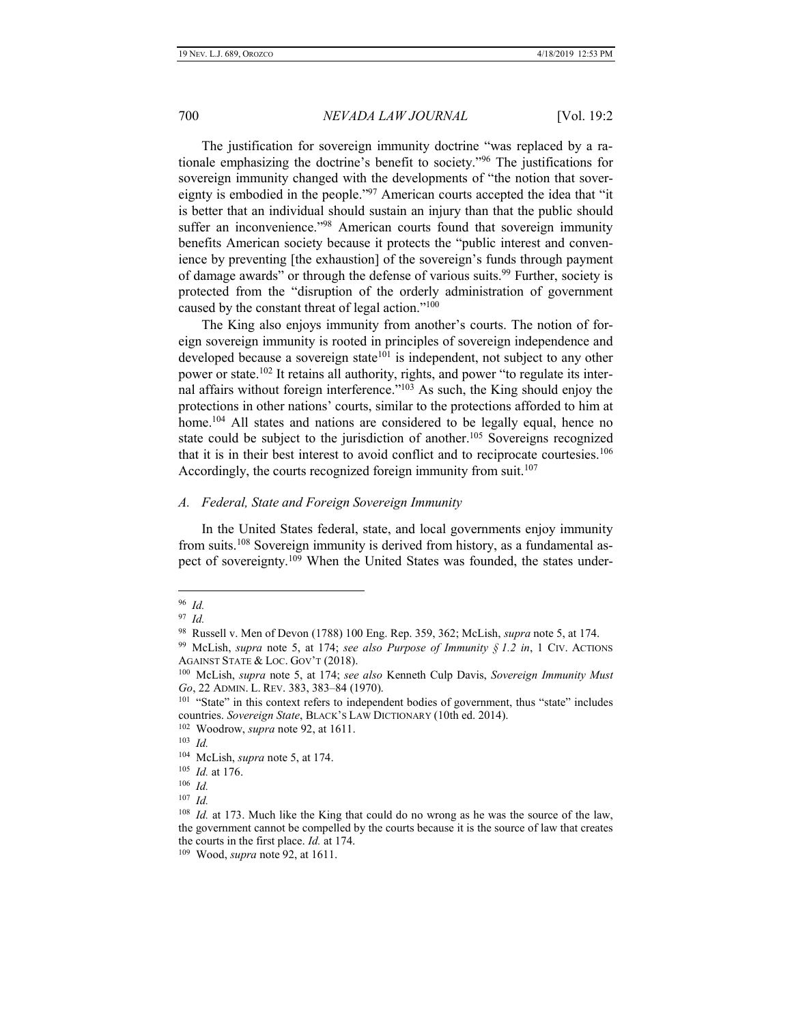The justification for sovereign immunity doctrine "was replaced by a rationale emphasizing the doctrine's benefit to society." <sup>96</sup> The justifications for sovereign immunity changed with the developments of "the notion that sovereignty is embodied in the people."<sup>97</sup> American courts accepted the idea that "it is better that an individual should sustain an injury than that the public should suffer an inconvenience."<sup>98</sup> American courts found that sovereign immunity benefits American society because it protects the "public interest and convenience by preventing [the exhaustion] of the sovereign's funds through payment of damage awards" or through the defense of various suits.<sup>99</sup> Further, society is protected from the "disruption of the orderly administration of government caused by the constant threat of legal action."<sup>100</sup>

The King also enjoys immunity from another's courts. The notion of foreign sovereign immunity is rooted in principles of sovereign independence and developed because a sovereign state<sup>101</sup> is independent, not subject to any other power or state.<sup>102</sup> It retains all authority, rights, and power "to regulate its internal affairs without foreign interference." <sup>103</sup> As such, the King should enjoy the protections in other nations' courts, similar to the protections afforded to him at home.<sup>104</sup> All states and nations are considered to be legally equal, hence no state could be subject to the jurisdiction of another.<sup>105</sup> Sovereigns recognized that it is in their best interest to avoid conflict and to reciprocate courtesies.<sup>106</sup> Accordingly, the courts recognized foreign immunity from suit.<sup>107</sup>

#### <span id="page-11-0"></span>*A. Federal, State and Foreign Sovereign Immunity*

In the United States federal, state, and local governments enjoy immunity from suits.<sup>108</sup> Sovereign immunity is derived from history, as a fundamental aspect of sovereignty.<sup>109</sup> When the United States was founded, the states under-

<sup>96</sup> *Id.*

<sup>97</sup> *Id.*

<sup>98</sup> Russell v. Men of Devon (1788) 100 Eng. Rep. 359, 362; McLish, *supra* note 5, at 174.

<sup>99</sup> McLish, *supra* note 5, at 174; *see also Purpose of Immunity § 1.2 in*, 1 CIV. ACTIONS AGAINST STATE & LOC. GOV'T (2018).

<sup>100</sup> McLish, *supra* note 5, at 174; *see also* Kenneth Culp Davis, *Sovereign Immunity Must Go*, 22 ADMIN. L. REV. 383, 383–84 (1970).

<sup>&</sup>lt;sup>101</sup> "State" in this context refers to independent bodies of government, thus "state" includes countries. *Sovereign State*, BLACK'S LAW DICTIONARY (10th ed. 2014).

<sup>102</sup> Woodrow, *supra* note 92, at 1611.

<sup>103</sup> *Id.*

<sup>104</sup> McLish, *supra* note 5, at 174.

<sup>105</sup> *Id.* at 176.

<sup>106</sup> *Id.*

<sup>107</sup> *Id.*

<sup>108</sup> *Id.* at 173. Much like the King that could do no wrong as he was the source of the law, the government cannot be compelled by the courts because it is the source of law that creates the courts in the first place. *Id.* at 174.

<sup>109</sup> Wood, *supra* note 92, at 1611.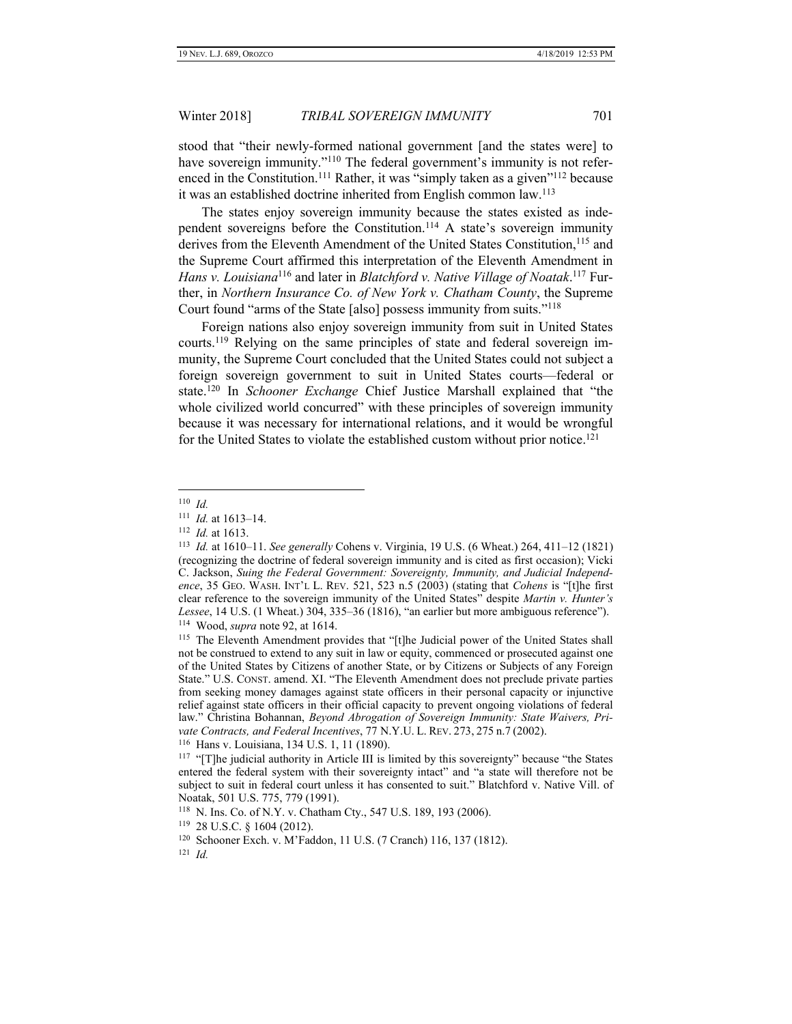stood that "their newly-formed national government [and the states were] to have sovereign immunity."<sup>110</sup> The federal government's immunity is not referenced in the Constitution.<sup>111</sup> Rather, it was "simply taken as a given"<sup>112</sup> because it was an established doctrine inherited from English common law.<sup>113</sup>

The states enjoy sovereign immunity because the states existed as independent sovereigns before the Constitution.<sup>114</sup> A state's sovereign immunity derives from the Eleventh Amendment of the United States Constitution,<sup>115</sup> and the Supreme Court affirmed this interpretation of the Eleventh Amendment in *Hans v. Louisiana*<sup>116</sup> and later in *Blatchford v. Native Village of Noatak*. <sup>117</sup> Further, in *Northern Insurance Co. of New York v. Chatham County*, the Supreme Court found "arms of the State [also] possess immunity from suits."<sup>118</sup>

Foreign nations also enjoy sovereign immunity from suit in United States courts.<sup>119</sup> Relying on the same principles of state and federal sovereign immunity, the Supreme Court concluded that the United States could not subject a foreign sovereign government to suit in United States courts—federal or state.<sup>120</sup> In *Schooner Exchange* Chief Justice Marshall explained that "the whole civilized world concurred" with these principles of sovereign immunity because it was necessary for international relations, and it would be wrongful for the United States to violate the established custom without prior notice.<sup>121</sup>

116 Hans v. Louisiana, 134 U.S. 1, 11 (1890).

 110 *Id.*

<sup>111</sup> *Id.* at 1613–14.

<sup>112</sup> *Id.* at 1613.

<sup>113</sup> *Id.* at 1610–11. *See generally* Cohens v. Virginia, 19 U.S. (6 Wheat.) 264, 411–12 (1821) (recognizing the doctrine of federal sovereign immunity and is cited as first occasion); Vicki C. Jackson, *Suing the Federal Government: Sovereignty, Immunity, and Judicial Independence*, 35 GEO. WASH. INT'L L. REV. 521, 523 n.5 (2003) (stating that *Cohens* is "[t]he first clear reference to the sovereign immunity of the United States" despite *Martin v. Hunter's Lessee*, 14 U.S. (1 Wheat.) 304, 335–36 (1816), "an earlier but more ambiguous reference"). <sup>114</sup> Wood, *supra* note 92, at 1614.

<sup>&</sup>lt;sup>115</sup> The Eleventh Amendment provides that "[t]he Judicial power of the United States shall not be construed to extend to any suit in law or equity, commenced or prosecuted against one of the United States by Citizens of another State, or by Citizens or Subjects of any Foreign State." U.S. CONST. amend. XI. "The Eleventh Amendment does not preclude private parties from seeking money damages against state officers in their personal capacity or injunctive relief against state officers in their official capacity to prevent ongoing violations of federal law." Christina Bohannan, *Beyond Abrogation of Sovereign Immunity: State Waivers, Private Contracts, and Federal Incentives*, 77 N.Y.U. L. REV. 273, 275 n.7 (2002).

<sup>&</sup>lt;sup>117</sup> "[T]he judicial authority in Article III is limited by this sovereignty" because "the States" entered the federal system with their sovereignty intact" and "a state will therefore not be subject to suit in federal court unless it has consented to suit." Blatchford v. Native Vill. of Noatak, 501 U.S. 775, 779 (1991).

<sup>118</sup> N. Ins. Co. of N.Y. v. Chatham Cty., 547 U.S. 189, 193 (2006).

<sup>119</sup> 28 U.S.C. § 1604 (2012).

<sup>120</sup> Schooner Exch. v. M'Faddon, 11 U.S. (7 Cranch) 116, 137 (1812).

<sup>121</sup> *Id.*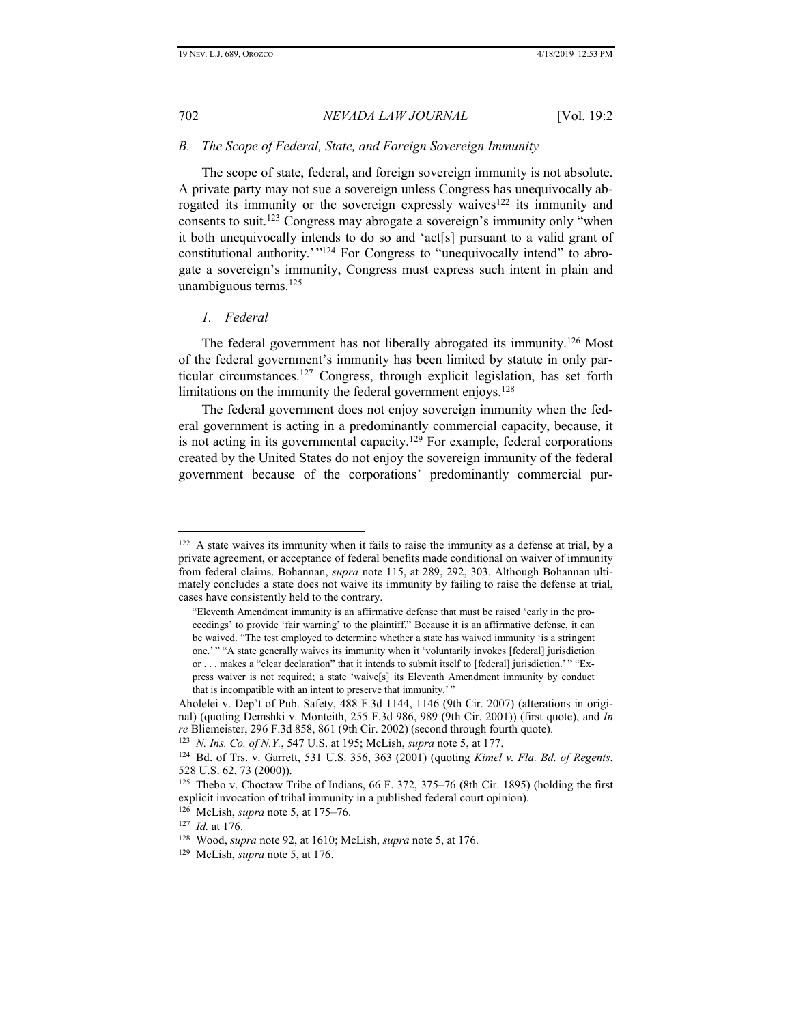#### <span id="page-13-0"></span>*B. The Scope of Federal, State, and Foreign Sovereign Immunity*

The scope of state, federal, and foreign sovereign immunity is not absolute. A private party may not sue a sovereign unless Congress has unequivocally abrogated its immunity or the sovereign expressly waives<sup>122</sup> its immunity and consents to suit.<sup>123</sup> Congress may abrogate a sovereign's immunity only "when it both unequivocally intends to do so and 'act[s] pursuant to a valid grant of constitutional authority.'"<sup>124</sup> For Congress to "unequivocally intend" to abrogate a sovereign's immunity, Congress must express such intent in plain and unambiguous terms.<sup>125</sup>

#### <span id="page-13-1"></span>*1. Federal*

The federal government has not liberally abrogated its immunity.<sup>126</sup> Most of the federal government's immunity has been limited by statute in only particular circumstances.<sup>127</sup> Congress, through explicit legislation, has set forth limitations on the immunity the federal government enjoys.<sup>128</sup>

The federal government does not enjoy sovereign immunity when the federal government is acting in a predominantly commercial capacity, because, it is not acting in its governmental capacity.<sup>129</sup> For example, federal corporations created by the United States do not enjoy the sovereign immunity of the federal government because of the corporations' predominantly commercial pur-

<sup>&</sup>lt;sup>122</sup> A state waives its immunity when it fails to raise the immunity as a defense at trial, by a private agreement, or acceptance of federal benefits made conditional on waiver of immunity from federal claims. Bohannan, *supra* note 115, at 289, 292, 303. Although Bohannan ultimately concludes a state does not waive its immunity by failing to raise the defense at trial, cases have consistently held to the contrary.

<sup>&</sup>quot;Eleventh Amendment immunity is an affirmative defense that must be raised 'early in the proceedings' to provide 'fair warning' to the plaintiff." Because it is an affirmative defense, it can be waived. "The test employed to determine whether a state has waived immunity 'is a stringent one.' " "A state generally waives its immunity when it 'voluntarily invokes [federal] jurisdiction or . . . makes a "clear declaration" that it intends to submit itself to [federal] jurisdiction.' " "Express waiver is not required; a state 'waive[s] its Eleventh Amendment immunity by conduct that is incompatible with an intent to preserve that immunity.'

Aholelei v. Dep't of Pub. Safety, 488 F.3d 1144, 1146 (9th Cir. 2007) (alterations in original) (quoting Demshki v. Monteith, 255 F.3d 986, 989 (9th Cir. 2001)) (first quote), and *In re* Bliemeister, 296 F.3d 858, 861 (9th Cir. 2002) (second through fourth quote).

<sup>123</sup> *N. Ins. Co. of N.Y.*, 547 U.S. at 195; McLish, *supra* note 5, at 177.

<sup>124</sup> Bd. of Trs. v. Garrett, 531 U.S. 356, 363 (2001) (quoting *Kimel v. Fla. Bd. of Regents*, 528 U.S. 62, 73 (2000)).

<sup>&</sup>lt;sup>125</sup> Thebo v. Choctaw Tribe of Indians, 66 F. 372, 375–76 (8th Cir. 1895) (holding the first explicit invocation of tribal immunity in a published federal court opinion).

<sup>126</sup> McLish, *supra* note 5, at 175–76.

<sup>127</sup> *Id.* at 176.

<sup>128</sup> Wood, *supra* note 92, at 1610; McLish, *supra* note 5, at 176.

<sup>129</sup> McLish, *supra* note 5, at 176.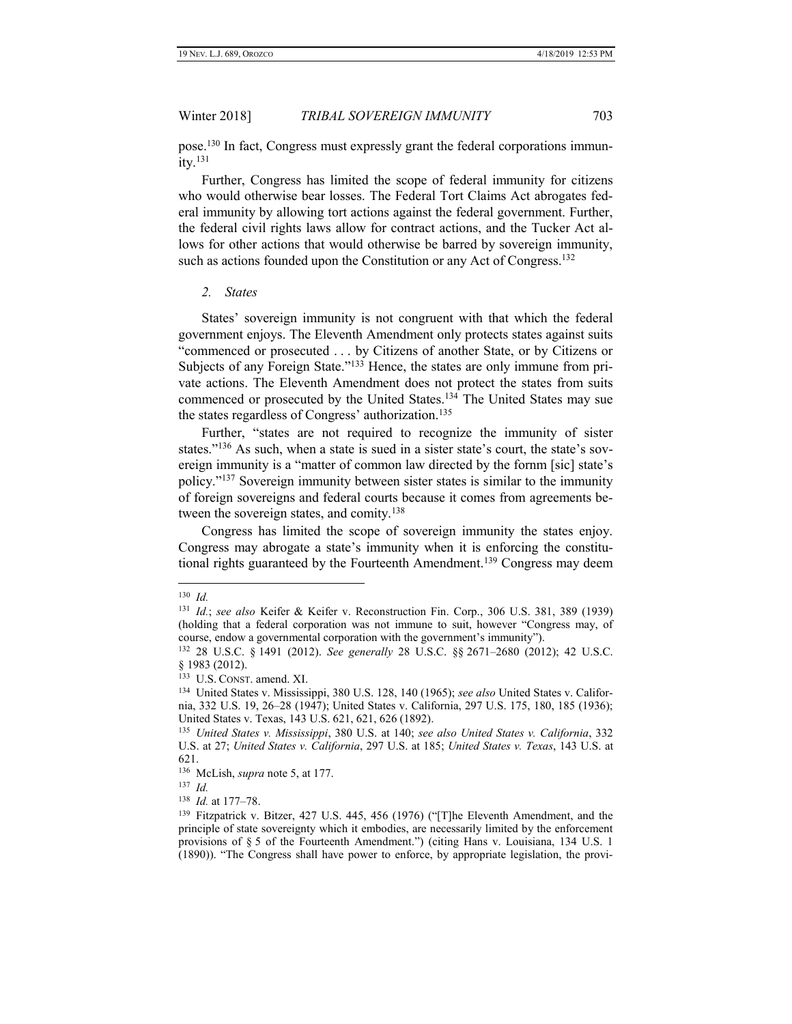pose.<sup>130</sup> In fact, Congress must expressly grant the federal corporations immun $itv.<sup>131</sup>$ 

Further, Congress has limited the scope of federal immunity for citizens who would otherwise bear losses. The Federal Tort Claims Act abrogates federal immunity by allowing tort actions against the federal government. Further, the federal civil rights laws allow for contract actions, and the Tucker Act allows for other actions that would otherwise be barred by sovereign immunity, such as actions founded upon the Constitution or any Act of Congress.<sup>132</sup>

#### <span id="page-14-0"></span>*2. States*

States' sovereign immunity is not congruent with that which the federal government enjoys. The Eleventh Amendment only protects states against suits "commenced or prosecuted . . . by Citizens of another State, or by Citizens or Subjects of any Foreign State."<sup>133</sup> Hence, the states are only immune from private actions. The Eleventh Amendment does not protect the states from suits commenced or prosecuted by the United States.<sup>134</sup> The United States may sue the states regardless of Congress' authorization.<sup>135</sup>

Further, "states are not required to recognize the immunity of sister states."<sup>136</sup> As such, when a state is sued in a sister state's court, the state's sovereign immunity is a "matter of common law directed by the fornm [sic] state's policy."<sup>137</sup> Sovereign immunity between sister states is similar to the immunity of foreign sovereigns and federal courts because it comes from agreements between the sovereign states, and comity.<sup>138</sup>

Congress has limited the scope of sovereign immunity the states enjoy. Congress may abrogate a state's immunity when it is enforcing the constitutional rights guaranteed by the Fourteenth Amendment.<sup>139</sup> Congress may deem

<sup>130</sup> *Id.*

<sup>131</sup> *Id.*; *see also* Keifer & Keifer v. Reconstruction Fin. Corp., 306 U.S. 381, 389 (1939) (holding that a federal corporation was not immune to suit, however "Congress may, of course, endow a governmental corporation with the government's immunity").

<sup>132</sup> 28 U.S.C. § 1491 (2012). *See generally* 28 U.S.C. §§ 2671–2680 (2012); 42 U.S.C. § 1983 (2012).

<sup>133</sup> U.S. CONST. amend. XI.

<sup>134</sup> United States v. Mississippi, 380 U.S. 128, 140 (1965); *see also* United States v. California, 332 U.S. 19, 26–28 (1947); United States v. California, 297 U.S. 175, 180, 185 (1936); United States v. Texas, 143 U.S. 621, 621, 626 (1892).

<sup>135</sup> *United States v. Mississippi*, 380 U.S. at 140; *see also United States v. California*, 332 U.S. at 27; *United States v. California*, 297 U.S. at 185; *United States v. Texas*, 143 U.S. at 621.

<sup>136</sup> McLish, *supra* note 5, at 177.

<sup>137</sup> *Id.*

<sup>138</sup> *Id.* at 177–78.

<sup>&</sup>lt;sup>139</sup> Fitzpatrick v. Bitzer, 427 U.S. 445, 456 (1976) ("[T]he Eleventh Amendment, and the principle of state sovereignty which it embodies, are necessarily limited by the enforcement provisions of § 5 of the Fourteenth Amendment.") (citing Hans v. Louisiana, 134 U.S. 1 (1890)). "The Congress shall have power to enforce, by appropriate legislation, the provi-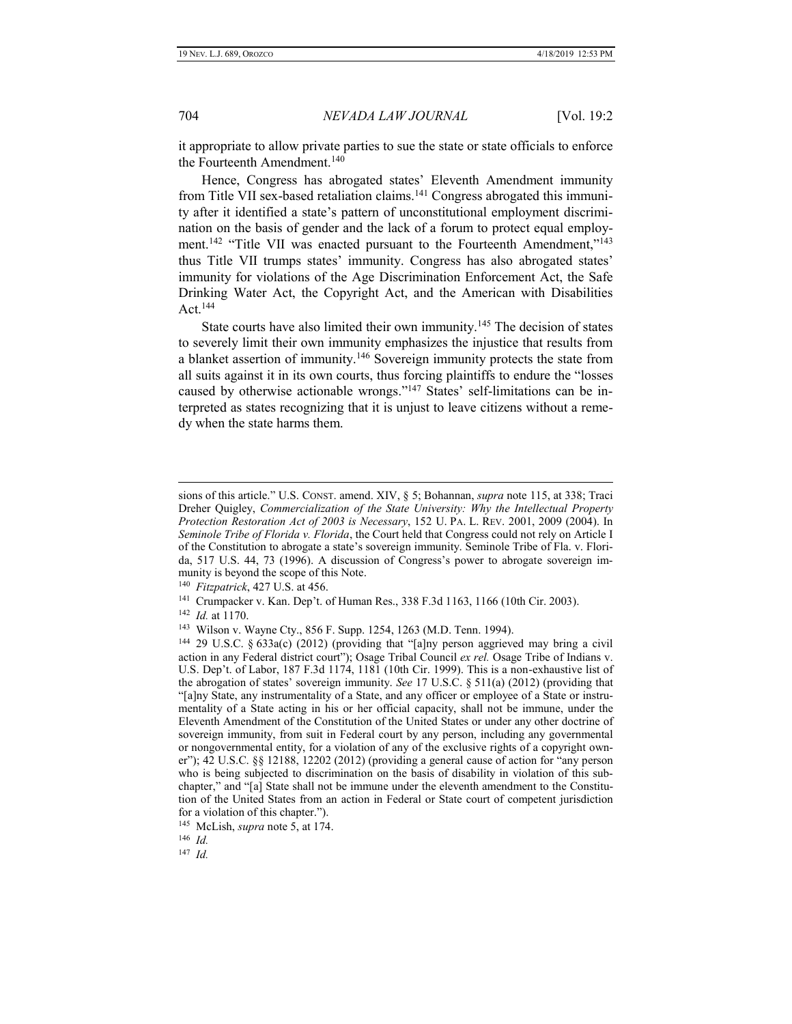it appropriate to allow private parties to sue the state or state officials to enforce the Fourteenth Amendment.<sup>140</sup>

Hence, Congress has abrogated states' Eleventh Amendment immunity from Title VII sex-based retaliation claims.<sup>141</sup> Congress abrogated this immunity after it identified a state's pattern of unconstitutional employment discrimination on the basis of gender and the lack of a forum to protect equal employment.<sup>142</sup> "Title VII was enacted pursuant to the Fourteenth Amendment,"<sup>143</sup> thus Title VII trumps states' immunity. Congress has also abrogated states' immunity for violations of the Age Discrimination Enforcement Act, the Safe Drinking Water Act, the Copyright Act, and the American with Disabilities Act.<sup>144</sup>

State courts have also limited their own immunity.<sup>145</sup> The decision of states to severely limit their own immunity emphasizes the injustice that results from a blanket assertion of immunity.<sup>146</sup> Sovereign immunity protects the state from all suits against it in its own courts, thus forcing plaintiffs to endure the "losses caused by otherwise actionable wrongs."<sup>147</sup> States' self-limitations can be interpreted as states recognizing that it is unjust to leave citizens without a remedy when the state harms them.

140 *Fitzpatrick*, 427 U.S. at 456.

141 Crumpacker v. Kan. Dep't. of Human Res., 338 F.3d 1163, 1166 (10th Cir. 2003).

142 *Id.* at 1170.

 $\overline{a}$ 

147 *Id.*

sions of this article." U.S. CONST. amend. XIV, § 5; Bohannan, *supra* note 115, at 338; Traci Dreher Quigley, *Commercialization of the State University: Why the Intellectual Property Protection Restoration Act of 2003 is Necessary*, 152 U. PA. L. REV. 2001, 2009 (2004). In *Seminole Tribe of Florida v. Florida*, the Court held that Congress could not rely on Article I of the Constitution to abrogate a state's sovereign immunity. Seminole Tribe of Fla. v. Florida, 517 U.S. 44, 73 (1996). A discussion of Congress's power to abrogate sovereign immunity is beyond the scope of this Note.

<sup>143</sup> Wilson v. Wayne Cty., 856 F. Supp. 1254, 1263 (M.D. Tenn. 1994).

<sup>144</sup> 29 U.S.C. § 633a(c) (2012) (providing that "[a]ny person aggrieved may bring a civil action in any Federal district court"); Osage Tribal Council *ex rel.* Osage Tribe of Indians v. U.S. Dep't. of Labor, 187 F.3d 1174, 1181 (10th Cir. 1999). This is a non-exhaustive list of the abrogation of states' sovereign immunity. *See* 17 U.S.C. § 511(a) (2012) (providing that "[a]ny State, any instrumentality of a State, and any officer or employee of a State or instrumentality of a State acting in his or her official capacity, shall not be immune, under the Eleventh Amendment of the Constitution of the United States or under any other doctrine of sovereign immunity, from suit in Federal court by any person, including any governmental or nongovernmental entity, for a violation of any of the exclusive rights of a copyright owner"); 42 U.S.C. §§ 12188, 12202 (2012) (providing a general cause of action for "any person who is being subjected to discrimination on the basis of disability in violation of this subchapter," and "[a] State shall not be immune under the eleventh amendment to the Constitution of the United States from an action in Federal or State court of competent jurisdiction for a violation of this chapter.").

<sup>145</sup> McLish, *supra* note 5, at 174.

<sup>146</sup> *Id.*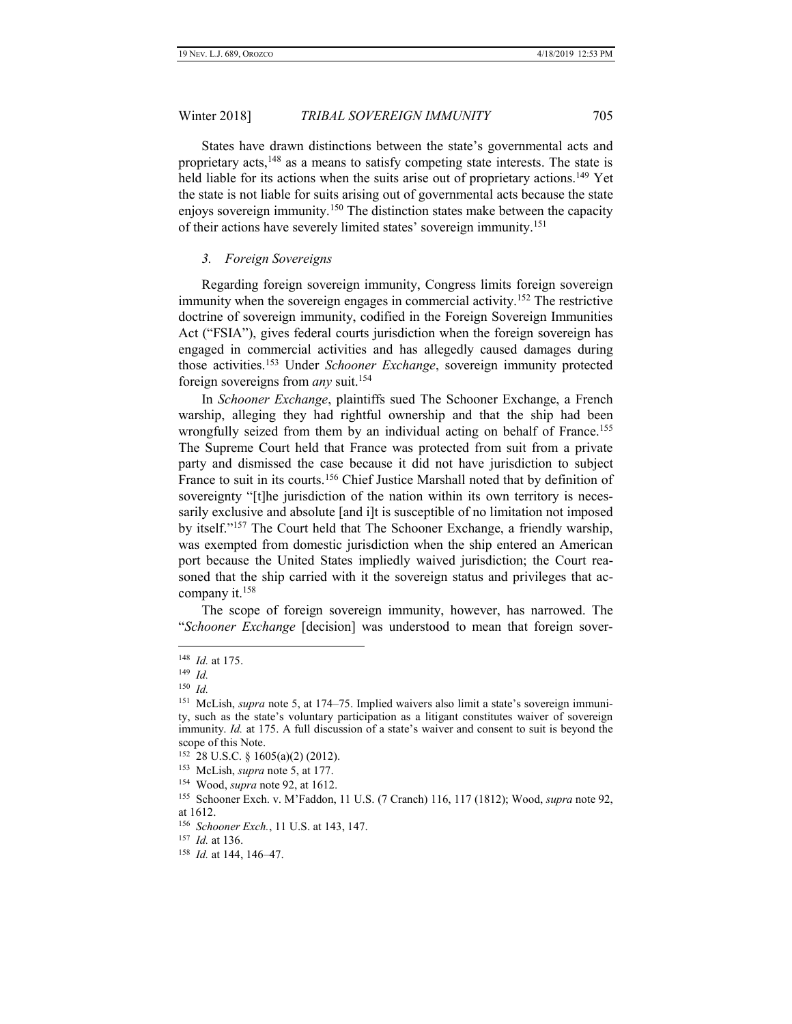States have drawn distinctions between the state's governmental acts and proprietary acts,<sup>148</sup> as a means to satisfy competing state interests. The state is held liable for its actions when the suits arise out of proprietary actions.<sup>149</sup> Yet the state is not liable for suits arising out of governmental acts because the state enjoys sovereign immunity.<sup>150</sup> The distinction states make between the capacity of their actions have severely limited states' sovereign immunity.<sup>151</sup>

#### <span id="page-16-0"></span>*3. Foreign Sovereigns*

Regarding foreign sovereign immunity, Congress limits foreign sovereign immunity when the sovereign engages in commercial activity.<sup>152</sup> The restrictive doctrine of sovereign immunity, codified in the Foreign Sovereign Immunities Act ("FSIA"), gives federal courts jurisdiction when the foreign sovereign has engaged in commercial activities and has allegedly caused damages during those activities.<sup>153</sup> Under *Schooner Exchange*, sovereign immunity protected foreign sovereigns from *any* suit.<sup>154</sup>

In *Schooner Exchange*, plaintiffs sued The Schooner Exchange, a French warship, alleging they had rightful ownership and that the ship had been wrongfully seized from them by an individual acting on behalf of France.<sup>155</sup> The Supreme Court held that France was protected from suit from a private party and dismissed the case because it did not have jurisdiction to subject France to suit in its courts.<sup>156</sup> Chief Justice Marshall noted that by definition of sovereignty "[t]he jurisdiction of the nation within its own territory is necessarily exclusive and absolute [and i]t is susceptible of no limitation not imposed by itself." <sup>157</sup> The Court held that The Schooner Exchange, a friendly warship, was exempted from domestic jurisdiction when the ship entered an American port because the United States impliedly waived jurisdiction; the Court reasoned that the ship carried with it the sovereign status and privileges that accompany it. $158$ 

The scope of foreign sovereign immunity, however, has narrowed. The "*Schooner Exchange* [decision] was understood to mean that foreign sover-

<sup>148</sup> *Id.* at 175.

<sup>149</sup> *Id.*

<sup>150</sup> *Id.*

<sup>&</sup>lt;sup>151</sup> McLish, *supra* note 5, at 174–75. Implied waivers also limit a state's sovereign immunity, such as the state's voluntary participation as a litigant constitutes waiver of sovereign immunity. *Id.* at 175. A full discussion of a state's waiver and consent to suit is beyond the scope of this Note.

<sup>152</sup> 28 U.S.C. § 1605(a)(2) (2012).

<sup>153</sup> McLish, *supra* note 5, at 177.

<sup>154</sup> Wood, *supra* note 92, at 1612.

<sup>155</sup> Schooner Exch. v. M'Faddon, 11 U.S. (7 Cranch) 116, 117 (1812); Wood, *supra* note 92, at 1612.

<sup>156</sup> *Schooner Exch.*, 11 U.S. at 143, 147.

<sup>157</sup> *Id.* at 136.

<sup>158</sup> *Id.* at 144, 146–47.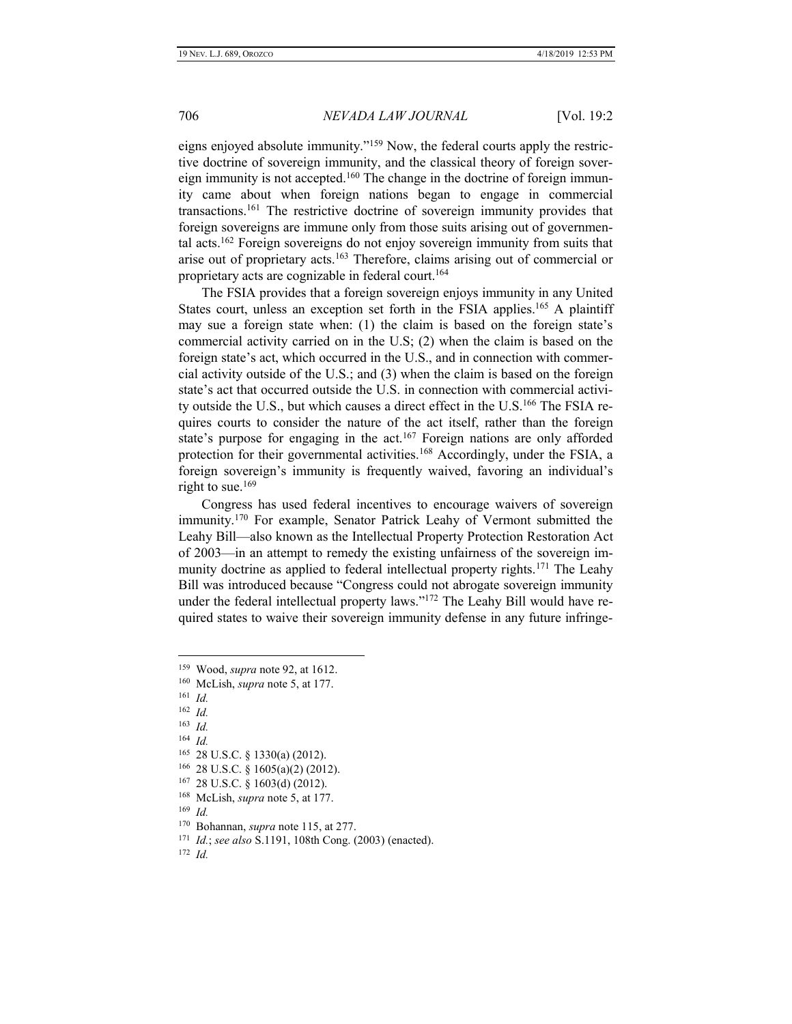eigns enjoyed absolute immunity."<sup>159</sup> Now, the federal courts apply the restrictive doctrine of sovereign immunity, and the classical theory of foreign sovereign immunity is not accepted.<sup>160</sup> The change in the doctrine of foreign immunity came about when foreign nations began to engage in commercial transactions.<sup>161</sup> The restrictive doctrine of sovereign immunity provides that foreign sovereigns are immune only from those suits arising out of governmental acts.<sup>162</sup> Foreign sovereigns do not enjoy sovereign immunity from suits that arise out of proprietary acts.<sup>163</sup> Therefore, claims arising out of commercial or proprietary acts are cognizable in federal court.<sup>164</sup>

The FSIA provides that a foreign sovereign enjoys immunity in any United States court, unless an exception set forth in the FSIA applies.<sup>165</sup> A plaintiff may sue a foreign state when: (1) the claim is based on the foreign state's commercial activity carried on in the U.S; (2) when the claim is based on the foreign state's act, which occurred in the U.S., and in connection with commercial activity outside of the U.S.; and (3) when the claim is based on the foreign state's act that occurred outside the U.S. in connection with commercial activity outside the U.S., but which causes a direct effect in the U.S.<sup>166</sup> The FSIA requires courts to consider the nature of the act itself, rather than the foreign state's purpose for engaging in the act.<sup>167</sup> Foreign nations are only afforded protection for their governmental activities.<sup>168</sup> Accordingly, under the FSIA, a foreign sovereign's immunity is frequently waived, favoring an individual's right to sue.<sup>169</sup>

Congress has used federal incentives to encourage waivers of sovereign immunity.<sup>170</sup> For example, Senator Patrick Leahy of Vermont submitted the Leahy Bill—also known as the Intellectual Property Protection Restoration Act of 2003—in an attempt to remedy the existing unfairness of the sovereign immunity doctrine as applied to federal intellectual property rights.<sup>171</sup> The Leahy Bill was introduced because "Congress could not abrogate sovereign immunity under the federal intellectual property laws."<sup>172</sup> The Leahy Bill would have required states to waive their sovereign immunity defense in any future infringe-

 $\overline{a}$ 

169 *Id.*

<sup>159</sup> Wood, *supra* note 92, at 1612.

<sup>160</sup> McLish, *supra* note 5, at 177.

<sup>161</sup> *Id.*

<sup>162</sup> *Id.*

<sup>163</sup> *Id.*

<sup>164</sup> *Id.*

<sup>165</sup> 28 U.S.C. § 1330(a) (2012).

<sup>166</sup> 28 U.S.C. § 1605(a)(2) (2012).

<sup>167</sup> 28 U.S.C. § 1603(d) (2012).

<sup>168</sup> McLish, *supra* note 5, at 177.

<sup>170</sup> Bohannan, *supra* note 115, at 277.

<sup>171</sup> *Id.*; *see also* S.1191, 108th Cong. (2003) (enacted).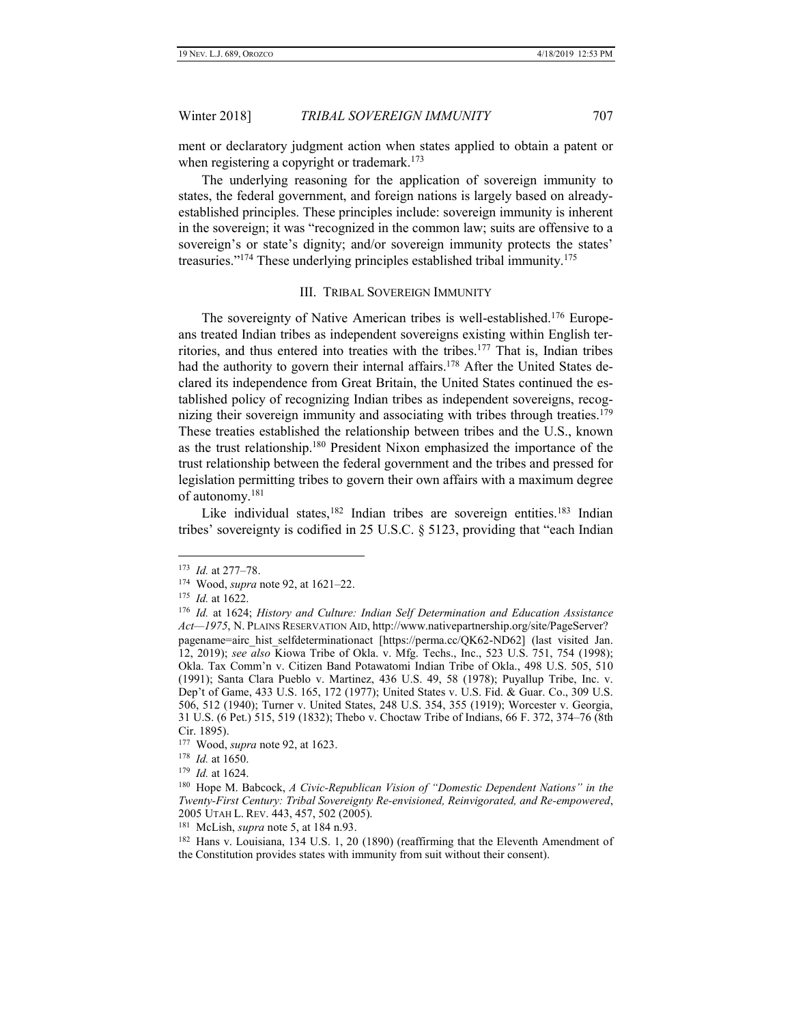ment or declaratory judgment action when states applied to obtain a patent or when registering a copyright or trademark.<sup>173</sup>

The underlying reasoning for the application of sovereign immunity to states, the federal government, and foreign nations is largely based on alreadyestablished principles. These principles include: sovereign immunity is inherent in the sovereign; it was "recognized in the common law; suits are offensive to a sovereign's or state's dignity; and/or sovereign immunity protects the states' treasuries."<sup>174</sup> These underlying principles established tribal immunity.<sup>175</sup>

#### III. TRIBAL SOVEREIGN IMMUNITY

<span id="page-18-0"></span>The sovereignty of Native American tribes is well-established.<sup>176</sup> Europeans treated Indian tribes as independent sovereigns existing within English territories, and thus entered into treaties with the tribes.<sup>177</sup> That is, Indian tribes had the authority to govern their internal affairs.<sup>178</sup> After the United States declared its independence from Great Britain, the United States continued the established policy of recognizing Indian tribes as independent sovereigns, recognizing their sovereign immunity and associating with tribes through treaties.<sup>179</sup> These treaties established the relationship between tribes and the U.S., known as the trust relationship. <sup>180</sup> President Nixon emphasized the importance of the trust relationship between the federal government and the tribes and pressed for legislation permitting tribes to govern their own affairs with a maximum degree of autonomy.<sup>181</sup>

Like individual states,<sup>182</sup> Indian tribes are sovereign entities.<sup>183</sup> Indian tribes' sovereignty is codified in 25 U.S.C. § 5123, providing that "each Indian

 $\overline{a}$ 

179 *Id.* at 1624.

<sup>173</sup> *Id.* at 277–78.

<sup>174</sup> Wood, *supra* note 92, at 1621–22.

<sup>175</sup> *Id.* at 1622.

<sup>176</sup> *Id.* at 1624; *History and Culture: Indian Self Determination and Education Assistance Act—1975*, N. PLAINS RESERVATION AID, http://www.nativepartnership.org/site/PageServer? pagename=airc\_hist\_selfdeterminationact [https://perma.cc/QK62-ND62] (last visited Jan. 12, 2019); *see also* Kiowa Tribe of Okla. v. Mfg. Techs., Inc., 523 U.S. 751, 754 (1998); Okla. Tax Comm'n v. Citizen Band Potawatomi Indian Tribe of Okla., 498 U.S. 505, 510 (1991); Santa Clara Pueblo v. Martinez, 436 U.S. 49, 58 (1978); Puyallup Tribe, Inc. v. Dep't of Game, 433 U.S. 165, 172 (1977); United States v. U.S. Fid. & Guar. Co., 309 U.S. 506, 512 (1940); Turner v. United States, 248 U.S. 354, 355 (1919); Worcester v. Georgia, 31 U.S. (6 Pet.) 515, 519 (1832); Thebo v. Choctaw Tribe of Indians, 66 F. 372, 374–76 (8th Cir. 1895).

<sup>177</sup> Wood, *supra* note 92, at 1623.

<sup>178</sup> *Id.* at 1650.

<sup>180</sup> Hope M. Babcock, *A Civic-Republican Vision of "Domestic Dependent Nations" in the Twenty-First Century: Tribal Sovereignty Re-envisioned, Reinvigorated, and Re-empowered*, 2005 UTAH L. REV. 443, 457, 502 (2005).

<sup>181</sup> McLish, *supra* note 5, at 184 n.93.

<sup>&</sup>lt;sup>182</sup> Hans v. Louisiana, 134 U.S. 1, 20 (1890) (reaffirming that the Eleventh Amendment of the Constitution provides states with immunity from suit without their consent).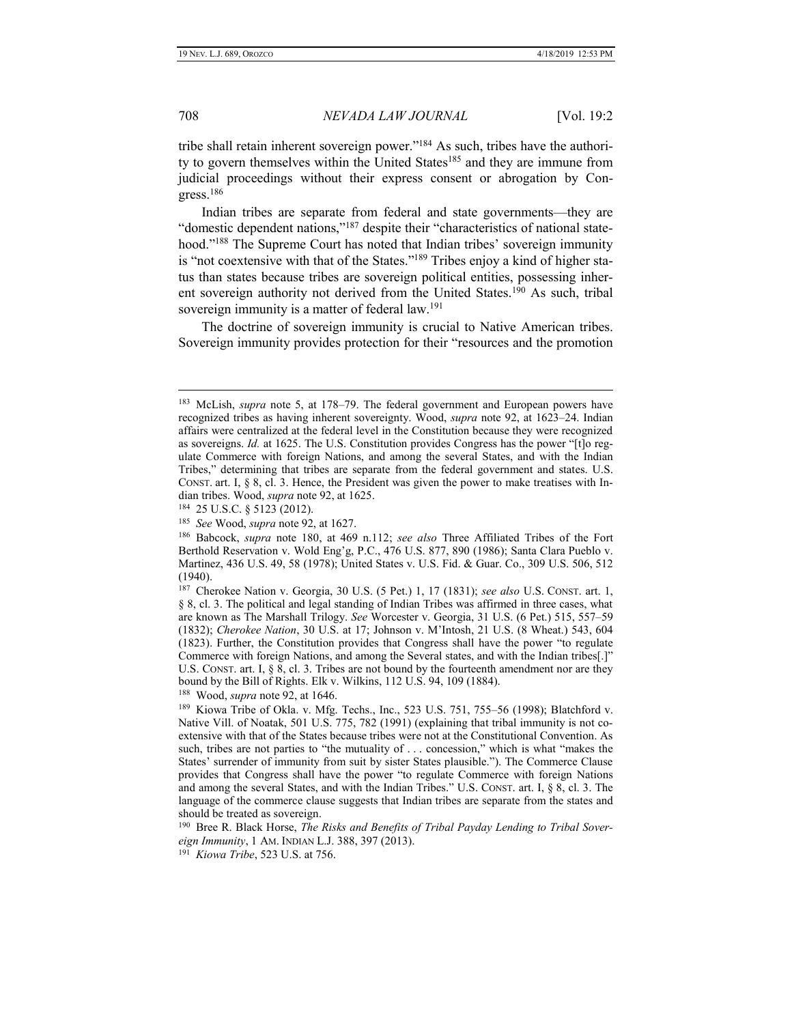tribe shall retain inherent sovereign power."<sup>184</sup> As such, tribes have the authority to govern themselves within the United States<sup>185</sup> and they are immune from judicial proceedings without their express consent or abrogation by Congress.<sup>186</sup>

Indian tribes are separate from federal and state governments—they are "domestic dependent nations,"<sup>187</sup> despite their "characteristics of national statehood." <sup>188</sup> The Supreme Court has noted that Indian tribes' sovereign immunity is "not coextensive with that of the States."<sup>189</sup> Tribes enjoy a kind of higher status than states because tribes are sovereign political entities, possessing inherent sovereign authority not derived from the United States.<sup>190</sup> As such, tribal sovereign immunity is a matter of federal law.<sup>191</sup>

The doctrine of sovereign immunity is crucial to Native American tribes. Sovereign immunity provides protection for their "resources and the promotion

 $\overline{a}$ 

188 Wood, *supra* note 92, at 1646.

<sup>&</sup>lt;sup>183</sup> McLish, *supra* note 5, at 178–79. The federal government and European powers have recognized tribes as having inherent sovereignty. Wood, *supra* note 92, at 1623–24. Indian affairs were centralized at the federal level in the Constitution because they were recognized as sovereigns. *Id.* at 1625. The U.S. Constitution provides Congress has the power "[t]o regulate Commerce with foreign Nations, and among the several States, and with the Indian Tribes," determining that tribes are separate from the federal government and states. U.S. CONST. art. I, § 8, cl. 3. Hence, the President was given the power to make treatises with Indian tribes. Wood, *supra* note 92, at 1625.

<sup>184</sup> 25 U.S.C. § 5123 (2012).

<sup>185</sup> *See* Wood, *supra* note 92, at 1627.

<sup>186</sup> Babcock, *supra* note 180, at 469 n.112; *see also* Three Affiliated Tribes of the Fort Berthold Reservation v. Wold Eng'g, P.C., 476 U.S. 877, 890 (1986); Santa Clara Pueblo v. Martinez, 436 U.S. 49, 58 (1978); United States v. U.S. Fid. & Guar. Co., 309 U.S. 506, 512 (1940).

<sup>187</sup> Cherokee Nation v. Georgia, 30 U.S. (5 Pet.) 1, 17 (1831); *see also* U.S. CONST. art. 1, § 8, cl. 3. The political and legal standing of Indian Tribes was affirmed in three cases, what are known as The Marshall Trilogy. *See* Worcester v. Georgia, 31 U.S. (6 Pet.) 515, 557–59 (1832); *Cherokee Nation*, 30 U.S. at 17; Johnson v. M'Intosh, 21 U.S. (8 Wheat.) 543, 604 (1823). Further, the Constitution provides that Congress shall have the power "to regulate Commerce with foreign Nations, and among the Several states, and with the Indian tribes[.]" U.S. CONST. art. I,  $\S$  8, cl. 3. Tribes are not bound by the fourteenth amendment nor are they bound by the Bill of Rights. Elk v. Wilkins, 112 U.S. 94, 109 (1884).

<sup>189</sup> Kiowa Tribe of Okla. v. Mfg. Techs., Inc., 523 U.S. 751, 755–56 (1998); Blatchford v. Native Vill. of Noatak, 501 U.S. 775, 782 (1991) (explaining that tribal immunity is not coextensive with that of the States because tribes were not at the Constitutional Convention. As such, tribes are not parties to "the mutuality of . . . concession," which is what "makes the States' surrender of immunity from suit by sister States plausible."). The Commerce Clause provides that Congress shall have the power "to regulate Commerce with foreign Nations and among the several States, and with the Indian Tribes." U.S. CONST. art. I, § 8, cl. 3. The language of the commerce clause suggests that Indian tribes are separate from the states and should be treated as sovereign.

<sup>&</sup>lt;sup>190</sup> Bree R. Black Horse, *The Risks and Benefits of Tribal Payday Lending to Tribal Sovereign Immunity*, 1 AM. INDIAN L.J. 388, 397 (2013).

<sup>191</sup> *Kiowa Tribe*, 523 U.S. at 756.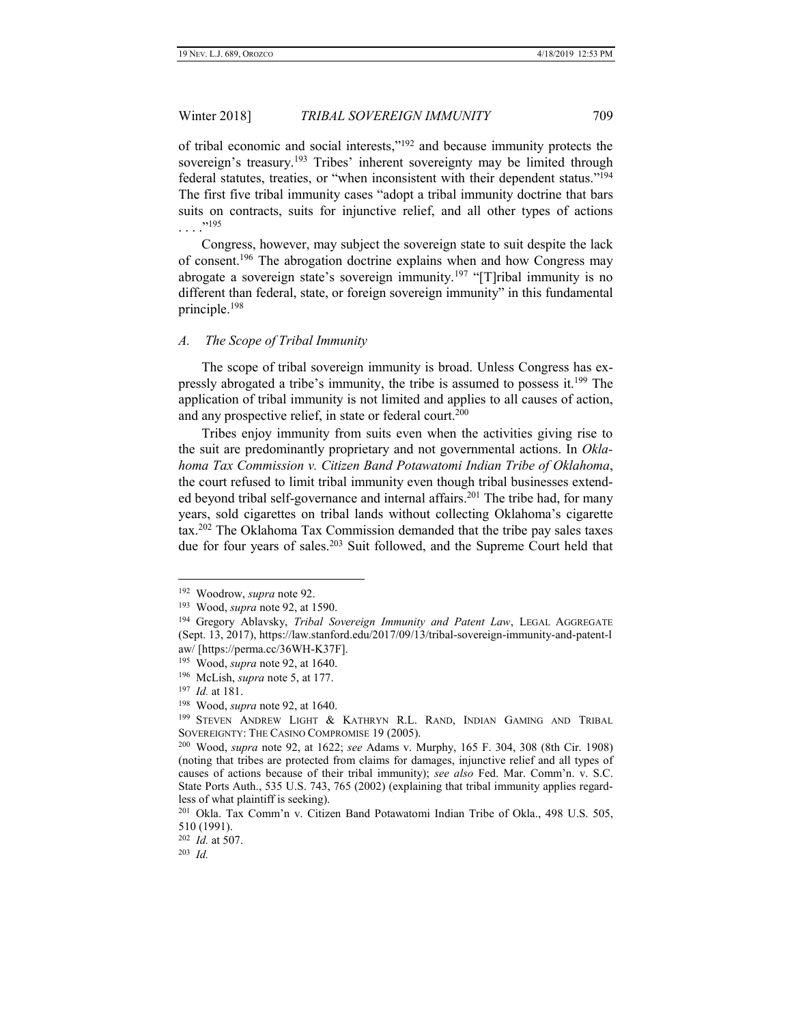of tribal economic and social interests,"<sup>192</sup> and because immunity protects the sovereign's treasury.<sup>193</sup> Tribes' inherent sovereignty may be limited through federal statutes, treaties, or "when inconsistent with their dependent status."<sup>194</sup> The first five tribal immunity cases "adopt a tribal immunity doctrine that bars suits on contracts, suits for injunctive relief, and all other types of actions . . . ." 195

Congress, however, may subject the sovereign state to suit despite the lack of consent.<sup>196</sup> The abrogation doctrine explains when and how Congress may abrogate a sovereign state's sovereign immunity.<sup>197</sup> "[T]ribal immunity is no different than federal, state, or foreign sovereign immunity" in this fundamental principle.<sup>198</sup>

#### <span id="page-20-0"></span>*A. The Scope of Tribal Immunity*

The scope of tribal sovereign immunity is broad. Unless Congress has expressly abrogated a tribe's immunity, the tribe is assumed to possess it.<sup>199</sup> The application of tribal immunity is not limited and applies to all causes of action, and any prospective relief, in state or federal court.<sup>200</sup>

Tribes enjoy immunity from suits even when the activities giving rise to the suit are predominantly proprietary and not governmental actions. In *Oklahoma Tax Commission v. Citizen Band Potawatomi Indian Tribe of Oklahoma*, the court refused to limit tribal immunity even though tribal businesses extended beyond tribal self-governance and internal affairs.<sup>201</sup> The tribe had, for many years, sold cigarettes on tribal lands without collecting Oklahoma's cigarette tax.<sup>202</sup> The Oklahoma Tax Commission demanded that the tribe pay sales taxes due for four years of sales.<sup>203</sup> Suit followed, and the Supreme Court held that

<sup>192</sup> Woodrow, *supra* note 92.

<sup>193</sup> Wood, *supra* note 92, at 1590.

<sup>194</sup> Gregory Ablavsky, *Tribal Sovereign Immunity and Patent Law*, LEGAL AGGREGATE (Sept. 13, 2017), https://law.stanford.edu/2017/09/13/tribal-sovereign-immunity-and-patent-l aw/ [https://perma.cc/36WH-K37F].

<sup>195</sup> Wood, *supra* note 92, at 1640.

<sup>196</sup> McLish, *supra* note 5, at 177.

<sup>197</sup> *Id.* at 181.

<sup>198</sup> Wood, *supra* note 92, at 1640.

<sup>199</sup> STEVEN ANDREW LIGHT & KATHRYN R.L. RAND, INDIAN GAMING AND TRIBAL SOVEREIGNTY: THE CASINO COMPROMISE 19 (2005).

<sup>200</sup> Wood, *supra* note 92, at 1622; *see* Adams v. Murphy, 165 F. 304, 308 (8th Cir. 1908) (noting that tribes are protected from claims for damages, injunctive relief and all types of causes of actions because of their tribal immunity); *see also* Fed. Mar. Comm'n. v. S.C. State Ports Auth., 535 U.S. 743, 765 (2002) (explaining that tribal immunity applies regardless of what plaintiff is seeking).

<sup>201</sup> Okla. Tax Comm'n v. Citizen Band Potawatomi Indian Tribe of Okla., 498 U.S. 505, 510 (1991).

<sup>202</sup> *Id.* at 507.

<sup>203</sup> *Id.*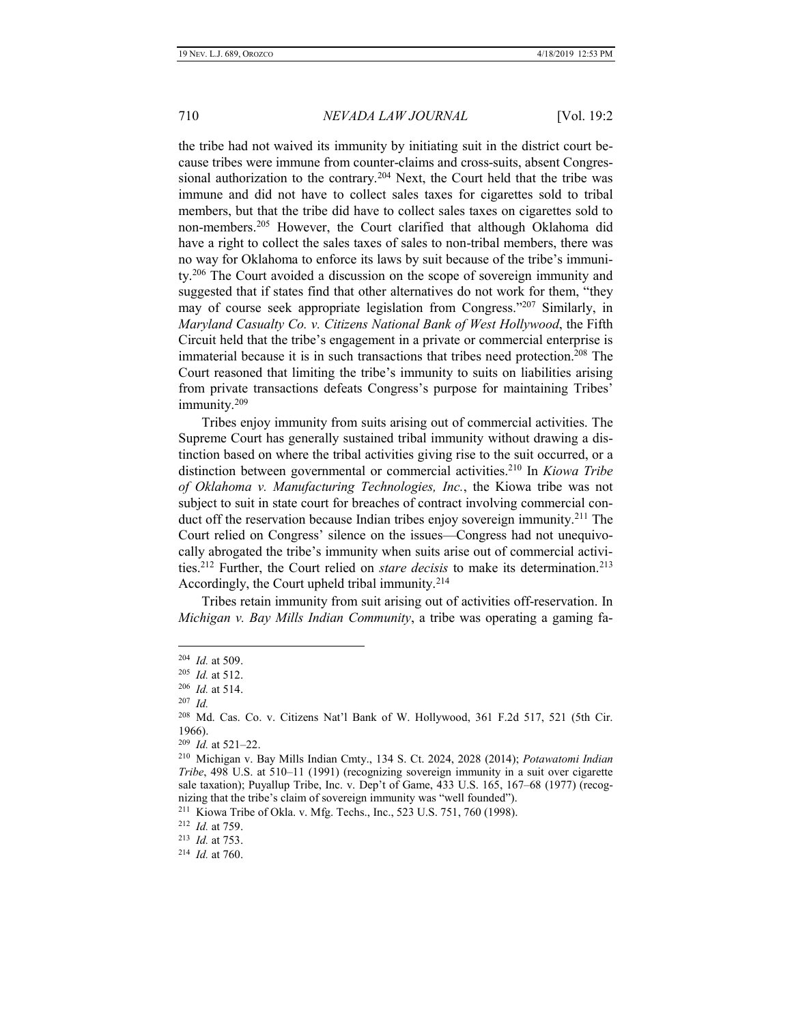the tribe had not waived its immunity by initiating suit in the district court because tribes were immune from counter-claims and cross-suits, absent Congressional authorization to the contrary.<sup>204</sup> Next, the Court held that the tribe was immune and did not have to collect sales taxes for cigarettes sold to tribal members, but that the tribe did have to collect sales taxes on cigarettes sold to non-members.<sup>205</sup> However, the Court clarified that although Oklahoma did have a right to collect the sales taxes of sales to non-tribal members, there was no way for Oklahoma to enforce its laws by suit because of the tribe's immunity.<sup>206</sup> The Court avoided a discussion on the scope of sovereign immunity and suggested that if states find that other alternatives do not work for them, "they may of course seek appropriate legislation from Congress." <sup>207</sup> Similarly, in *Maryland Casualty Co. v. Citizens National Bank of West Hollywood*, the Fifth Circuit held that the tribe's engagement in a private or commercial enterprise is immaterial because it is in such transactions that tribes need protection.<sup>208</sup> The Court reasoned that limiting the tribe's immunity to suits on liabilities arising from private transactions defeats Congress's purpose for maintaining Tribes' immunity.<sup>209</sup>

Tribes enjoy immunity from suits arising out of commercial activities. The Supreme Court has generally sustained tribal immunity without drawing a distinction based on where the tribal activities giving rise to the suit occurred, or a distinction between governmental or commercial activities.<sup>210</sup> In *Kiowa Tribe of Oklahoma v. Manufacturing Technologies, Inc.*, the Kiowa tribe was not subject to suit in state court for breaches of contract involving commercial conduct off the reservation because Indian tribes enjoy sovereign immunity.<sup>211</sup> The Court relied on Congress' silence on the issues—Congress had not unequivocally abrogated the tribe's immunity when suits arise out of commercial activities.<sup>212</sup> Further, the Court relied on *stare decisis* to make its determination.<sup>213</sup> Accordingly, the Court upheld tribal immunity.<sup>214</sup>

Tribes retain immunity from suit arising out of activities off-reservation. In *Michigan v. Bay Mills Indian Community*, a tribe was operating a gaming fa-

<sup>204</sup> *Id.* at 509.

<sup>205</sup> *Id.* at 512.

<sup>206</sup> *Id.* at 514.

<sup>207</sup> *Id.*

<sup>208</sup> Md. Cas. Co. v. Citizens Nat'l Bank of W. Hollywood, 361 F.2d 517, 521 (5th Cir. 1966).

<sup>209</sup> *Id.* at 521–22.

<sup>210</sup> Michigan v. Bay Mills Indian Cmty., 134 S. Ct. 2024, 2028 (2014); *Potawatomi Indian Tribe*, 498 U.S. at 510–11 (1991) (recognizing sovereign immunity in a suit over cigarette sale taxation); Puyallup Tribe, Inc. v. Dep't of Game, 433 U.S. 165, 167–68 (1977) (recognizing that the tribe's claim of sovereign immunity was "well founded").

<sup>211</sup> Kiowa Tribe of Okla. v. Mfg. Techs., Inc., 523 U.S. 751, 760 (1998).

<sup>212</sup> *Id.* at 759.

<sup>213</sup> *Id.* at 753.

<sup>214</sup> *Id.* at 760.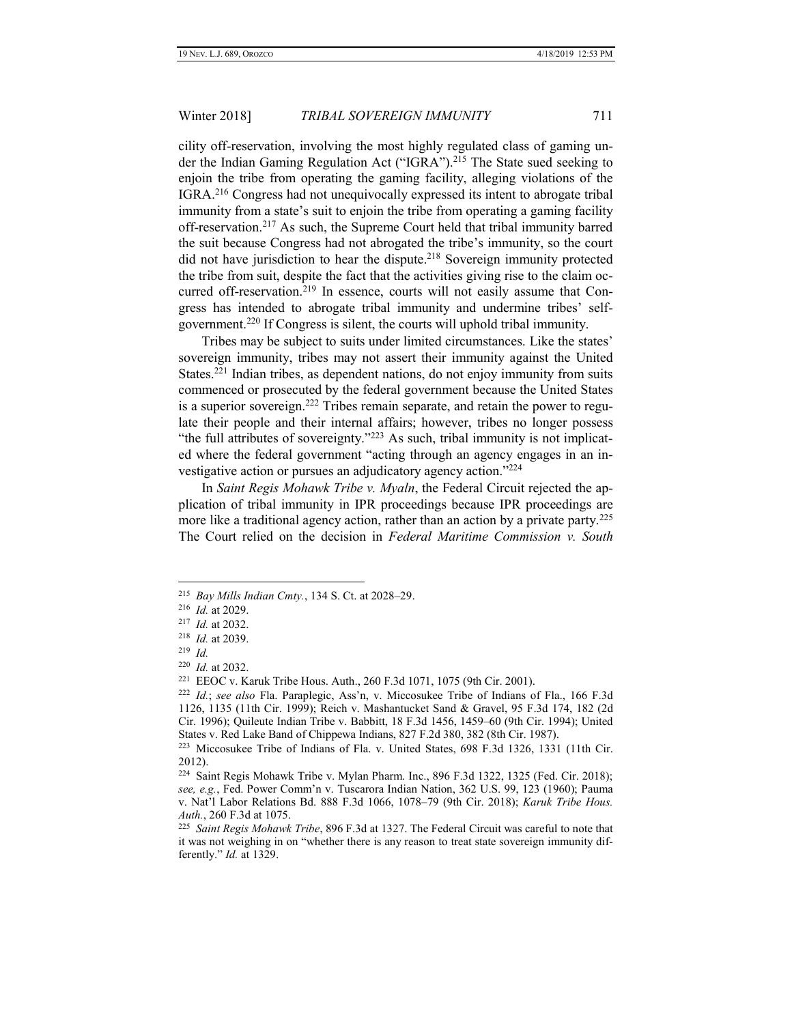cility off-reservation, involving the most highly regulated class of gaming under the Indian Gaming Regulation Act ("IGRA").<sup>215</sup> The State sued seeking to enjoin the tribe from operating the gaming facility, alleging violations of the IGRA.<sup>216</sup> Congress had not unequivocally expressed its intent to abrogate tribal immunity from a state's suit to enjoin the tribe from operating a gaming facility off-reservation. <sup>217</sup> As such, the Supreme Court held that tribal immunity barred the suit because Congress had not abrogated the tribe's immunity, so the court did not have jurisdiction to hear the dispute.<sup>218</sup> Sovereign immunity protected the tribe from suit, despite the fact that the activities giving rise to the claim occurred off-reservation.<sup>219</sup> In essence, courts will not easily assume that Congress has intended to abrogate tribal immunity and undermine tribes' selfgovernment.<sup>220</sup> If Congress is silent, the courts will uphold tribal immunity.

Tribes may be subject to suits under limited circumstances. Like the states' sovereign immunity, tribes may not assert their immunity against the United States.<sup>221</sup> Indian tribes, as dependent nations, do not enjoy immunity from suits commenced or prosecuted by the federal government because the United States is a superior sovereign.<sup>222</sup> Tribes remain separate, and retain the power to regulate their people and their internal affairs; however, tribes no longer possess "the full attributes of sovereignty."<sup>223</sup> As such, tribal immunity is not implicated where the federal government "acting through an agency engages in an investigative action or pursues an adjudicatory agency action."<sup>224</sup>

In *Saint Regis Mohawk Tribe v. Myaln*, the Federal Circuit rejected the application of tribal immunity in IPR proceedings because IPR proceedings are more like a traditional agency action, rather than an action by a private party.<sup>225</sup> The Court relied on the decision in *Federal Maritime Commission v. South* 

<sup>215</sup> *Bay Mills Indian Cmty.*, 134 S. Ct. at 2028–29.

<sup>216</sup> *Id.* at 2029.

<sup>217</sup> *Id.* at 2032.

<sup>218</sup> *Id.* at 2039.

<sup>219</sup> *Id.*

<sup>220</sup> *Id.* at 2032.

<sup>221</sup> EEOC v. Karuk Tribe Hous. Auth., 260 F.3d 1071, 1075 (9th Cir. 2001).

<sup>222</sup> *Id.*; *see also* Fla. Paraplegic, Ass'n, v. Miccosukee Tribe of Indians of Fla., 166 F.3d 1126, 1135 (11th Cir. 1999); Reich v. Mashantucket Sand & Gravel, 95 F.3d 174, 182 (2d Cir. 1996); Quileute Indian Tribe v. Babbitt, 18 F.3d 1456, 1459–60 (9th Cir. 1994); United States v. Red Lake Band of Chippewa Indians, 827 F.2d 380, 382 (8th Cir. 1987).

<sup>223</sup> Miccosukee Tribe of Indians of Fla. v. United States, 698 F.3d 1326, 1331 (11th Cir. 2012).

<sup>224</sup> Saint Regis Mohawk Tribe v. Mylan Pharm. Inc., 896 F.3d 1322, 1325 (Fed. Cir. 2018); *see, e.g.*, Fed. Power Comm'n v. Tuscarora Indian Nation, 362 U.S. 99, 123 (1960); Pauma v. Nat'l Labor Relations Bd. 888 F.3d 1066, 1078–79 (9th Cir. 2018); *Karuk Tribe Hous. Auth.*, 260 F.3d at 1075.

<sup>225</sup> *Saint Regis Mohawk Tribe*, 896 F.3d at 1327. The Federal Circuit was careful to note that it was not weighing in on "whether there is any reason to treat state sovereign immunity differently." *Id.* at 1329.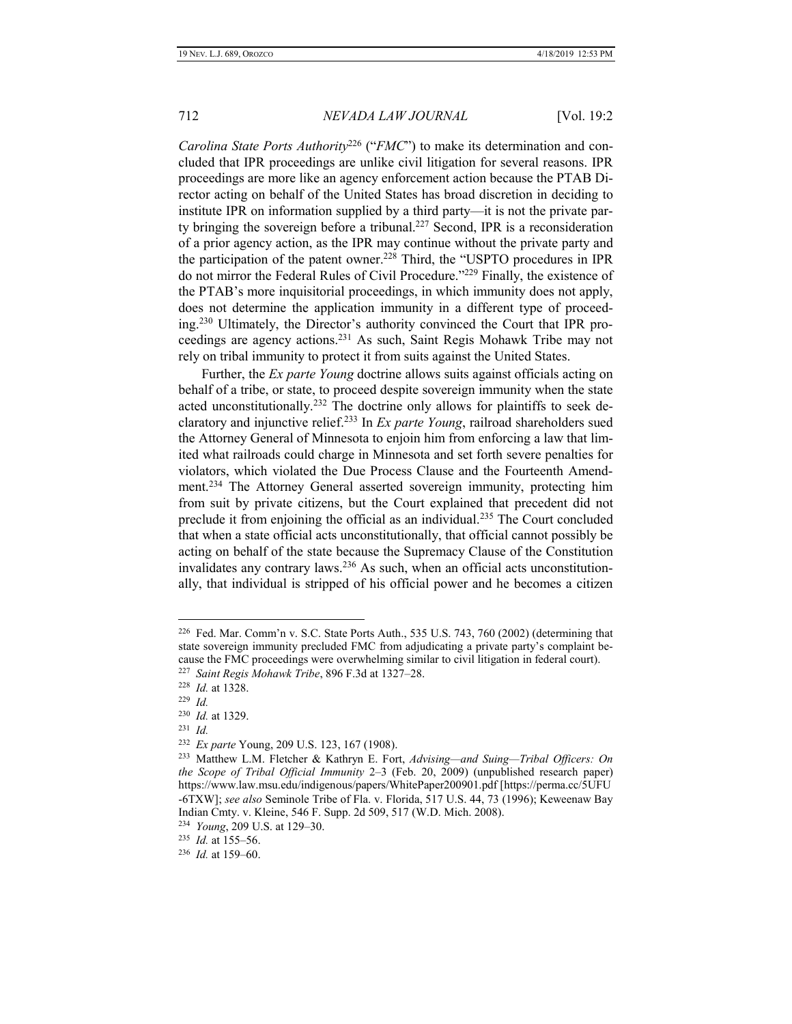*Carolina State Ports Authority*<sup>226</sup> ("*FMC*") to make its determination and concluded that IPR proceedings are unlike civil litigation for several reasons. IPR proceedings are more like an agency enforcement action because the PTAB Director acting on behalf of the United States has broad discretion in deciding to institute IPR on information supplied by a third party—it is not the private party bringing the sovereign before a tribunal.<sup>227</sup> Second, IPR is a reconsideration of a prior agency action, as the IPR may continue without the private party and the participation of the patent owner.<sup>228</sup> Third, the "USPTO procedures in IPR do not mirror the Federal Rules of Civil Procedure."<sup>229</sup> Finally, the existence of the PTAB's more inquisitorial proceedings, in which immunity does not apply, does not determine the application immunity in a different type of proceeding.<sup>230</sup> Ultimately, the Director's authority convinced the Court that IPR proceedings are agency actions.<sup>231</sup> As such, Saint Regis Mohawk Tribe may not rely on tribal immunity to protect it from suits against the United States.

Further, the *Ex parte Young* doctrine allows suits against officials acting on behalf of a tribe, or state, to proceed despite sovereign immunity when the state acted unconstitutionally.<sup>232</sup> The doctrine only allows for plaintiffs to seek declaratory and injunctive relief.<sup>233</sup> In *Ex parte Young*, railroad shareholders sued the Attorney General of Minnesota to enjoin him from enforcing a law that limited what railroads could charge in Minnesota and set forth severe penalties for violators, which violated the Due Process Clause and the Fourteenth Amendment.<sup>234</sup> The Attorney General asserted sovereign immunity, protecting him from suit by private citizens, but the Court explained that precedent did not preclude it from enjoining the official as an individual.<sup>235</sup> The Court concluded that when a state official acts unconstitutionally, that official cannot possibly be acting on behalf of the state because the Supremacy Clause of the Constitution invalidates any contrary laws.<sup>236</sup> As such, when an official acts unconstitutionally, that individual is stripped of his official power and he becomes a citizen

 $\overline{a}$ 

231 *Id.*

<sup>226</sup> Fed. Mar. Comm'n v. S.C. State Ports Auth., 535 U.S. 743, 760 (2002) (determining that state sovereign immunity precluded FMC from adjudicating a private party's complaint because the FMC proceedings were overwhelming similar to civil litigation in federal court).

<sup>227</sup> *Saint Regis Mohawk Tribe*, 896 F.3d at 1327–28.

<sup>228</sup> *Id.* at 1328.

<sup>229</sup> *Id.*

<sup>230</sup> *Id.* at 1329.

<sup>232</sup> *Ex parte* Young, 209 U.S. 123, 167 (1908).

<sup>233</sup> Matthew L.M. Fletcher & Kathryn E. Fort, *Advising—and Suing—Tribal Officers: On the Scope of Tribal Official Immunity* 2–3 (Feb. 20, 2009) (unpublished research paper) https://www.law.msu.edu/indigenous/papers/WhitePaper200901.pdf [https://perma.cc/5UFU -6TXW]; *see also* Seminole Tribe of Fla. v. Florida, 517 U.S. 44, 73 (1996); Keweenaw Bay Indian Cmty. v. Kleine, 546 F. Supp. 2d 509, 517 (W.D. Mich. 2008).

<sup>234</sup> *Young*, 209 U.S. at 129–30.

<sup>235</sup> *Id.* at 155–56.

<sup>236</sup> *Id.* at 159–60.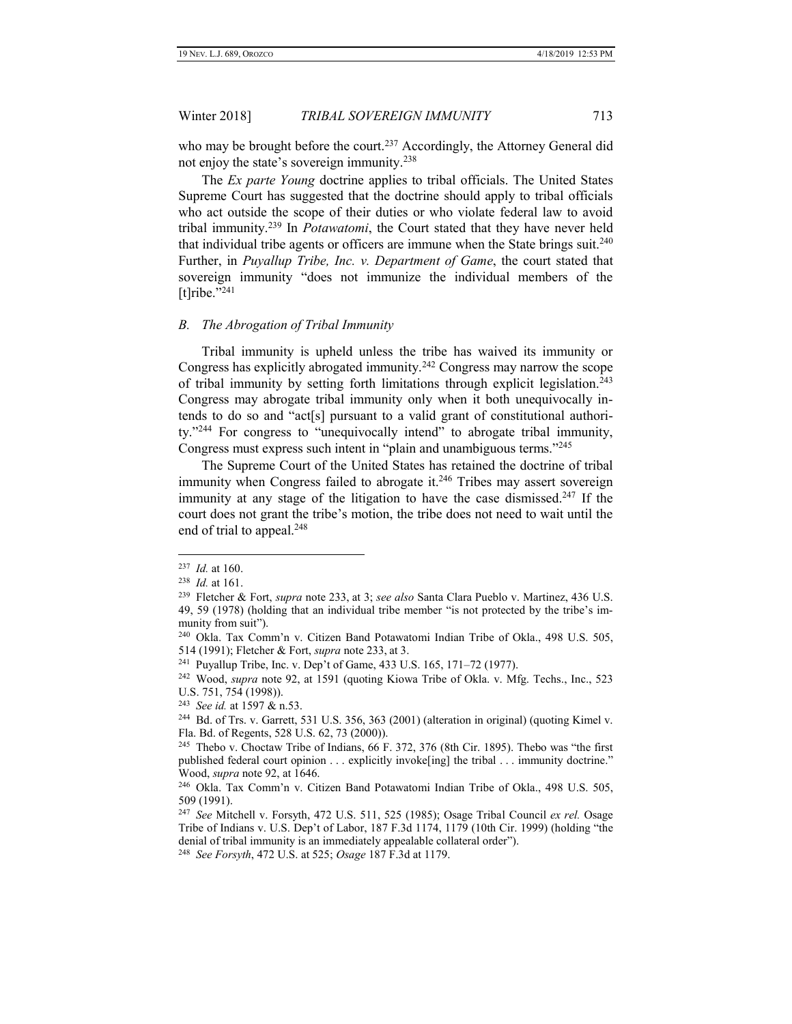who may be brought before the court.<sup>237</sup> Accordingly, the Attorney General did not enjoy the state's sovereign immunity.<sup>238</sup>

The *Ex parte Young* doctrine applies to tribal officials. The United States Supreme Court has suggested that the doctrine should apply to tribal officials who act outside the scope of their duties or who violate federal law to avoid tribal immunity.<sup>239</sup> In *Potawatomi*, the Court stated that they have never held that individual tribe agents or officers are immune when the State brings suit. $240$ Further, in *Puyallup Tribe, Inc. v. Department of Game*, the court stated that sovereign immunity "does not immunize the individual members of the [t]ribe." $^{241}$ 

#### <span id="page-24-0"></span>*B. The Abrogation of Tribal Immunity*

Tribal immunity is upheld unless the tribe has waived its immunity or Congress has explicitly abrogated immunity.<sup>242</sup> Congress may narrow the scope of tribal immunity by setting forth limitations through explicit legislation.<sup>243</sup> Congress may abrogate tribal immunity only when it both unequivocally intends to do so and "act[s] pursuant to a valid grant of constitutional authority."<sup>244</sup> For congress to "unequivocally intend" to abrogate tribal immunity, Congress must express such intent in "plain and unambiguous terms."<sup>245</sup>

The Supreme Court of the United States has retained the doctrine of tribal immunity when Congress failed to abrogate it. $246$  Tribes may assert sovereign immunity at any stage of the litigation to have the case dismissed.<sup>247</sup> If the court does not grant the tribe's motion, the tribe does not need to wait until the end of trial to appeal.<sup>248</sup>

<sup>237</sup> *Id.* at 160.

<sup>238</sup> *Id.* at 161.

<sup>239</sup> Fletcher & Fort, *supra* note 233, at 3; *see also* Santa Clara Pueblo v. Martinez, 436 U.S. 49, 59 (1978) (holding that an individual tribe member "is not protected by the tribe's immunity from suit").

<sup>240</sup> Okla. Tax Comm'n v. Citizen Band Potawatomi Indian Tribe of Okla., 498 U.S. 505, 514 (1991); Fletcher & Fort, *supra* note 233, at 3.

<sup>&</sup>lt;sup>241</sup> Puyallup Tribe, Inc. v. Dep't of Game, 433 U.S. 165, 171-72 (1977).

<sup>242</sup> Wood, *supra* note 92, at 1591 (quoting Kiowa Tribe of Okla. v. Mfg. Techs., Inc., 523 U.S. 751, 754 (1998)).

<sup>243</sup> *See id.* at 1597 & n.53.

<sup>244</sup> Bd. of Trs. v. Garrett, 531 U.S. 356, 363 (2001) (alteration in original) (quoting Kimel v. Fla. Bd. of Regents, 528 U.S. 62, 73 (2000)).

<sup>245</sup> Thebo v. Choctaw Tribe of Indians, 66 F. 372, 376 (8th Cir. 1895). Thebo was "the first published federal court opinion . . . explicitly invoke[ing] the tribal . . . immunity doctrine." Wood, *supra* note 92, at 1646.

<sup>246</sup> Okla. Tax Comm'n v. Citizen Band Potawatomi Indian Tribe of Okla., 498 U.S. 505, 509 (1991).

<sup>247</sup> *See* Mitchell v. Forsyth, 472 U.S. 511, 525 (1985); Osage Tribal Council *ex rel.* Osage Tribe of Indians v. U.S. Dep't of Labor, 187 F.3d 1174, 1179 (10th Cir. 1999) (holding "the denial of tribal immunity is an immediately appealable collateral order").

<sup>248</sup> *See Forsyth*, 472 U.S. at 525; *Osage* 187 F.3d at 1179.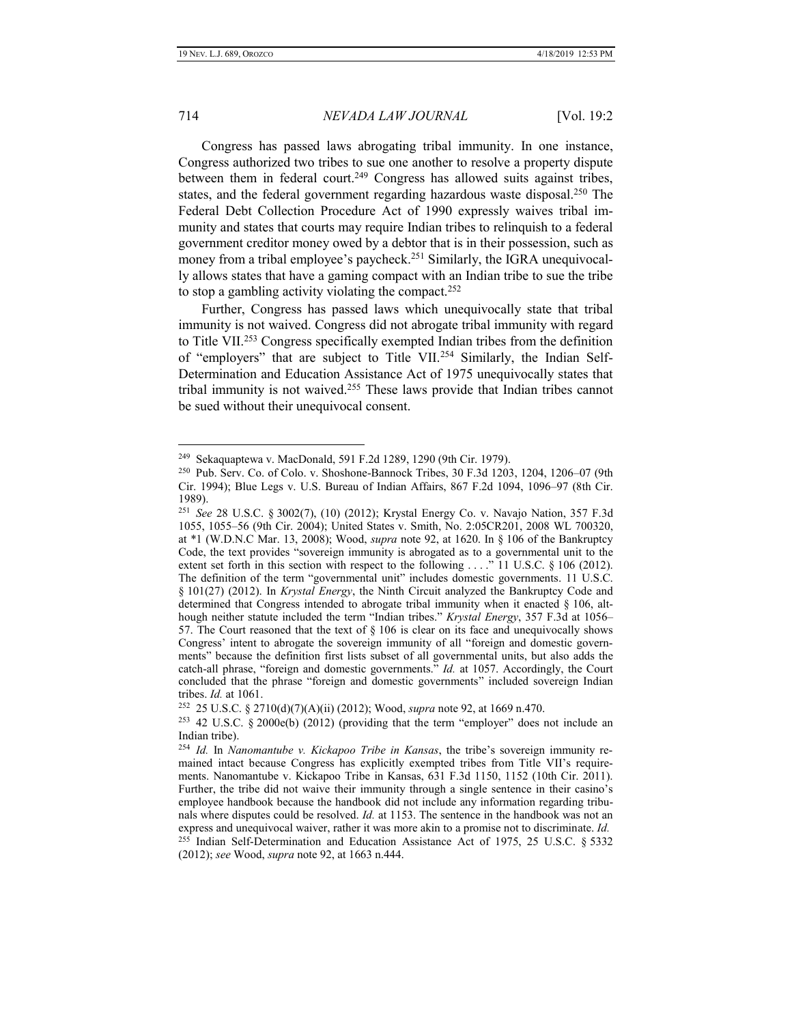$\overline{a}$ 

#### 714 *NEVADA LAW JOURNAL* [Vol. 19:2

Congress has passed laws abrogating tribal immunity. In one instance, Congress authorized two tribes to sue one another to resolve a property dispute between them in federal court.<sup>249</sup> Congress has allowed suits against tribes, states, and the federal government regarding hazardous waste disposal.<sup>250</sup> The Federal Debt Collection Procedure Act of 1990 expressly waives tribal immunity and states that courts may require Indian tribes to relinquish to a federal government creditor money owed by a debtor that is in their possession, such as money from a tribal employee's paycheck.<sup>251</sup> Similarly, the IGRA unequivocally allows states that have a gaming compact with an Indian tribe to sue the tribe to stop a gambling activity violating the compact.<sup>252</sup>

Further, Congress has passed laws which unequivocally state that tribal immunity is not waived. Congress did not abrogate tribal immunity with regard to Title VII.<sup>253</sup> Congress specifically exempted Indian tribes from the definition of "employers" that are subject to Title VII.<sup>254</sup> Similarly, the Indian Self-Determination and Education Assistance Act of 1975 unequivocally states that tribal immunity is not waived.<sup>255</sup> These laws provide that Indian tribes cannot be sued without their unequivocal consent.

<sup>&</sup>lt;sup>249</sup> Sekaquaptewa v. MacDonald, 591 F.2d 1289, 1290 (9th Cir. 1979).

<sup>250</sup> Pub. Serv. Co. of Colo. v. Shoshone-Bannock Tribes, 30 F.3d 1203, 1204, 1206–07 (9th Cir. 1994); Blue Legs v. U.S. Bureau of Indian Affairs, 867 F.2d 1094, 1096–97 (8th Cir. 1989).

<sup>251</sup> *See* 28 U.S.C. § 3002(7), (10) (2012); Krystal Energy Co. v. Navajo Nation, 357 F.3d 1055, 1055–56 (9th Cir. 2004); United States v. Smith, No. 2:05CR201, 2008 WL 700320, at \*1 (W.D.N.C Mar. 13, 2008); Wood, *supra* note 92, at 1620. In § 106 of the Bankruptcy Code, the text provides "sovereign immunity is abrogated as to a governmental unit to the extent set forth in this section with respect to the following . . . ." 11 U.S.C. § 106 (2012). The definition of the term "governmental unit" includes domestic governments. 11 U.S.C. § 101(27) (2012). In *Krystal Energy*, the Ninth Circuit analyzed the Bankruptcy Code and determined that Congress intended to abrogate tribal immunity when it enacted  $\S$  106, although neither statute included the term "Indian tribes." *Krystal Energy*, 357 F.3d at 1056– 57. The Court reasoned that the text of  $\S 106$  is clear on its face and unequivocally shows Congress' intent to abrogate the sovereign immunity of all "foreign and domestic governments" because the definition first lists subset of all governmental units, but also adds the catch-all phrase, "foreign and domestic governments." *Id.* at 1057. Accordingly, the Court concluded that the phrase "foreign and domestic governments" included sovereign Indian tribes. *Id.* at 1061.

<sup>252</sup> 25 U.S.C. § 2710(d)(7)(A)(ii) (2012); Wood, *supra* note 92, at 1669 n.470.

<sup>&</sup>lt;sup>253</sup> 42 U.S.C. § 2000 $e(b)$  (2012) (providing that the term "employer" does not include an Indian tribe).

<sup>254</sup> *Id.* In *Nanomantube v. Kickapoo Tribe in Kansas*, the tribe's sovereign immunity remained intact because Congress has explicitly exempted tribes from Title VII's requirements. Nanomantube v. Kickapoo Tribe in Kansas, 631 F.3d 1150, 1152 (10th Cir. 2011). Further, the tribe did not waive their immunity through a single sentence in their casino's employee handbook because the handbook did not include any information regarding tribunals where disputes could be resolved. *Id.* at 1153. The sentence in the handbook was not an express and unequivocal waiver, rather it was more akin to a promise not to discriminate. *Id.* 255 Indian Self-Determination and Education Assistance Act of 1975, 25 U.S.C. § 5332 (2012); *see* Wood, *supra* note 92, at 1663 n.444.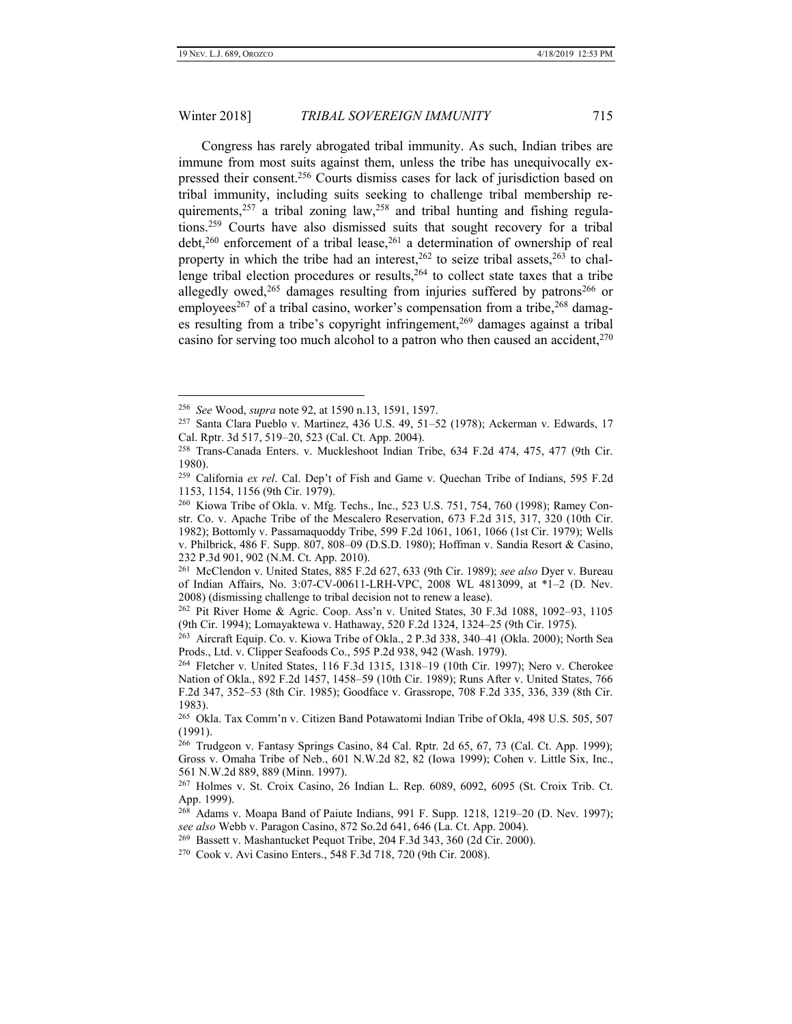$\overline{a}$ 

# Winter 2018] *TRIBAL SOVEREIGN IMMUNITY* 715

Congress has rarely abrogated tribal immunity. As such, Indian tribes are immune from most suits against them, unless the tribe has unequivocally expressed their consent.<sup>256</sup> Courts dismiss cases for lack of jurisdiction based on tribal immunity, including suits seeking to challenge tribal membership requirements, $257$  a tribal zoning law, $258$  and tribal hunting and fishing regulations.<sup>259</sup> Courts have also dismissed suits that sought recovery for a tribal  $\text{debt}^{260}$  enforcement of a tribal lease,  $^{261}$  a determination of ownership of real property in which the tribe had an interest,  $262$  to seize tribal assets,  $263$  to challenge tribal election procedures or results,<sup>264</sup> to collect state taxes that a tribe allegedly owed,<sup>265</sup> damages resulting from injuries suffered by patrons<sup>266</sup> or employees<sup>267</sup> of a tribal casino, worker's compensation from a tribe,<sup>268</sup> damages resulting from a tribe's copyright infringement,<sup>269</sup> damages against a tribal casino for serving too much alcohol to a patron who then caused an accident,<sup>270</sup>

<sup>256</sup> *See* Wood, *supra* note 92, at 1590 n.13, 1591, 1597.

<sup>257</sup> Santa Clara Pueblo v. Martinez, 436 U.S. 49, 51–52 (1978); Ackerman v. Edwards, 17 Cal. Rptr. 3d 517, 519–20, 523 (Cal. Ct. App. 2004).

<sup>258</sup> Trans-Canada Enters. v. Muckleshoot Indian Tribe, 634 F.2d 474, 475, 477 (9th Cir. 1980).

<sup>259</sup> California *ex rel*. Cal. Dep't of Fish and Game v. Quechan Tribe of Indians, 595 F.2d 1153, 1154, 1156 (9th Cir. 1979).

<sup>260</sup> Kiowa Tribe of Okla. v. Mfg. Techs., Inc., 523 U.S. 751, 754, 760 (1998); Ramey Constr. Co. v. Apache Tribe of the Mescalero Reservation, 673 F.2d 315, 317, 320 (10th Cir. 1982); Bottomly v. Passamaquoddy Tribe, 599 F.2d 1061, 1061, 1066 (1st Cir. 1979); Wells v. Philbrick, 486 F. Supp. 807, 808–09 (D.S.D. 1980); Hoffman v. Sandia Resort & Casino, 232 P.3d 901, 902 (N.M. Ct. App. 2010).

<sup>261</sup> McClendon v. United States, 885 F.2d 627, 633 (9th Cir. 1989); *see also* Dyer v. Bureau of Indian Affairs, No. 3:07-CV-00611-LRH-VPC, 2008 WL 4813099, at \*1–2 (D. Nev. 2008) (dismissing challenge to tribal decision not to renew a lease).

<sup>262</sup> Pit River Home & Agric. Coop. Ass'n v. United States, 30 F.3d 1088, 1092–93, 1105 (9th Cir. 1994); Lomayaktewa v. Hathaway, 520 F.2d 1324, 1324–25 (9th Cir. 1975).

<sup>263</sup> Aircraft Equip. Co. v. Kiowa Tribe of Okla., 2 P.3d 338, 340–41 (Okla. 2000); North Sea Prods., Ltd. v. Clipper Seafoods Co., 595 P.2d 938, 942 (Wash. 1979).

<sup>264</sup> Fletcher v. United States, 116 F.3d 1315, 1318–19 (10th Cir. 1997); Nero v. Cherokee Nation of Okla., 892 F.2d 1457, 1458–59 (10th Cir. 1989); Runs After v. United States, 766 F.2d 347, 352–53 (8th Cir. 1985); Goodface v. Grassrope, 708 F.2d 335, 336, 339 (8th Cir. 1983).

<sup>265</sup> Okla. Tax Comm'n v. Citizen Band Potawatomi Indian Tribe of Okla, 498 U.S. 505, 507 (1991).

<sup>266</sup> Trudgeon v. Fantasy Springs Casino, 84 Cal. Rptr. 2d 65, 67, 73 (Cal. Ct. App. 1999); Gross v. Omaha Tribe of Neb., 601 N.W.2d 82, 82 (Iowa 1999); Cohen v. Little Six, Inc., 561 N.W.2d 889, 889 (Minn. 1997).

<sup>267</sup> Holmes v. St. Croix Casino, 26 Indian L. Rep. 6089, 6092, 6095 (St. Croix Trib. Ct. App. 1999).

<sup>268</sup> Adams v. Moapa Band of Paiute Indians, 991 F. Supp. 1218, 1219–20 (D. Nev. 1997); *see also* Webb v. Paragon Casino, 872 So.2d 641, 646 (La. Ct. App. 2004).

<sup>&</sup>lt;sup>269</sup> Bassett v. Mashantucket Pequot Tribe, 204 F.3d 343, 360 (2d Cir. 2000).

<sup>270</sup> Cook v. Avi Casino Enters., 548 F.3d 718, 720 (9th Cir. 2008).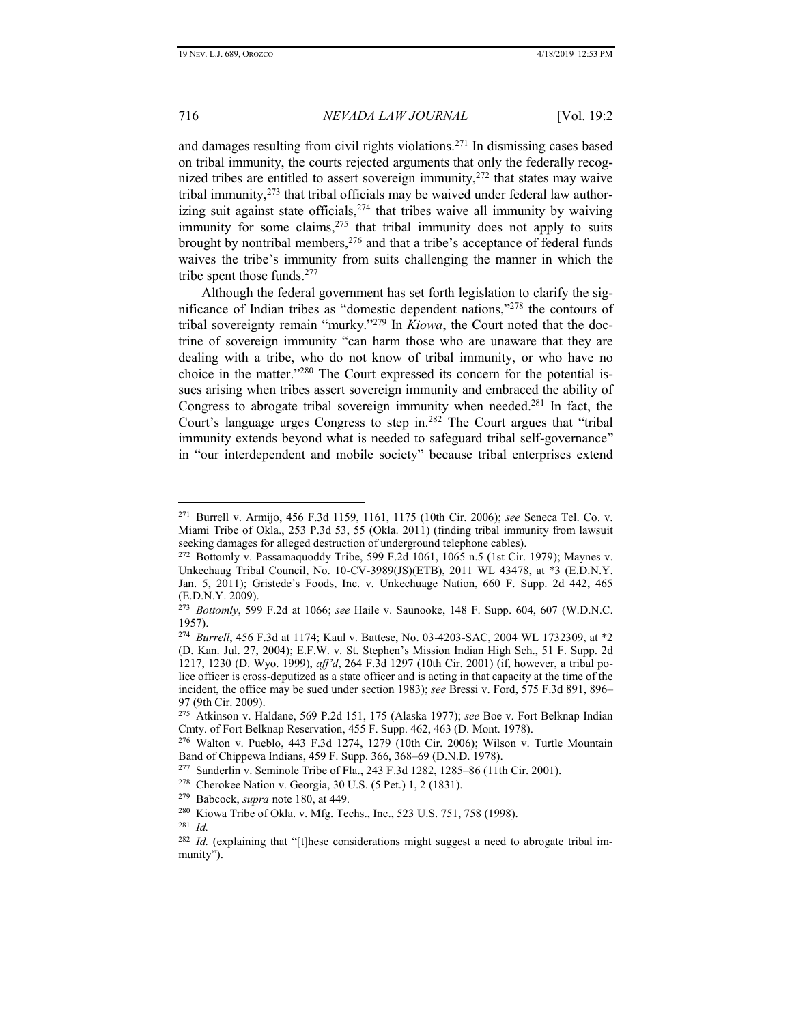and damages resulting from civil rights violations.<sup>271</sup> In dismissing cases based on tribal immunity, the courts rejected arguments that only the federally recognized tribes are entitled to assert sovereign immunity,<sup>272</sup> that states may waive tribal immunity, $2^{73}$  that tribal officials may be waived under federal law authorizing suit against state officials,  $274$  that tribes waive all immunity by waiving immunity for some claims,  $275$  that tribal immunity does not apply to suits brought by nontribal members,  $276$  and that a tribe's acceptance of federal funds waives the tribe's immunity from suits challenging the manner in which the tribe spent those funds.<sup>277</sup>

Although the federal government has set forth legislation to clarify the significance of Indian tribes as "domestic dependent nations," <sup>278</sup> the contours of tribal sovereignty remain "murky." <sup>279</sup> In *Kiowa*, the Court noted that the doctrine of sovereign immunity "can harm those who are unaware that they are dealing with a tribe, who do not know of tribal immunity, or who have no choice in the matter."<sup>280</sup> The Court expressed its concern for the potential issues arising when tribes assert sovereign immunity and embraced the ability of Congress to abrogate tribal sovereign immunity when needed.<sup>281</sup> In fact, the Court's language urges Congress to step in.<sup>282</sup> The Court argues that "tribal immunity extends beyond what is needed to safeguard tribal self-governance" in "our interdependent and mobile society" because tribal enterprises extend

<sup>271</sup> Burrell v. Armijo, 456 F.3d 1159, 1161, 1175 (10th Cir. 2006); *see* Seneca Tel. Co. v. Miami Tribe of Okla., 253 P.3d 53, 55 (Okla. 2011) (finding tribal immunity from lawsuit seeking damages for alleged destruction of underground telephone cables).

<sup>272</sup> Bottomly v. Passamaquoddy Tribe, 599 F.2d 1061, 1065 n.5 (1st Cir. 1979); Maynes v. Unkechaug Tribal Council, No. 10-CV-3989(JS)(ETB), 2011 WL 43478, at \*3 (E.D.N.Y. Jan. 5, 2011); Gristede's Foods, Inc. v. Unkechuage Nation, 660 F. Supp. 2d 442, 465 (E.D.N.Y. 2009).

<sup>273</sup> *Bottomly*, 599 F.2d at 1066; *see* Haile v. Saunooke, 148 F. Supp. 604, 607 (W.D.N.C. 1957).

<sup>274</sup> *Burrell*, 456 F.3d at 1174; Kaul v. Battese, No. 03-4203-SAC, 2004 WL 1732309, at \*2 (D. Kan. Jul. 27, 2004); E.F.W. v. St. Stephen's Mission Indian High Sch., 51 F. Supp. 2d 1217, 1230 (D. Wyo. 1999), *aff'd*, 264 F.3d 1297 (10th Cir. 2001) (if, however, a tribal police officer is cross-deputized as a state officer and is acting in that capacity at the time of the incident, the office may be sued under section 1983); *see* Bressi v. Ford, 575 F.3d 891, 896– 97 (9th Cir. 2009).

<sup>275</sup> Atkinson v. Haldane, 569 P.2d 151, 175 (Alaska 1977); *see* Boe v. Fort Belknap Indian Cmty. of Fort Belknap Reservation, 455 F. Supp. 462, 463 (D. Mont. 1978).

<sup>276</sup> Walton v. Pueblo, 443 F.3d 1274, 1279 (10th Cir. 2006); Wilson v. Turtle Mountain Band of Chippewa Indians, 459 F. Supp. 366, 368–69 (D.N.D. 1978).

<sup>277</sup> Sanderlin v. Seminole Tribe of Fla., 243 F.3d 1282, 1285–86 (11th Cir. 2001).

<sup>278</sup> Cherokee Nation v. Georgia, 30 U.S. (5 Pet.) 1, 2 (1831).

<sup>279</sup> Babcock, *supra* note 180, at 449.

<sup>280</sup> Kiowa Tribe of Okla. v. Mfg. Techs., Inc., 523 U.S. 751, 758 (1998). <sup>281</sup> *Id.*

<sup>&</sup>lt;sup>282</sup> Id. (explaining that "[t]hese considerations might suggest a need to abrogate tribal immunity").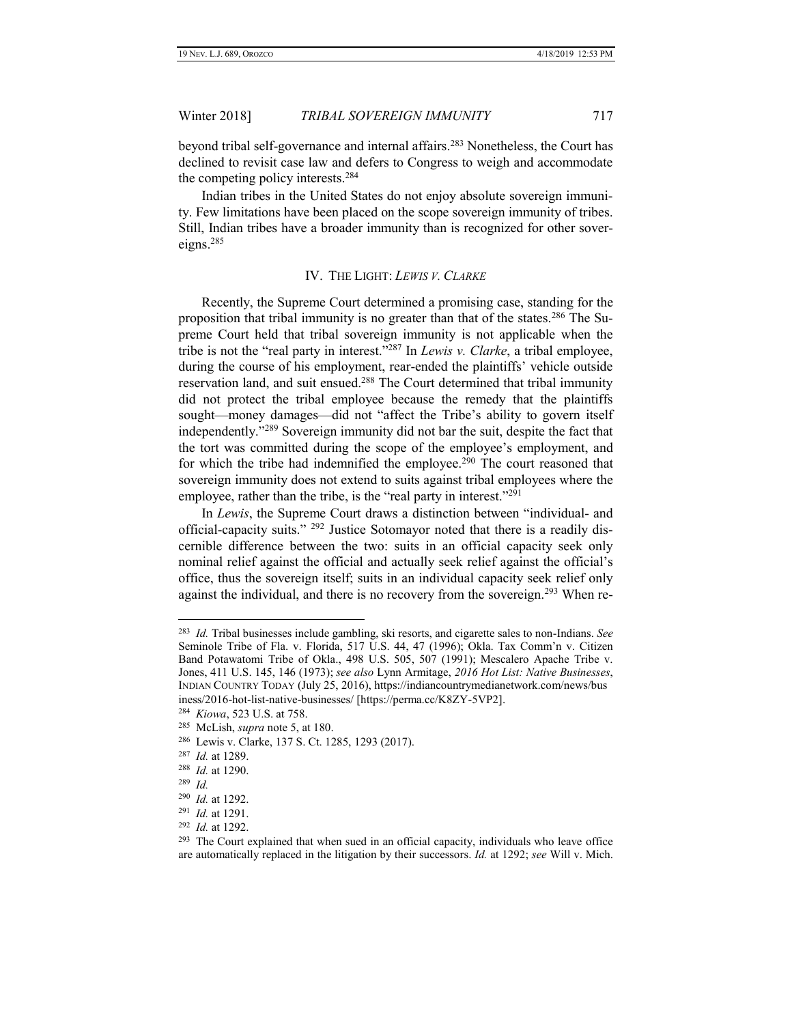beyond tribal self-governance and internal affairs.<sup>283</sup> Nonetheless, the Court has declined to revisit case law and defers to Congress to weigh and accommodate the competing policy interests.<sup>284</sup>

Indian tribes in the United States do not enjoy absolute sovereign immunity. Few limitations have been placed on the scope sovereign immunity of tribes. Still, Indian tribes have a broader immunity than is recognized for other sovereigns.<sup>285</sup>

### IV. THE LIGHT: *LEWIS V. CLARKE*

<span id="page-28-0"></span>Recently, the Supreme Court determined a promising case, standing for the proposition that tribal immunity is no greater than that of the states.<sup>286</sup> The Supreme Court held that tribal sovereign immunity is not applicable when the tribe is not the "real party in interest."<sup>287</sup> In *Lewis v. Clarke*, a tribal employee, during the course of his employment, rear-ended the plaintiffs' vehicle outside reservation land, and suit ensued.<sup>288</sup> The Court determined that tribal immunity did not protect the tribal employee because the remedy that the plaintiffs sought—money damages—did not "affect the Tribe's ability to govern itself independently."<sup>289</sup> Sovereign immunity did not bar the suit, despite the fact that the tort was committed during the scope of the employee's employment, and for which the tribe had indemnified the employee.<sup>290</sup> The court reasoned that sovereign immunity does not extend to suits against tribal employees where the employee, rather than the tribe, is the "real party in interest."<sup>291</sup>

In *Lewis*, the Supreme Court draws a distinction between "individual- and official-capacity suits." <sup>292</sup> Justice Sotomayor noted that there is a readily discernible difference between the two: suits in an official capacity seek only nominal relief against the official and actually seek relief against the official's office, thus the sovereign itself; suits in an individual capacity seek relief only against the individual, and there is no recovery from the sovereign.<sup>293</sup> When re-

<sup>283</sup> *Id.* Tribal businesses include gambling, ski resorts, and cigarette sales to non-Indians. *See* Seminole Tribe of Fla. v. Florida, 517 U.S. 44, 47 (1996); Okla. Tax Comm'n v. Citizen Band Potawatomi Tribe of Okla., 498 U.S. 505, 507 (1991); Mescalero Apache Tribe v. Jones, 411 U.S. 145, 146 (1973); *see also* Lynn Armitage, *2016 Hot List: Native Businesses*, INDIAN COUNTRY TODAY (July 25, 2016), https://indiancountrymedianetwork.com/news/bus iness/2016-hot-list-native-businesses/ [https://perma.cc/K8ZY-5VP2].

<sup>284</sup> *Kiowa*, 523 U.S. at 758.

<sup>285</sup> McLish, *supra* note 5, at 180.

<sup>286</sup> Lewis v. Clarke, 137 S. Ct. 1285, 1293 (2017).

<sup>287</sup> *Id.* at 1289.

<sup>288</sup> *Id.* at 1290.

<sup>289</sup> *Id.*

<sup>290</sup> *Id.* at 1292.

<sup>291</sup> *Id.* at 1291.

<sup>292</sup> *Id.* at 1292.

<sup>&</sup>lt;sup>293</sup> The Court explained that when sued in an official capacity, individuals who leave office are automatically replaced in the litigation by their successors. *Id.* at 1292; *see* Will v. Mich.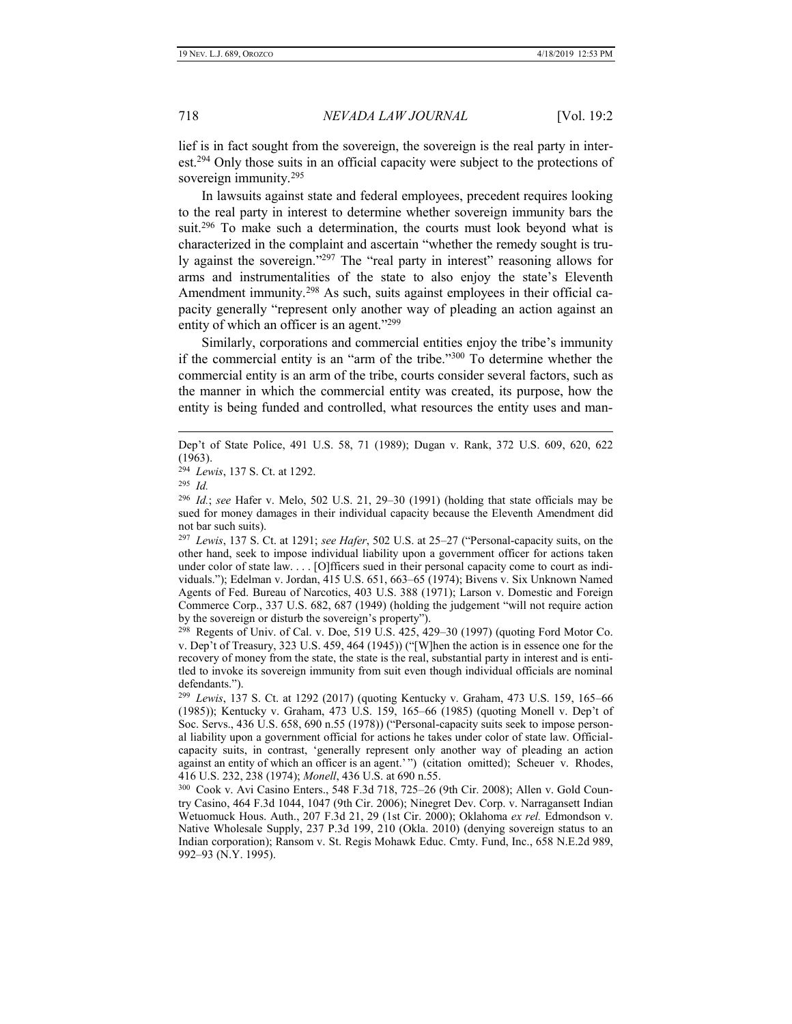lief is in fact sought from the sovereign, the sovereign is the real party in interest.<sup>294</sup> Only those suits in an official capacity were subject to the protections of sovereign immunity.<sup>295</sup>

In lawsuits against state and federal employees, precedent requires looking to the real party in interest to determine whether sovereign immunity bars the suit.<sup>296</sup> To make such a determination, the courts must look beyond what is characterized in the complaint and ascertain "whether the remedy sought is truly against the sovereign."<sup>297</sup> The "real party in interest" reasoning allows for arms and instrumentalities of the state to also enjoy the state's Eleventh Amendment immunity.<sup>298</sup> As such, suits against employees in their official capacity generally "represent only another way of pleading an action against an entity of which an officer is an agent."<sup>299</sup>

Similarly, corporations and commercial entities enjoy the tribe's immunity if the commercial entity is an "arm of the tribe."<sup>300</sup> To determine whether the commercial entity is an arm of the tribe, courts consider several factors, such as the manner in which the commercial entity was created, its purpose, how the entity is being funded and controlled, what resources the entity uses and man-

 $\overline{a}$ 

297 *Lewis*, 137 S. Ct. at 1291; *see Hafer*, 502 U.S. at 25–27 ("Personal-capacity suits, on the other hand, seek to impose individual liability upon a government officer for actions taken under color of state law. . . . [O]fficers sued in their personal capacity come to court as individuals."); Edelman v. Jordan, 415 U.S. 651, 663–65 (1974); Bivens v. Six Unknown Named Agents of Fed. Bureau of Narcotics, 403 U.S. 388 (1971); Larson v. Domestic and Foreign Commerce Corp., 337 U.S. 682, 687 (1949) (holding the judgement "will not require action by the sovereign or disturb the sovereign's property").

298 Regents of Univ. of Cal. v. Doe, 519 U.S. 425, 429–30 (1997) (quoting Ford Motor Co. v. Dep't of Treasury, 323 U.S. 459, 464 (1945)) ("[W]hen the action is in essence one for the recovery of money from the state, the state is the real, substantial party in interest and is entitled to invoke its sovereign immunity from suit even though individual officials are nominal defendants.").

Dep't of State Police, 491 U.S. 58, 71 (1989); Dugan v. Rank, 372 U.S. 609, 620, 622 (1963).

<sup>294</sup> *Lewis*, 137 S. Ct. at 1292.

<sup>295</sup> *Id.*

<sup>296</sup> *Id.*; *see* Hafer v. Melo, 502 U.S. 21, 29–30 (1991) (holding that state officials may be sued for money damages in their individual capacity because the Eleventh Amendment did not bar such suits).

<sup>299</sup> *Lewis*, 137 S. Ct. at 1292 (2017) (quoting Kentucky v. Graham, 473 U.S. 159, 165–66 (1985)); Kentucky v. Graham, 473 U.S. 159, 165–66 (1985) (quoting Monell v. Dep't of Soc. Servs., 436 U.S. 658, 690 n.55 (1978)) ("Personal-capacity suits seek to impose personal liability upon a government official for actions he takes under color of state law. Officialcapacity suits, in contrast, 'generally represent only another way of pleading an action against an entity of which an officer is an agent.' ") (citation omitted); Scheuer v. Rhodes, 416 U.S. 232, 238 (1974); *Monell*, 436 U.S. at 690 n.55.

<sup>300</sup> Cook v. Avi Casino Enters., 548 F.3d 718, 725–26 (9th Cir. 2008); Allen v. Gold Country Casino, 464 F.3d 1044, 1047 (9th Cir. 2006); Ninegret Dev. Corp. v. Narragansett Indian Wetuomuck Hous. Auth., 207 F.3d 21, 29 (1st Cir. 2000); Oklahoma *ex rel.* Edmondson v. Native Wholesale Supply, 237 P.3d 199, 210 (Okla. 2010) (denying sovereign status to an Indian corporation); Ransom v. St. Regis Mohawk Educ. Cmty. Fund, Inc., 658 N.E.2d 989, 992–93 (N.Y. 1995).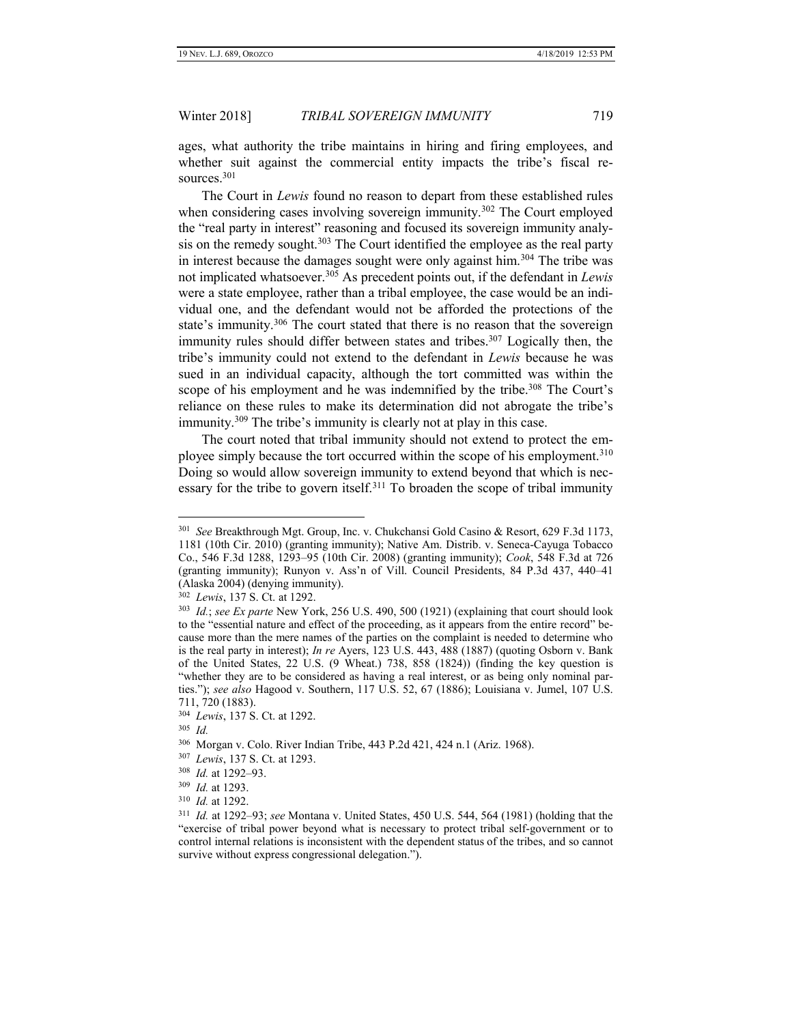ages, what authority the tribe maintains in hiring and firing employees, and whether suit against the commercial entity impacts the tribe's fiscal resources.<sup>301</sup>

The Court in *Lewis* found no reason to depart from these established rules when considering cases involving sovereign immunity.<sup>302</sup> The Court employed the "real party in interest" reasoning and focused its sovereign immunity analysis on the remedy sought. $303$  The Court identified the employee as the real party in interest because the damages sought were only against him.<sup>304</sup> The tribe was not implicated whatsoever.<sup>305</sup> As precedent points out, if the defendant in *Lewis*  were a state employee, rather than a tribal employee, the case would be an individual one, and the defendant would not be afforded the protections of the state's immunity.<sup>306</sup> The court stated that there is no reason that the sovereign immunity rules should differ between states and tribes.<sup>307</sup> Logically then, the tribe's immunity could not extend to the defendant in *Lewis* because he was sued in an individual capacity, although the tort committed was within the scope of his employment and he was indemnified by the tribe.<sup>308</sup> The Court's reliance on these rules to make its determination did not abrogate the tribe's immunity.<sup>309</sup> The tribe's immunity is clearly not at play in this case.

The court noted that tribal immunity should not extend to protect the employee simply because the tort occurred within the scope of his employment.<sup>310</sup> Doing so would allow sovereign immunity to extend beyond that which is necessary for the tribe to govern itself.<sup>311</sup> To broaden the scope of tribal immunity

<sup>301</sup> *See* Breakthrough Mgt. Group, Inc. v. Chukchansi Gold Casino & Resort, 629 F.3d 1173, 1181 (10th Cir. 2010) (granting immunity); Native Am. Distrib. v. Seneca-Cayuga Tobacco Co., 546 F.3d 1288, 1293–95 (10th Cir. 2008) (granting immunity); *Cook*, 548 F.3d at 726 (granting immunity); Runyon v. Ass'n of Vill. Council Presidents, 84 P.3d 437, 440–41 (Alaska 2004) (denying immunity).

<sup>302</sup> *Lewis*, 137 S. Ct. at 1292.

<sup>303</sup> *Id.*; *see Ex parte* New York, 256 U.S. 490, 500 (1921) (explaining that court should look to the "essential nature and effect of the proceeding, as it appears from the entire record" because more than the mere names of the parties on the complaint is needed to determine who is the real party in interest); *In re* Ayers, 123 U.S. 443, 488 (1887) (quoting Osborn v. Bank of the United States, 22 U.S. (9 Wheat.) 738, 858 (1824)) (finding the key question is "whether they are to be considered as having a real interest, or as being only nominal parties."); *see also* Hagood v. Southern, 117 U.S. 52, 67 (1886); Louisiana v. Jumel, 107 U.S. 711, 720 (1883).

<sup>304</sup> *Lewis*, 137 S. Ct. at 1292.

<sup>305</sup> *Id.*

<sup>306</sup> Morgan v. Colo. River Indian Tribe, 443 P.2d 421, 424 n.1 (Ariz. 1968).

<sup>307</sup> *Lewis*, 137 S. Ct. at 1293.

<sup>308</sup> *Id.* at 1292–93.

<sup>309</sup> *Id.* at 1293.

<sup>310</sup> *Id.* at 1292.

<sup>311</sup> *Id.* at 1292–93; *see* Montana v. United States, 450 U.S. 544, 564 (1981) (holding that the "exercise of tribal power beyond what is necessary to protect tribal self-government or to control internal relations is inconsistent with the dependent status of the tribes, and so cannot survive without express congressional delegation.").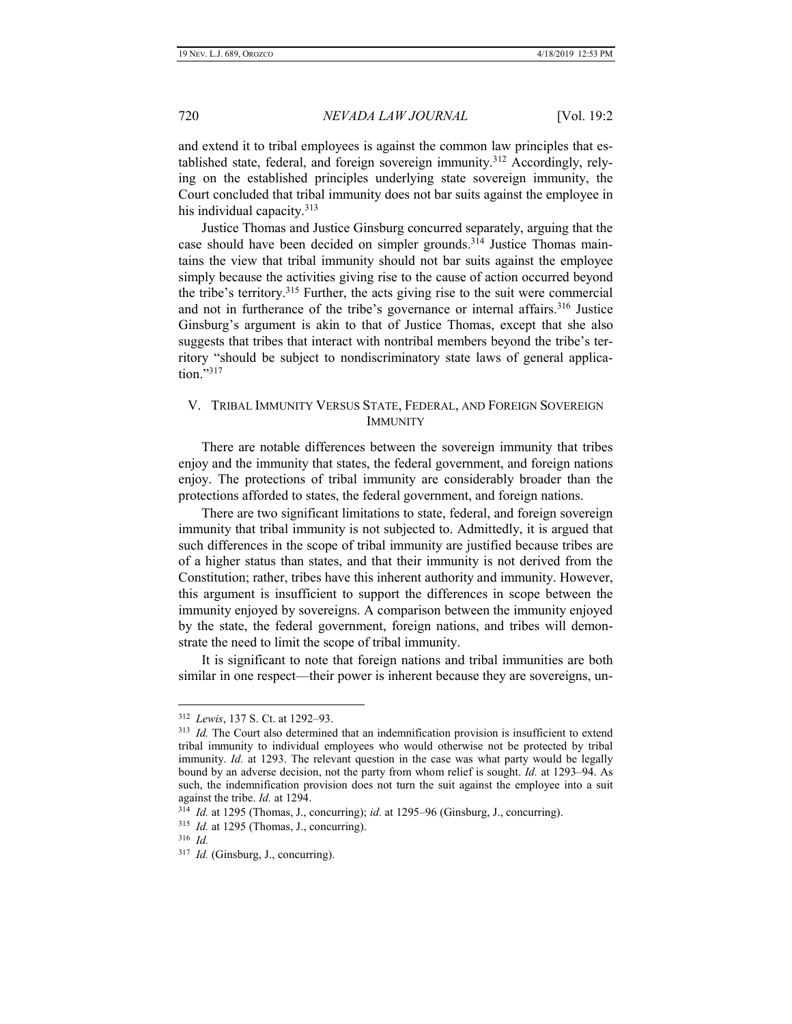and extend it to tribal employees is against the common law principles that established state, federal, and foreign sovereign immunity.<sup>312</sup> Accordingly, relying on the established principles underlying state sovereign immunity, the Court concluded that tribal immunity does not bar suits against the employee in his individual capacity.<sup>313</sup>

Justice Thomas and Justice Ginsburg concurred separately, arguing that the case should have been decided on simpler grounds.<sup>314</sup> Justice Thomas maintains the view that tribal immunity should not bar suits against the employee simply because the activities giving rise to the cause of action occurred beyond the tribe's territory.<sup>315</sup> Further, the acts giving rise to the suit were commercial and not in furtherance of the tribe's governance or internal affairs.<sup>316</sup> Justice Ginsburg's argument is akin to that of Justice Thomas, except that she also suggests that tribes that interact with nontribal members beyond the tribe's territory "should be subject to nondiscriminatory state laws of general application."317

# <span id="page-31-0"></span>V. TRIBAL IMMUNITY VERSUS STATE, FEDERAL, AND FOREIGN SOVEREIGN IMMUNITY

There are notable differences between the sovereign immunity that tribes enjoy and the immunity that states, the federal government, and foreign nations enjoy. The protections of tribal immunity are considerably broader than the protections afforded to states, the federal government, and foreign nations.

There are two significant limitations to state, federal, and foreign sovereign immunity that tribal immunity is not subjected to. Admittedly, it is argued that such differences in the scope of tribal immunity are justified because tribes are of a higher status than states, and that their immunity is not derived from the Constitution; rather, tribes have this inherent authority and immunity. However, this argument is insufficient to support the differences in scope between the immunity enjoyed by sovereigns. A comparison between the immunity enjoyed by the state, the federal government, foreign nations, and tribes will demonstrate the need to limit the scope of tribal immunity.

It is significant to note that foreign nations and tribal immunities are both similar in one respect—their power is inherent because they are sovereigns, un-

<sup>312</sup> *Lewis*, 137 S. Ct. at 1292–93.

<sup>&</sup>lt;sup>313</sup> *Id.* The Court also determined that an indemnification provision is insufficient to extend tribal immunity to individual employees who would otherwise not be protected by tribal immunity. *Id.* at 1293. The relevant question in the case was what party would be legally bound by an adverse decision, not the party from whom relief is sought. *Id.* at 1293–94. As such, the indemnification provision does not turn the suit against the employee into a suit against the tribe. *Id.* at 1294.

<sup>314</sup> *Id.* at 1295 (Thomas, J., concurring); *id.* at 1295–96 (Ginsburg, J., concurring).

<sup>&</sup>lt;sup>315</sup> *Id.* at 1295 (Thomas, J., concurring).

<sup>316</sup> *Id.*

<sup>317</sup> *Id.* (Ginsburg, J., concurring).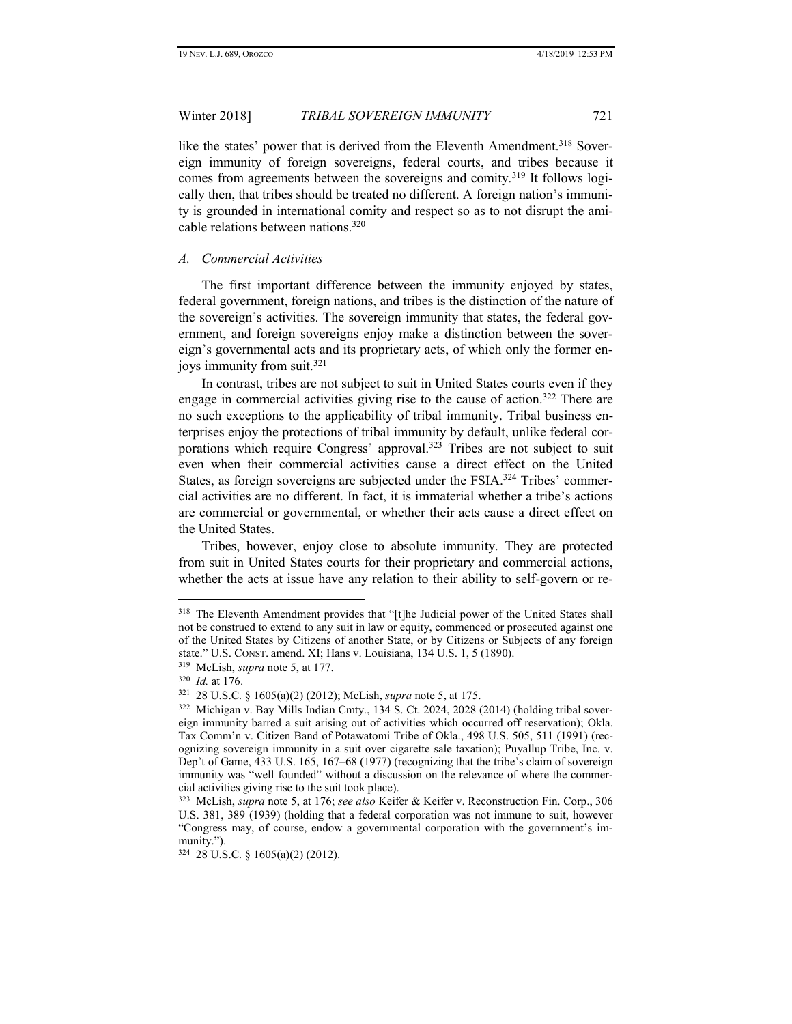like the states' power that is derived from the Eleventh Amendment.<sup>318</sup> Sovereign immunity of foreign sovereigns, federal courts, and tribes because it comes from agreements between the sovereigns and comity.<sup>319</sup> It follows logically then, that tribes should be treated no different. A foreign nation's immunity is grounded in international comity and respect so as to not disrupt the amicable relations between nations.<sup>320</sup>

#### <span id="page-32-0"></span>*A. Commercial Activities*

The first important difference between the immunity enjoyed by states, federal government, foreign nations, and tribes is the distinction of the nature of the sovereign's activities. The sovereign immunity that states, the federal government, and foreign sovereigns enjoy make a distinction between the sovereign's governmental acts and its proprietary acts, of which only the former enjoys immunity from suit.<sup>321</sup>

In contrast, tribes are not subject to suit in United States courts even if they engage in commercial activities giving rise to the cause of action.<sup>322</sup> There are no such exceptions to the applicability of tribal immunity. Tribal business enterprises enjoy the protections of tribal immunity by default, unlike federal corporations which require Congress' approval.<sup>323</sup> Tribes are not subject to suit even when their commercial activities cause a direct effect on the United States, as foreign sovereigns are subjected under the FSIA.<sup>324</sup> Tribes' commercial activities are no different. In fact, it is immaterial whether a tribe's actions are commercial or governmental, or whether their acts cause a direct effect on the United States.

Tribes, however, enjoy close to absolute immunity. They are protected from suit in United States courts for their proprietary and commercial actions, whether the acts at issue have any relation to their ability to self-govern or re-

<sup>&</sup>lt;sup>318</sup> The Eleventh Amendment provides that "[t]he Judicial power of the United States shall not be construed to extend to any suit in law or equity, commenced or prosecuted against one of the United States by Citizens of another State, or by Citizens or Subjects of any foreign state." U.S. CONST. amend. XI; Hans v. Louisiana, 134 U.S. 1, 5 (1890).

<sup>319</sup> McLish, *supra* note 5, at 177.

<sup>320</sup> *Id.* at 176.

<sup>321</sup> 28 U.S.C. § 1605(a)(2) (2012); McLish, *supra* note 5, at 175.

<sup>322</sup> Michigan v. Bay Mills Indian Cmty., 134 S. Ct. 2024, 2028 (2014) (holding tribal sovereign immunity barred a suit arising out of activities which occurred off reservation); Okla. Tax Comm'n v. Citizen Band of Potawatomi Tribe of Okla., 498 U.S. 505, 511 (1991) (recognizing sovereign immunity in a suit over cigarette sale taxation); Puyallup Tribe, Inc. v. Dep't of Game, 433 U.S. 165, 167–68 (1977) (recognizing that the tribe's claim of sovereign immunity was "well founded" without a discussion on the relevance of where the commercial activities giving rise to the suit took place).

<sup>323</sup> McLish, *supra* note 5, at 176; *see also* Keifer & Keifer v. Reconstruction Fin. Corp., 306 U.S. 381, 389 (1939) (holding that a federal corporation was not immune to suit, however "Congress may, of course, endow a governmental corporation with the government's immunity.").

<sup>324</sup> 28 U.S.C. § 1605(a)(2) (2012).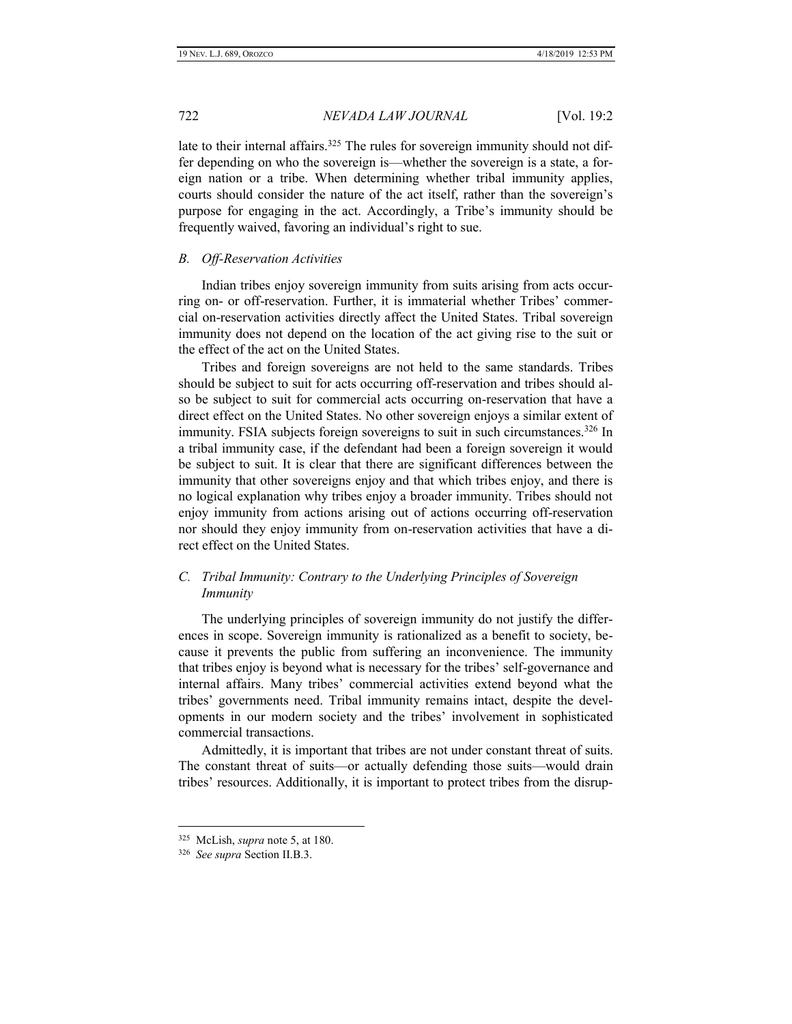late to their internal affairs.<sup>325</sup> The rules for sovereign immunity should not differ depending on who the sovereign is—whether the sovereign is a state, a foreign nation or a tribe. When determining whether tribal immunity applies, courts should consider the nature of the act itself, rather than the sovereign's purpose for engaging in the act. Accordingly, a Tribe's immunity should be frequently waived, favoring an individual's right to sue.

#### <span id="page-33-0"></span>*B. Off-Reservation Activities*

Indian tribes enjoy sovereign immunity from suits arising from acts occurring on- or off-reservation. Further, it is immaterial whether Tribes' commercial on-reservation activities directly affect the United States. Tribal sovereign immunity does not depend on the location of the act giving rise to the suit or the effect of the act on the United States.

Tribes and foreign sovereigns are not held to the same standards. Tribes should be subject to suit for acts occurring off-reservation and tribes should also be subject to suit for commercial acts occurring on-reservation that have a direct effect on the United States. No other sovereign enjoys a similar extent of immunity. FSIA subjects foreign sovereigns to suit in such circumstances.<sup>326</sup> In a tribal immunity case, if the defendant had been a foreign sovereign it would be subject to suit. It is clear that there are significant differences between the immunity that other sovereigns enjoy and that which tribes enjoy, and there is no logical explanation why tribes enjoy a broader immunity. Tribes should not enjoy immunity from actions arising out of actions occurring off-reservation nor should they enjoy immunity from on-reservation activities that have a direct effect on the United States.

# <span id="page-33-1"></span>*C. Tribal Immunity: Contrary to the Underlying Principles of Sovereign Immunity*

The underlying principles of sovereign immunity do not justify the differences in scope. Sovereign immunity is rationalized as a benefit to society, because it prevents the public from suffering an inconvenience. The immunity that tribes enjoy is beyond what is necessary for the tribes' self-governance and internal affairs. Many tribes' commercial activities extend beyond what the tribes' governments need. Tribal immunity remains intact, despite the developments in our modern society and the tribes' involvement in sophisticated commercial transactions.

Admittedly, it is important that tribes are not under constant threat of suits. The constant threat of suits—or actually defending those suits—would drain tribes' resources. Additionally, it is important to protect tribes from the disrup-

<sup>325</sup> McLish, *supra* note 5, at 180.

<sup>326</sup>  *See supra* Section II.B.3.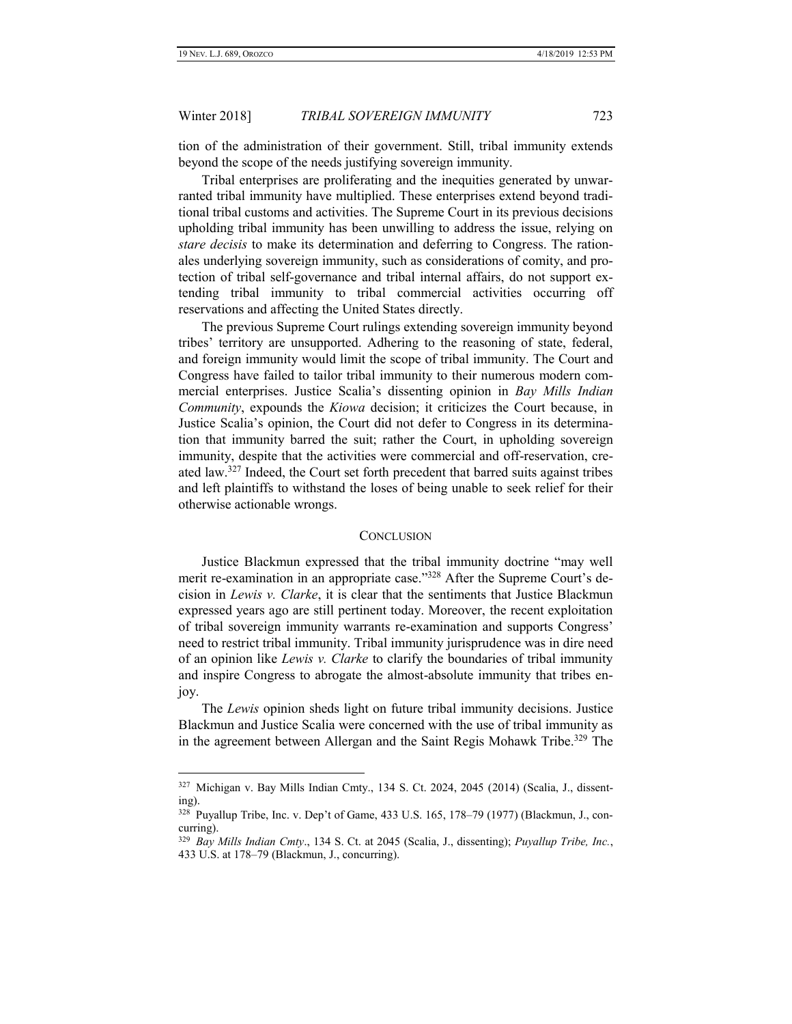$\overline{a}$ 

#### Winter 2018] *TRIBAL SOVEREIGN IMMUNITY* 723

tion of the administration of their government. Still, tribal immunity extends beyond the scope of the needs justifying sovereign immunity.

Tribal enterprises are proliferating and the inequities generated by unwarranted tribal immunity have multiplied. These enterprises extend beyond traditional tribal customs and activities. The Supreme Court in its previous decisions upholding tribal immunity has been unwilling to address the issue, relying on *stare decisis* to make its determination and deferring to Congress. The rationales underlying sovereign immunity, such as considerations of comity, and protection of tribal self-governance and tribal internal affairs, do not support extending tribal immunity to tribal commercial activities occurring off reservations and affecting the United States directly.

The previous Supreme Court rulings extending sovereign immunity beyond tribes' territory are unsupported. Adhering to the reasoning of state, federal, and foreign immunity would limit the scope of tribal immunity. The Court and Congress have failed to tailor tribal immunity to their numerous modern commercial enterprises. Justice Scalia's dissenting opinion in *Bay Mills Indian Community*, expounds the *Kiowa* decision; it criticizes the Court because, in Justice Scalia's opinion, the Court did not defer to Congress in its determination that immunity barred the suit; rather the Court, in upholding sovereign immunity, despite that the activities were commercial and off-reservation, created law.<sup>327</sup> Indeed, the Court set forth precedent that barred suits against tribes and left plaintiffs to withstand the loses of being unable to seek relief for their otherwise actionable wrongs.

#### **CONCLUSION**

<span id="page-34-0"></span>Justice Blackmun expressed that the tribal immunity doctrine "may well merit re-examination in an appropriate case."<sup>328</sup> After the Supreme Court's decision in *Lewis v. Clarke*, it is clear that the sentiments that Justice Blackmun expressed years ago are still pertinent today. Moreover, the recent exploitation of tribal sovereign immunity warrants re-examination and supports Congress' need to restrict tribal immunity. Tribal immunity jurisprudence was in dire need of an opinion like *Lewis v. Clarke* to clarify the boundaries of tribal immunity and inspire Congress to abrogate the almost-absolute immunity that tribes enjoy.

The *Lewis* opinion sheds light on future tribal immunity decisions. Justice Blackmun and Justice Scalia were concerned with the use of tribal immunity as in the agreement between Allergan and the Saint Regis Mohawk Tribe.<sup>329</sup> The

<sup>327</sup> Michigan v. Bay Mills Indian Cmty., 134 S. Ct. 2024, 2045 (2014) (Scalia, J., dissenting).

<sup>328</sup> Puyallup Tribe, Inc. v. Dep't of Game, 433 U.S. 165, 178–79 (1977) (Blackmun, J., concurring).

<sup>329</sup> *Bay Mills Indian Cmty*., 134 S. Ct. at 2045 (Scalia, J., dissenting); *Puyallup Tribe, Inc.*, 433 U.S. at 178–79 (Blackmun, J., concurring).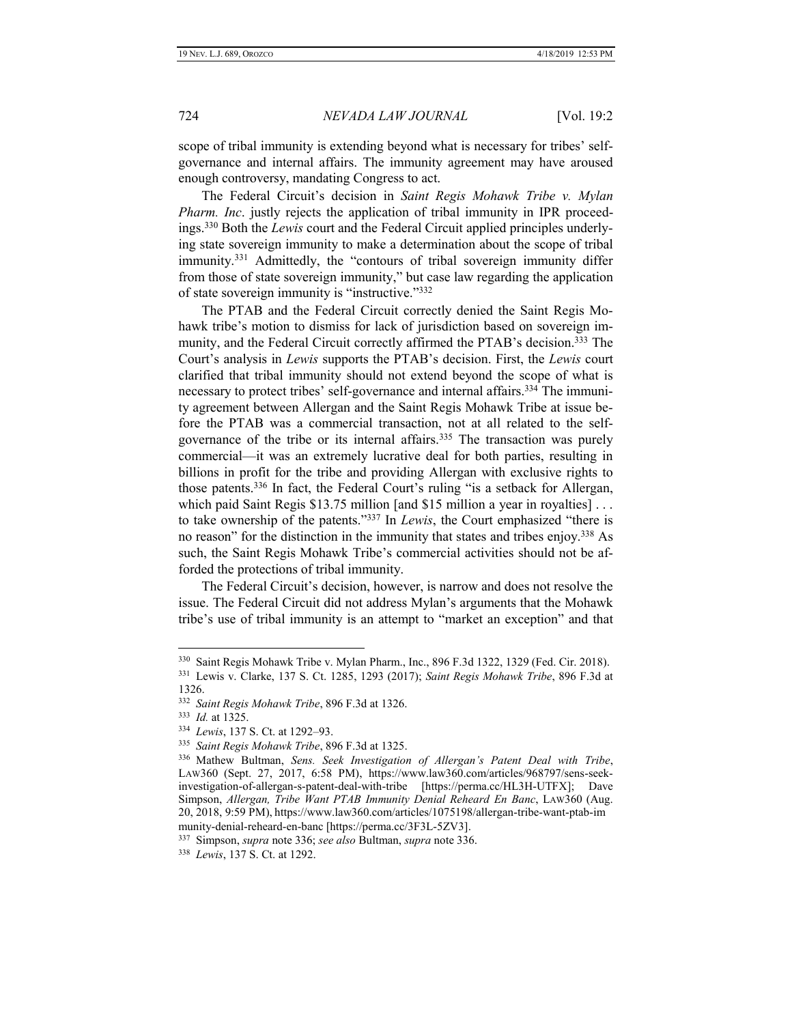scope of tribal immunity is extending beyond what is necessary for tribes' selfgovernance and internal affairs. The immunity agreement may have aroused enough controversy, mandating Congress to act.

The Federal Circuit's decision in *Saint Regis Mohawk Tribe v. Mylan Pharm. Inc*. justly rejects the application of tribal immunity in IPR proceedings.<sup>330</sup> Both the *Lewis* court and the Federal Circuit applied principles underlying state sovereign immunity to make a determination about the scope of tribal immunity.<sup>331</sup> Admittedly, the "contours of tribal sovereign immunity differ from those of state sovereign immunity," but case law regarding the application of state sovereign immunity is "instructive."<sup>332</sup>

The PTAB and the Federal Circuit correctly denied the Saint Regis Mohawk tribe's motion to dismiss for lack of jurisdiction based on sovereign immunity, and the Federal Circuit correctly affirmed the PTAB's decision.<sup>333</sup> The Court's analysis in *Lewis* supports the PTAB's decision. First, the *Lewis* court clarified that tribal immunity should not extend beyond the scope of what is necessary to protect tribes' self-governance and internal affairs.<sup>334</sup> The immunity agreement between Allergan and the Saint Regis Mohawk Tribe at issue before the PTAB was a commercial transaction, not at all related to the selfgovernance of the tribe or its internal affairs.<sup>335</sup> The transaction was purely commercial—it was an extremely lucrative deal for both parties, resulting in billions in profit for the tribe and providing Allergan with exclusive rights to those patents.<sup>336</sup> In fact, the Federal Court's ruling "is a setback for Allergan, which paid Saint Regis \$13.75 million [and \$15 million a year in royalties] . . . to take ownership of the patents."<sup>337</sup> In *Lewis*, the Court emphasized "there is no reason" for the distinction in the immunity that states and tribes enjoy.<sup>338</sup> As such, the Saint Regis Mohawk Tribe's commercial activities should not be afforded the protections of tribal immunity.

The Federal Circuit's decision, however, is narrow and does not resolve the issue. The Federal Circuit did not address Mylan's arguments that the Mohawk tribe's use of tribal immunity is an attempt to "market an exception" and that

<sup>330</sup> Saint Regis Mohawk Tribe v. Mylan Pharm., Inc., 896 F.3d 1322, 1329 (Fed. Cir. 2018).

<sup>331</sup> Lewis v. Clarke, 137 S. Ct. 1285, 1293 (2017); *Saint Regis Mohawk Tribe*, 896 F.3d at 1326.

<sup>332</sup> *Saint Regis Mohawk Tribe*, 896 F.3d at 1326.

<sup>333</sup> *Id.* at 1325.

<sup>334</sup> *Lewis*, 137 S. Ct. at 1292–93.

<sup>335</sup> *Saint Regis Mohawk Tribe*, 896 F.3d at 1325.

<sup>336</sup> Mathew Bultman, *Sens. Seek Investigation of Allergan's Patent Deal with Tribe*, LAW360 (Sept. 27, 2017, 6:58 PM), https://www.law360.com/articles/968797/sens-seekinvestigation-of-allergan-s-patent-deal-with-tribe [https://perma.cc/HL3H-UTFX]; Dave Simpson, *Allergan, Tribe Want PTAB Immunity Denial Reheard En Banc*, LAW360 (Aug. 20, 2018, 9:59 PM), https://www.law360.com/articles/1075198/allergan-tribe-want-ptab-im munity-denial-reheard-en-banc [https://perma.cc/3F3L-5ZV3].

<sup>337</sup> Simpson, *supra* note 336; *see also* Bultman, *supra* note 336.

<sup>338</sup> *Lewis*, 137 S. Ct. at 1292.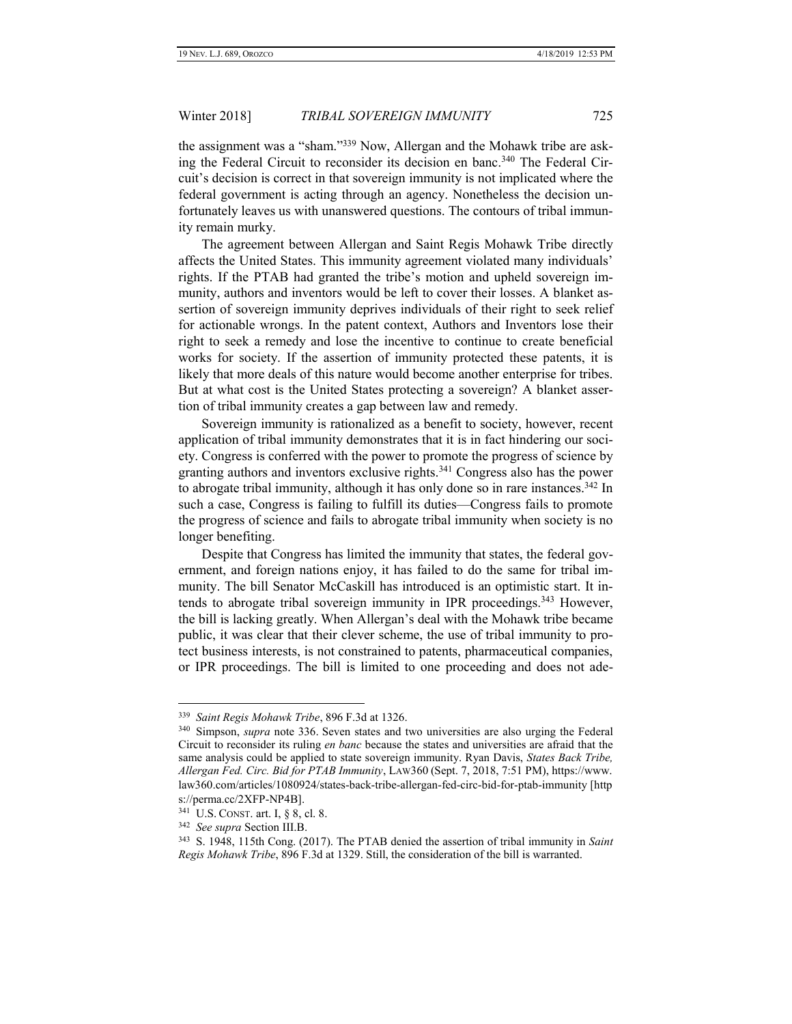the assignment was a "sham."<sup>339</sup> Now, Allergan and the Mohawk tribe are asking the Federal Circuit to reconsider its decision en banc.<sup>340</sup> The Federal Circuit's decision is correct in that sovereign immunity is not implicated where the federal government is acting through an agency. Nonetheless the decision unfortunately leaves us with unanswered questions. The contours of tribal immunity remain murky.

The agreement between Allergan and Saint Regis Mohawk Tribe directly affects the United States. This immunity agreement violated many individuals' rights. If the PTAB had granted the tribe's motion and upheld sovereign immunity, authors and inventors would be left to cover their losses. A blanket assertion of sovereign immunity deprives individuals of their right to seek relief for actionable wrongs. In the patent context, Authors and Inventors lose their right to seek a remedy and lose the incentive to continue to create beneficial works for society. If the assertion of immunity protected these patents, it is likely that more deals of this nature would become another enterprise for tribes. But at what cost is the United States protecting a sovereign? A blanket assertion of tribal immunity creates a gap between law and remedy.

Sovereign immunity is rationalized as a benefit to society, however, recent application of tribal immunity demonstrates that it is in fact hindering our society. Congress is conferred with the power to promote the progress of science by granting authors and inventors exclusive rights.<sup>341</sup> Congress also has the power to abrogate tribal immunity, although it has only done so in rare instances.<sup>342</sup> In such a case, Congress is failing to fulfill its duties—Congress fails to promote the progress of science and fails to abrogate tribal immunity when society is no longer benefiting.

Despite that Congress has limited the immunity that states, the federal government, and foreign nations enjoy, it has failed to do the same for tribal immunity. The bill Senator McCaskill has introduced is an optimistic start. It intends to abrogate tribal sovereign immunity in IPR proceedings.<sup>343</sup> However, the bill is lacking greatly. When Allergan's deal with the Mohawk tribe became public, it was clear that their clever scheme, the use of tribal immunity to protect business interests, is not constrained to patents, pharmaceutical companies, or IPR proceedings. The bill is limited to one proceeding and does not ade-

<sup>339</sup> *Saint Regis Mohawk Tribe*, 896 F.3d at 1326.

<sup>340</sup> Simpson, *supra* note 336. Seven states and two universities are also urging the Federal Circuit to reconsider its ruling *en banc* because the states and universities are afraid that the same analysis could be applied to state sovereign immunity. Ryan Davis, *States Back Tribe, Allergan Fed. Circ. Bid for PTAB Immunity*, LAW360 (Sept. 7, 2018, 7:51 PM), https://www. law360.com/articles/1080924/states-back-tribe-allergan-fed-circ-bid-for-ptab-immunity [http s://perma.cc/2XFP-NP4B].

<sup>341</sup> U.S. CONST. art. I, § 8, cl. 8.

<sup>342</sup> *See supra* Section III.B.

<sup>343</sup> S. 1948, 115th Cong. (2017). The PTAB denied the assertion of tribal immunity in *Saint Regis Mohawk Tribe*, 896 F.3d at 1329. Still, the consideration of the bill is warranted.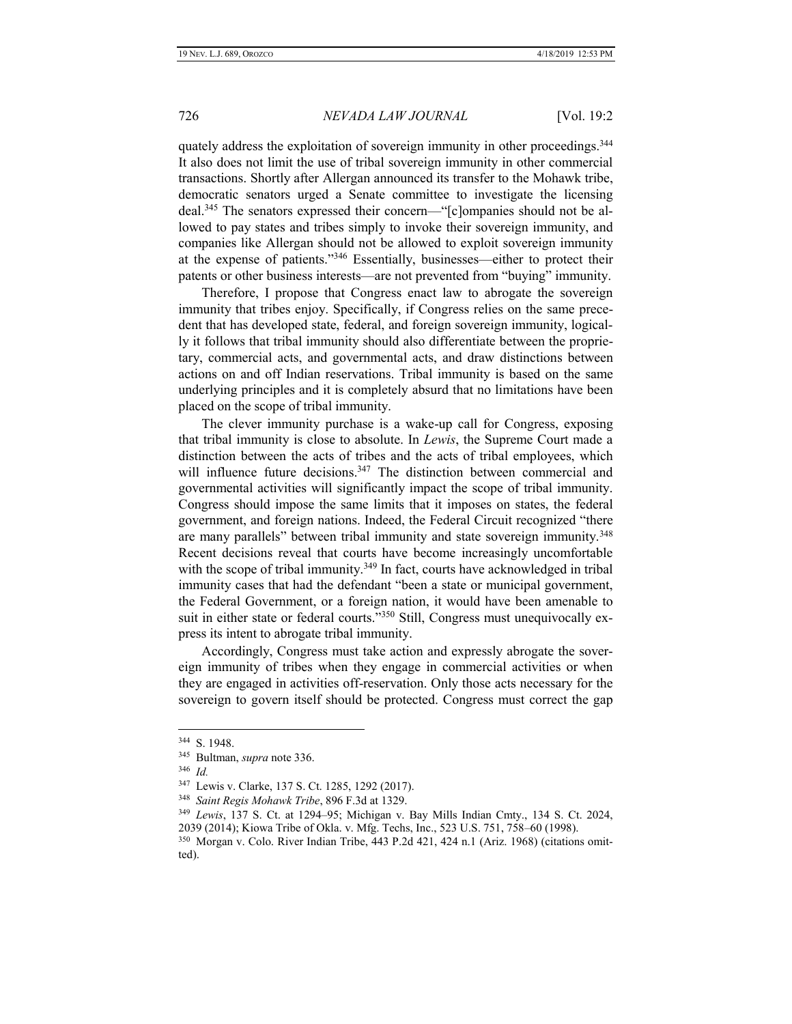quately address the exploitation of sovereign immunity in other proceedings.<sup>344</sup> It also does not limit the use of tribal sovereign immunity in other commercial transactions. Shortly after Allergan announced its transfer to the Mohawk tribe, democratic senators urged a Senate committee to investigate the licensing deal.<sup>345</sup> The senators expressed their concern—"[c]ompanies should not be allowed to pay states and tribes simply to invoke their sovereign immunity, and companies like Allergan should not be allowed to exploit sovereign immunity at the expense of patients."<sup>346</sup> Essentially, businesses—either to protect their patents or other business interests—are not prevented from "buying" immunity.

Therefore, I propose that Congress enact law to abrogate the sovereign immunity that tribes enjoy. Specifically, if Congress relies on the same precedent that has developed state, federal, and foreign sovereign immunity, logically it follows that tribal immunity should also differentiate between the proprietary, commercial acts, and governmental acts, and draw distinctions between actions on and off Indian reservations. Tribal immunity is based on the same underlying principles and it is completely absurd that no limitations have been placed on the scope of tribal immunity.

The clever immunity purchase is a wake-up call for Congress, exposing that tribal immunity is close to absolute. In *Lewis*, the Supreme Court made a distinction between the acts of tribes and the acts of tribal employees, which will influence future decisions.<sup>347</sup> The distinction between commercial and governmental activities will significantly impact the scope of tribal immunity. Congress should impose the same limits that it imposes on states, the federal government, and foreign nations. Indeed, the Federal Circuit recognized "there are many parallels" between tribal immunity and state sovereign immunity.<sup>348</sup> Recent decisions reveal that courts have become increasingly uncomfortable with the scope of tribal immunity.<sup>349</sup> In fact, courts have acknowledged in tribal immunity cases that had the defendant "been a state or municipal government, the Federal Government, or a foreign nation, it would have been amenable to suit in either state or federal courts."<sup>350</sup> Still, Congress must unequivocally express its intent to abrogate tribal immunity.

Accordingly, Congress must take action and expressly abrogate the sovereign immunity of tribes when they engage in commercial activities or when they are engaged in activities off-reservation. Only those acts necessary for the sovereign to govern itself should be protected. Congress must correct the gap

<sup>344</sup> S. 1948.

<sup>345</sup> Bultman, *supra* note 336.

<sup>346</sup> *Id.*

<sup>347</sup> Lewis v. Clarke, 137 S. Ct. 1285, 1292 (2017).

<sup>348</sup> *Saint Regis Mohawk Tribe*, 896 F.3d at 1329.

<sup>349</sup> *Lewis*, 137 S. Ct. at 1294–95; Michigan v. Bay Mills Indian Cmty., 134 S. Ct. 2024, 2039 (2014); Kiowa Tribe of Okla. v. Mfg. Techs, Inc., 523 U.S. 751, 758–60 (1998).

<sup>350</sup> Morgan v. Colo. River Indian Tribe, 443 P.2d 421, 424 n.1 (Ariz. 1968) (citations omitted).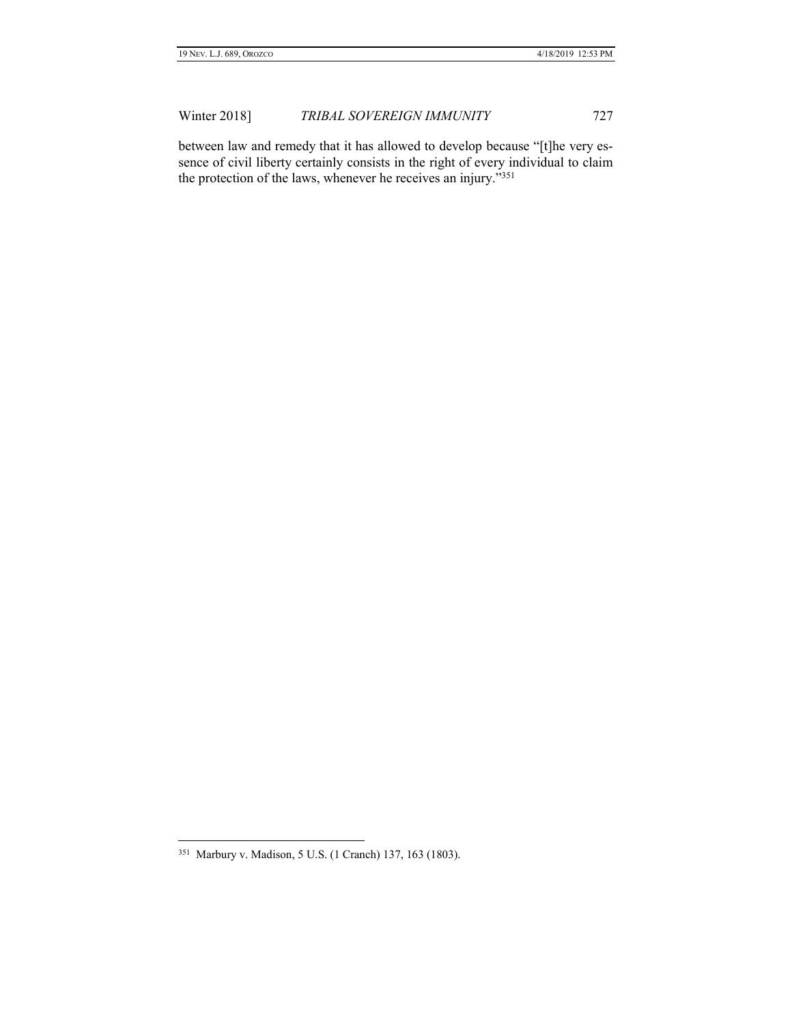between law and remedy that it has allowed to develop because "[t]he very essence of civil liberty certainly consists in the right of every individual to claim the protection of the laws, whenever he receives an injury."<sup>351</sup>

 351 Marbury v. Madison, 5 U.S. (1 Cranch) 137, 163 (1803).